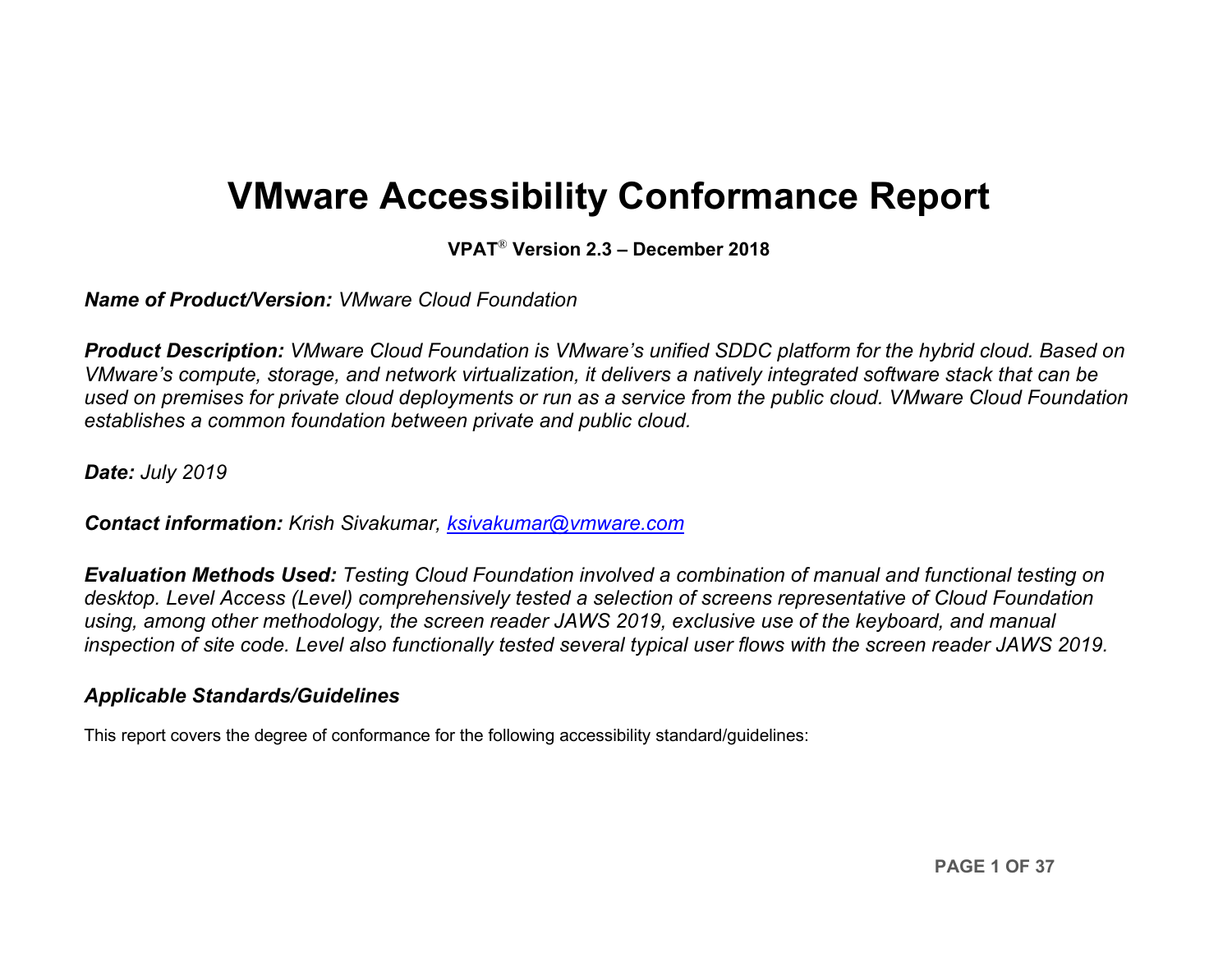# **VMware Accessibility Conformance Report**

**VPAT**® **Version 2.3 – December 2018**

*Name of Product/Version: VMware Cloud Foundation*

*Product Description: VMware Cloud Foundation is VMware's unified SDDC platform for the hybrid cloud. Based on VMware's compute, storage, and network virtualization, it delivers a natively integrated software stack that can be used on premises for private cloud deployments or run as a service from the public cloud. VMware Cloud Foundation establishes a common foundation between private and public cloud.*

*Date: July 2019*

*Contact information: Krish Sivakumar, [ksivakumar@vmware.com](mailto:ksivakumar@vmware.com)*

*Evaluation Methods Used: Testing Cloud Foundation involved a combination of manual and functional testing on desktop. Level Access (Level) comprehensively tested a selection of screens representative of Cloud Foundation using, among other methodology, the screen reader JAWS 2019, exclusive use of the keyboard, and manual inspection of site code. Level also functionally tested several typical user flows with the screen reader JAWS 2019.*

### *Applicable Standards/Guidelines*

This report covers the degree of conformance for the following accessibility standard/guidelines: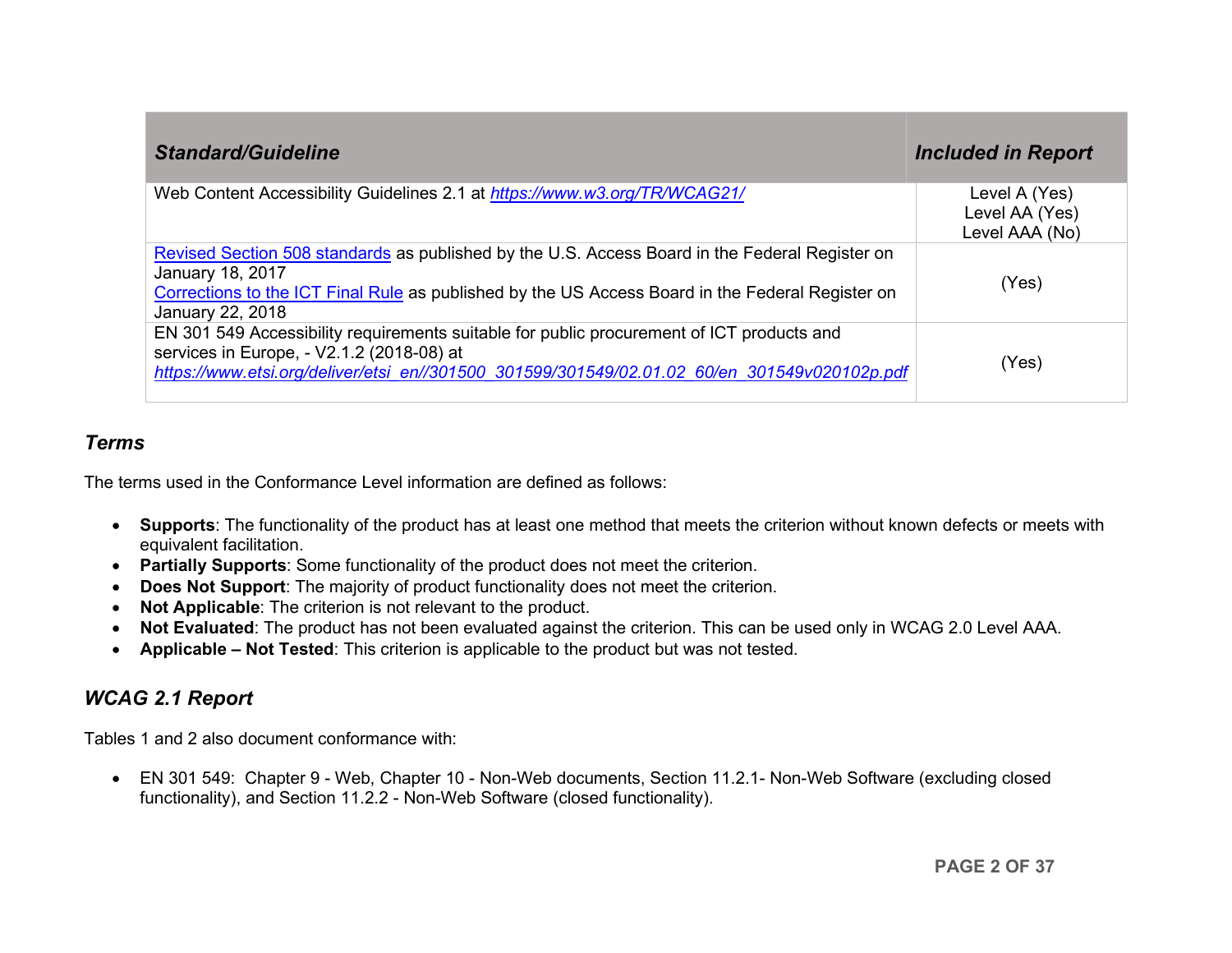| <b>Standard/Guideline</b>                                                                                                                                                                                                                  | <b>Included in Report</b>                         |
|--------------------------------------------------------------------------------------------------------------------------------------------------------------------------------------------------------------------------------------------|---------------------------------------------------|
| Web Content Accessibility Guidelines 2.1 at https://www.w3.org/TR/WCAG21/                                                                                                                                                                  | Level A (Yes)<br>Level AA (Yes)<br>Level AAA (No) |
| Revised Section 508 standards as published by the U.S. Access Board in the Federal Register on<br>January 18, 2017<br>Corrections to the ICT Final Rule as published by the US Access Board in the Federal Register on<br>January 22, 2018 | (Yes)                                             |
| EN 301 549 Accessibility requirements suitable for public procurement of ICT products and<br>services in Europe, - V2.1.2 (2018-08) at<br>https://www.etsi.org/deliver/etsi_en//301500_301599/301549/02.01.02_60/en_301549v020102p.pdf     | (Yes)                                             |

#### *Terms*

The terms used in the Conformance Level information are defined as follows:

- **Supports**: The functionality of the product has at least one method that meets the criterion without known defects or meets with equivalent facilitation.
- **Partially Supports**: Some functionality of the product does not meet the criterion.
- **Does Not Support**: The majority of product functionality does not meet the criterion.
- **Not Applicable**: The criterion is not relevant to the product.
- **Not Evaluated**: The product has not been evaluated against the criterion. This can be used only in WCAG 2.0 Level AAA.
- **Applicable – Not Tested**: This criterion is applicable to the product but was not tested.

# <span id="page-1-0"></span>*WCAG 2.1 Report*

Tables 1 and 2 also document conformance with:

• EN 301 549: Chapter 9 - Web, Chapter 10 - Non-Web documents, Section 11.2.1- Non-Web Software (excluding closed functionality), and Section 11.2.2 - Non-Web Software (closed functionality).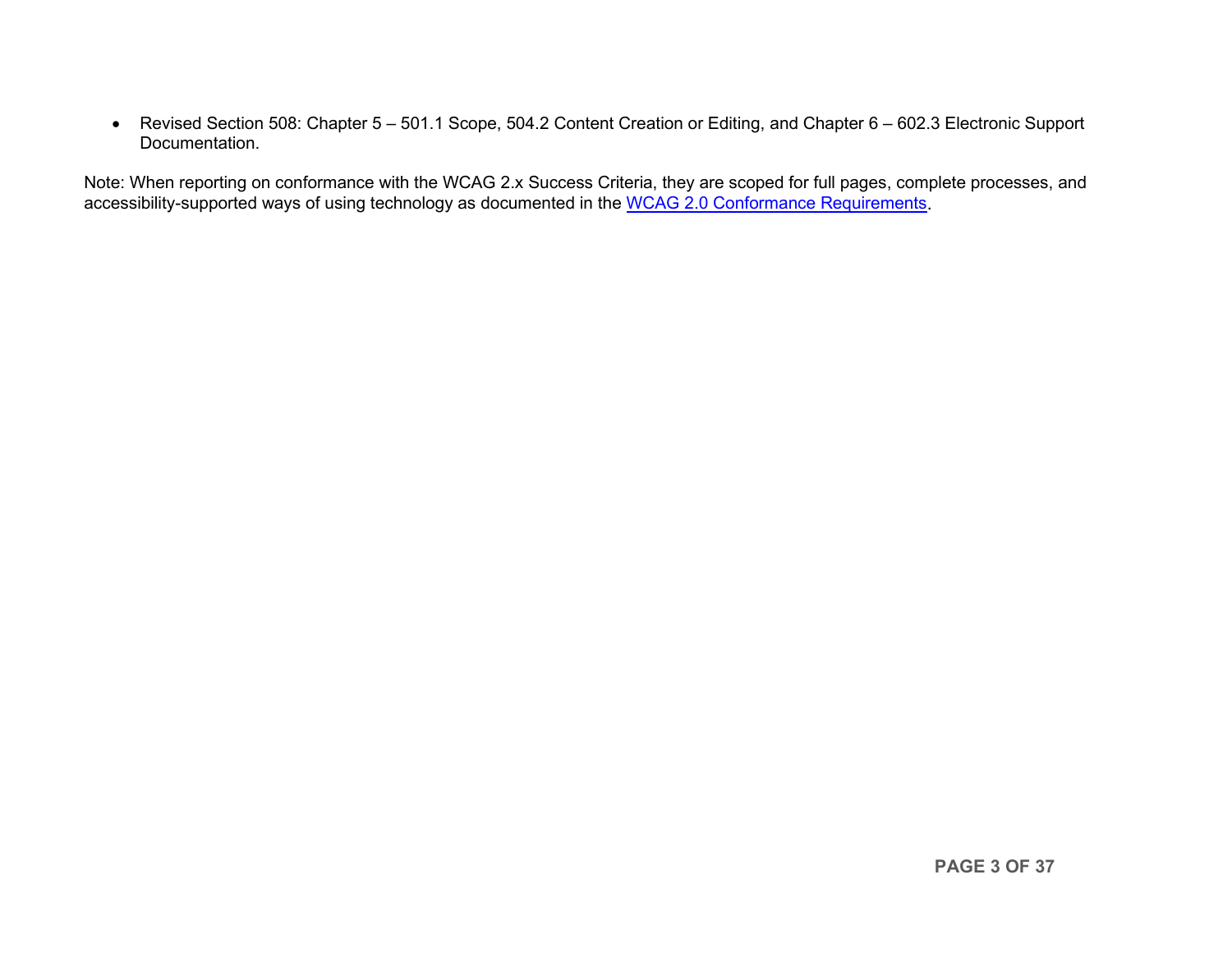• Revised Section 508: Chapter 5 – 501.1 Scope, 504.2 Content Creation or Editing, and Chapter 6 – 602.3 Electronic Support Documentation.

Note: When reporting on conformance with the WCAG 2.x Success Criteria, they are scoped for full pages, complete processes, and accessibility-supported ways of using technology as documented in the [WCAG 2.0 Conformance Requirements.](https://www.w3.org/TR/WCAG20/#conformance-reqs)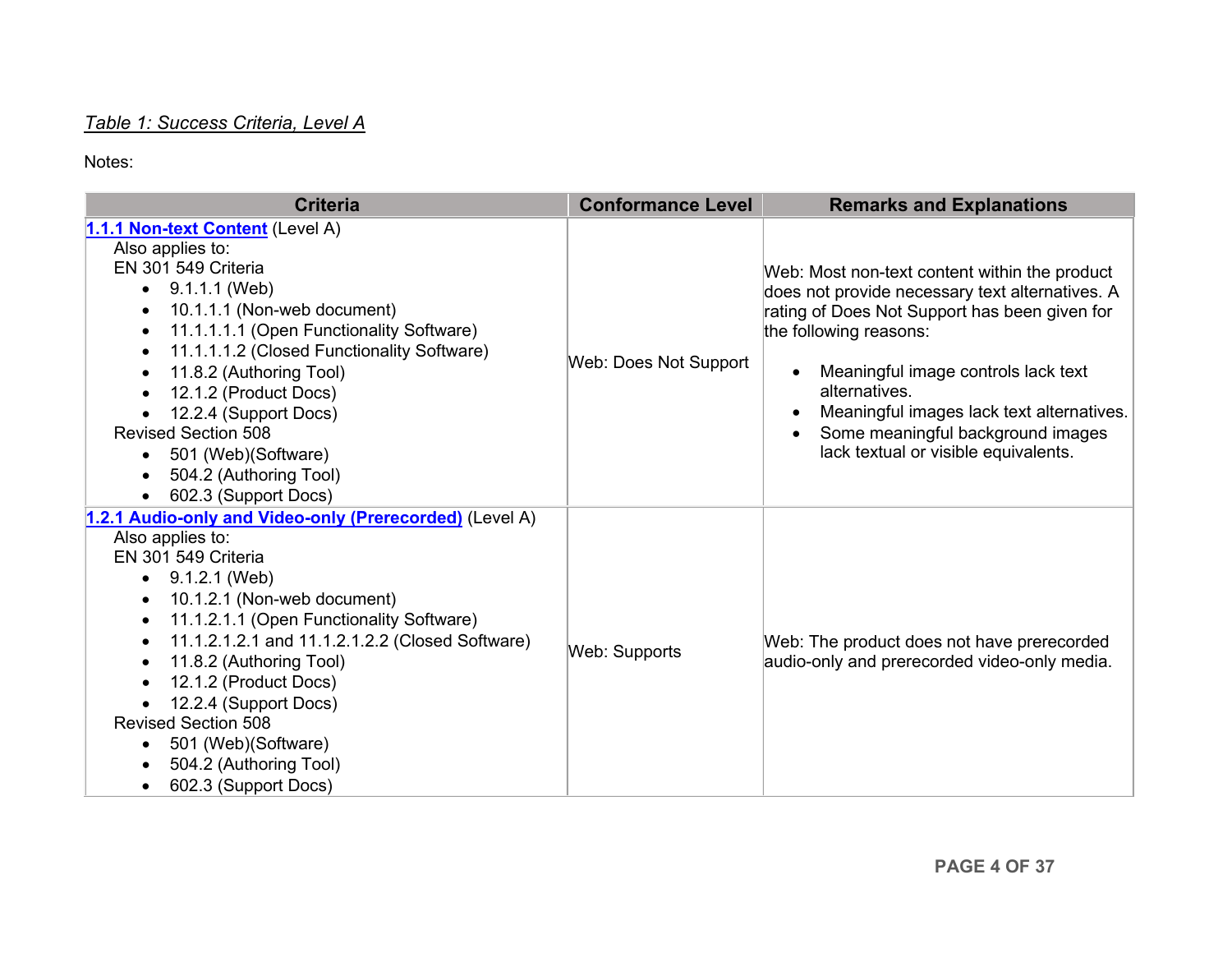## *Table 1: Success Criteria, Level A*

<span id="page-3-0"></span>

| <b>Criteria</b>                                                                                                                                                                                                                                                                                                                                                                                                                                                                                              | <b>Conformance Level</b> | <b>Remarks and Explanations</b>                                                                                                                                                                                                                                                                                                                               |
|--------------------------------------------------------------------------------------------------------------------------------------------------------------------------------------------------------------------------------------------------------------------------------------------------------------------------------------------------------------------------------------------------------------------------------------------------------------------------------------------------------------|--------------------------|---------------------------------------------------------------------------------------------------------------------------------------------------------------------------------------------------------------------------------------------------------------------------------------------------------------------------------------------------------------|
| 1.1.1 Non-text Content (Level A)<br>Also applies to:<br>EN 301 549 Criteria<br>9.1.1.1 (Web)<br>$\bullet$<br>10.1.1.1 (Non-web document)<br>$\bullet$<br>11.1.1.1.1 (Open Functionality Software)<br>$\bullet$<br>11.1.1.1.2 (Closed Functionality Software)<br>$\bullet$<br>11.8.2 (Authoring Tool)<br>٠<br>12.1.2 (Product Docs)<br>$\bullet$<br>12.2.4 (Support Docs)<br><b>Revised Section 508</b><br>501 (Web)(Software)<br>$\bullet$<br>504.2 (Authoring Tool)<br>$\bullet$<br>602.3 (Support Docs)    | Web: Does Not Support    | Web: Most non-text content within the product<br>does not provide necessary text alternatives. A<br>rating of Does Not Support has been given for<br>the following reasons:<br>Meaningful image controls lack text<br>alternatives.<br>Meaningful images lack text alternatives.<br>Some meaningful background images<br>lack textual or visible equivalents. |
| 1.2.1 Audio-only and Video-only (Prerecorded) (Level A)<br>Also applies to:<br>EN 301 549 Criteria<br>9.1.2.1 (Web)<br>10.1.2.1 (Non-web document)<br>٠<br>11.1.2.1.1 (Open Functionality Software)<br>$\bullet$<br>11.1.2.1.2.1 and 11.1.2.1.2.2 (Closed Software)<br>$\bullet$<br>11.8.2 (Authoring Tool)<br>$\bullet$<br>12.1.2 (Product Docs)<br>12.2.4 (Support Docs)<br><b>Revised Section 508</b><br>501 (Web) (Software)<br>$\bullet$<br>504.2 (Authoring Tool)<br>602.3 (Support Docs)<br>$\bullet$ | Web: Supports            | Web: The product does not have prerecorded<br>audio-only and prerecorded video-only media.                                                                                                                                                                                                                                                                    |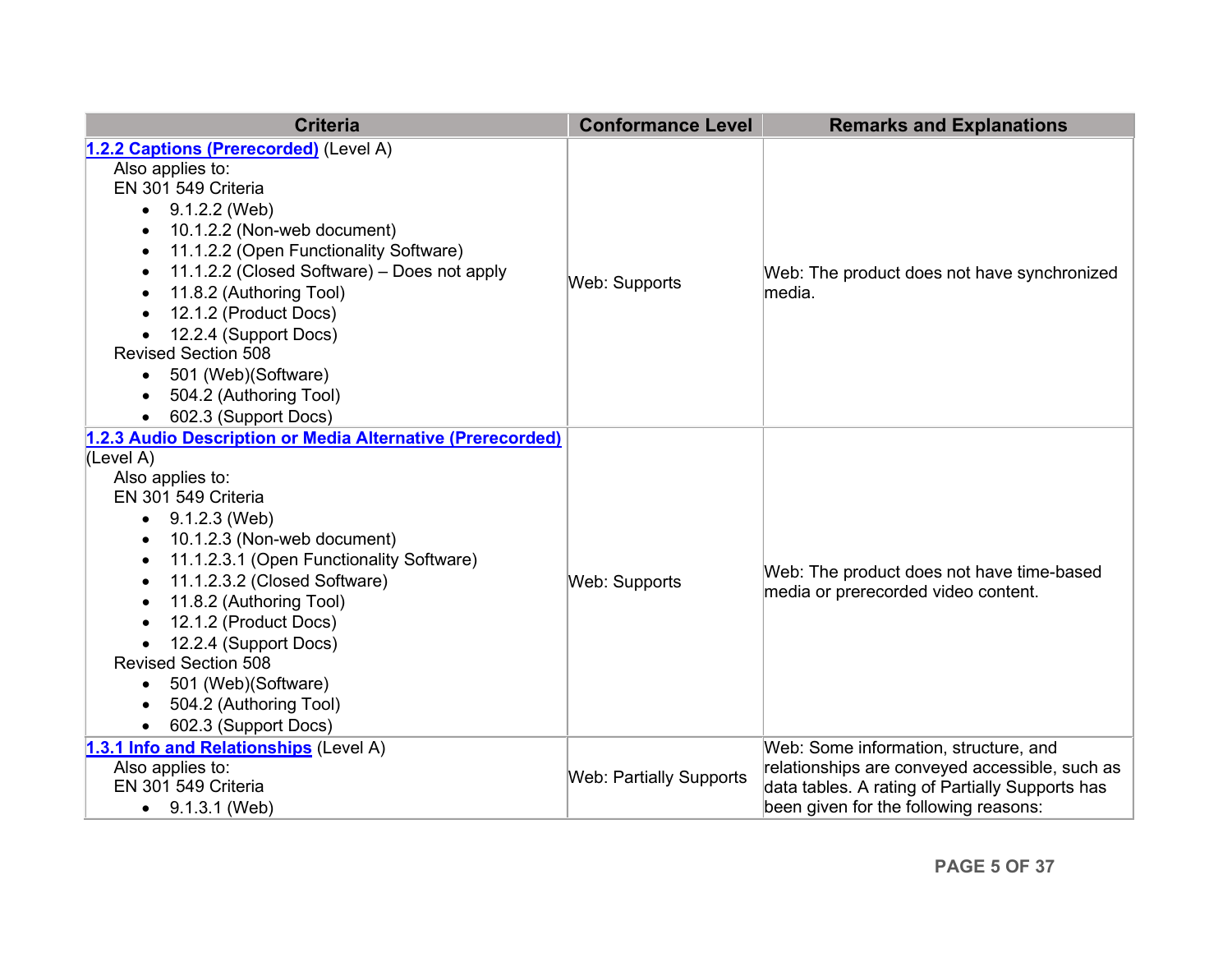<span id="page-4-0"></span>

| <b>Criteria</b>                                            | <b>Conformance Level</b>       | <b>Remarks and Explanations</b>                 |
|------------------------------------------------------------|--------------------------------|-------------------------------------------------|
| 1.2.2 Captions (Prerecorded) (Level A)                     |                                |                                                 |
| Also applies to:                                           |                                |                                                 |
| EN 301 549 Criteria                                        |                                |                                                 |
| 9.1.2.2 (Web)<br>$\bullet$                                 |                                |                                                 |
| 10.1.2.2 (Non-web document)<br>$\bullet$                   |                                |                                                 |
| 11.1.2.2 (Open Functionality Software)<br>$\bullet$        |                                |                                                 |
| 11.1.2.2 (Closed Software) - Does not apply<br>$\bullet$   |                                | Web: The product does not have synchronized     |
| 11.8.2 (Authoring Tool)<br>$\bullet$                       | Web: Supports                  | lmedia.                                         |
| 12.1.2 (Product Docs)                                      |                                |                                                 |
| 12.2.4 (Support Docs)<br>$\bullet$                         |                                |                                                 |
| <b>Revised Section 508</b>                                 |                                |                                                 |
| 501 (Web)(Software)<br>$\bullet$                           |                                |                                                 |
| 504.2 (Authoring Tool)<br>$\bullet$                        |                                |                                                 |
| 602.3 (Support Docs)<br>$\bullet$                          |                                |                                                 |
| 1.2.3 Audio Description or Media Alternative (Prerecorded) |                                |                                                 |
| (Level A)                                                  |                                |                                                 |
| Also applies to:                                           |                                |                                                 |
| EN 301 549 Criteria                                        |                                |                                                 |
| 9.1.2.3 (Web)                                              |                                |                                                 |
| 10.1.2.3 (Non-web document)<br>$\bullet$                   |                                |                                                 |
| 11.1.2.3.1 (Open Functionality Software)<br>$\bullet$      |                                | Web: The product does not have time-based       |
| 11.1.2.3.2 (Closed Software)<br>$\bullet$                  | Web: Supports                  | media or prerecorded video content.             |
| 11.8.2 (Authoring Tool)                                    |                                |                                                 |
| 12.1.2 (Product Docs)<br>$\bullet$                         |                                |                                                 |
| 12.2.4 (Support Docs)                                      |                                |                                                 |
| <b>Revised Section 508</b>                                 |                                |                                                 |
| 501 (Web)(Software)<br>$\bullet$                           |                                |                                                 |
| 504.2 (Authoring Tool)                                     |                                |                                                 |
| 602.3 (Support Docs)                                       |                                |                                                 |
| 1.3.1 Info and Relationships (Level A)                     |                                | Web: Some information, structure, and           |
| Also applies to:                                           | <b>Web: Partially Supports</b> | relationships are conveyed accessible, such as  |
| EN 301 549 Criteria                                        |                                | data tables. A rating of Partially Supports has |
| 9.1.3.1 (Web)<br>$\bullet$                                 |                                | been given for the following reasons:           |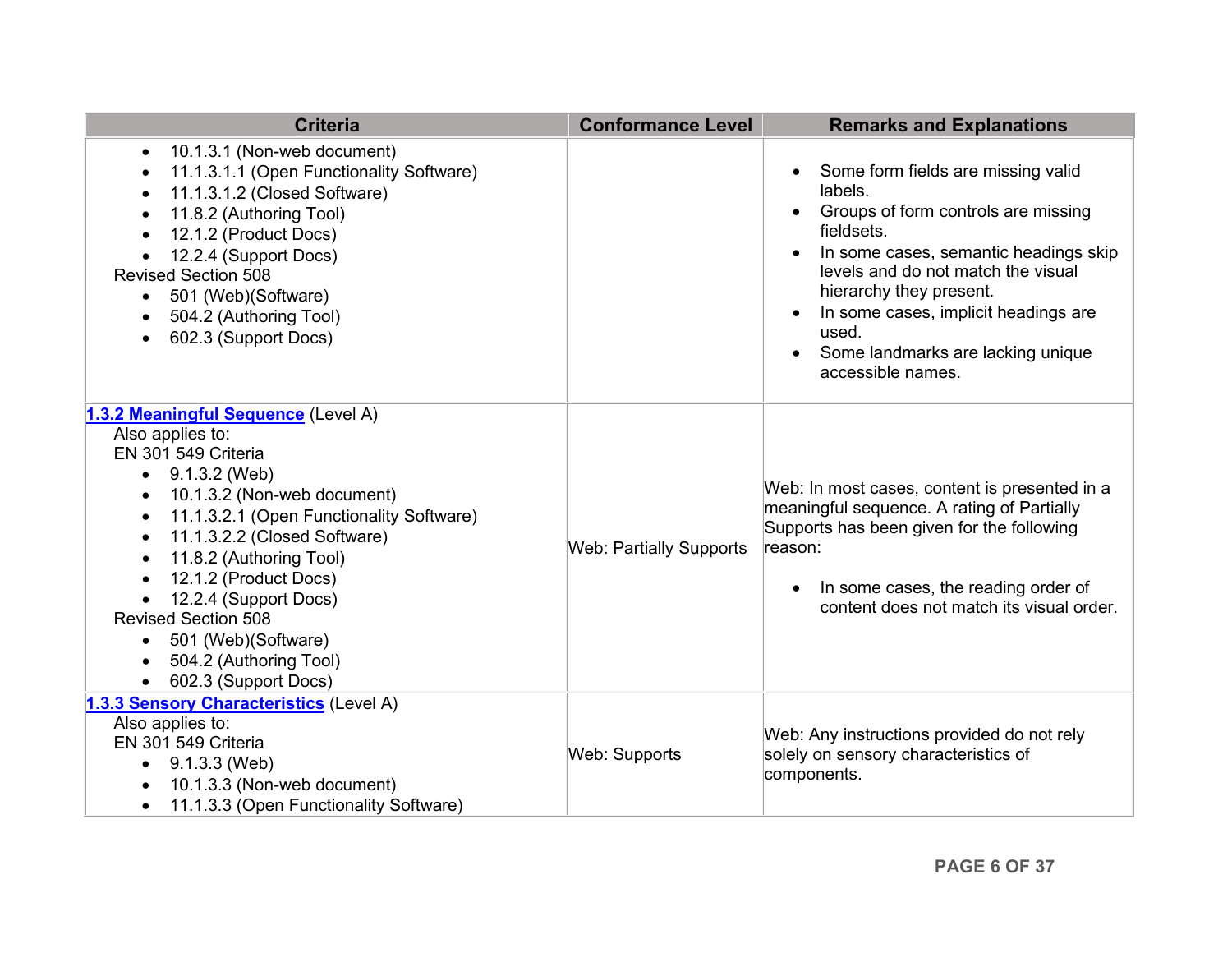<span id="page-5-0"></span>

| <b>Criteria</b>                                                                                                                                                                                                                                                                                                                                                                                                                                                                                     | <b>Conformance Level</b>       | <b>Remarks and Explanations</b>                                                                                                                                                                                                                                                                                                      |
|-----------------------------------------------------------------------------------------------------------------------------------------------------------------------------------------------------------------------------------------------------------------------------------------------------------------------------------------------------------------------------------------------------------------------------------------------------------------------------------------------------|--------------------------------|--------------------------------------------------------------------------------------------------------------------------------------------------------------------------------------------------------------------------------------------------------------------------------------------------------------------------------------|
| 10.1.3.1 (Non-web document)<br>$\bullet$<br>11.1.3.1.1 (Open Functionality Software)<br>$\bullet$<br>11.1.3.1.2 (Closed Software)<br>$\bullet$<br>11.8.2 (Authoring Tool)<br>$\bullet$<br>12.1.2 (Product Docs)<br>$\bullet$<br>12.2.4 (Support Docs)<br><b>Revised Section 508</b><br>501 (Web)(Software)<br>$\bullet$<br>504.2 (Authoring Tool)<br>602.3 (Support Docs)<br>$\bullet$                                                                                                              |                                | Some form fields are missing valid<br>labels.<br>Groups of form controls are missing<br>fieldsets.<br>In some cases, semantic headings skip<br>levels and do not match the visual<br>hierarchy they present.<br>In some cases, implicit headings are<br>$\bullet$<br>used.<br>Some landmarks are lacking unique<br>accessible names. |
| 1.3.2 Meaningful Sequence (Level A)<br>Also applies to:<br>EN 301 549 Criteria<br>$\bullet$ 9.1.3.2 (Web)<br>10.1.3.2 (Non-web document)<br>$\bullet$<br>11.1.3.2.1 (Open Functionality Software)<br>$\bullet$<br>11.1.3.2.2 (Closed Software)<br>$\bullet$<br>11.8.2 (Authoring Tool)<br>$\bullet$<br>12.1.2 (Product Docs)<br>$\bullet$<br>12.2.4 (Support Docs)<br><b>Revised Section 508</b><br>501 (Web)(Software)<br>$\bullet$<br>504.2 (Authoring Tool)<br>$\bullet$<br>602.3 (Support Docs) | <b>Web: Partially Supports</b> | Web: In most cases, content is presented in a<br>meaningful sequence. A rating of Partially<br>Supports has been given for the following<br>reason:<br>In some cases, the reading order of<br>content does not match its visual order.                                                                                               |
| 1.3.3 Sensory Characteristics (Level A)<br>Also applies to:<br>EN 301 549 Criteria<br>9.1.3.3 (Web)<br>$\bullet$<br>10.1.3.3 (Non-web document)<br>11.1.3.3 (Open Functionality Software)<br>$\bullet$                                                                                                                                                                                                                                                                                              | Web: Supports                  | Web: Any instructions provided do not rely<br>solely on sensory characteristics of<br>components.                                                                                                                                                                                                                                    |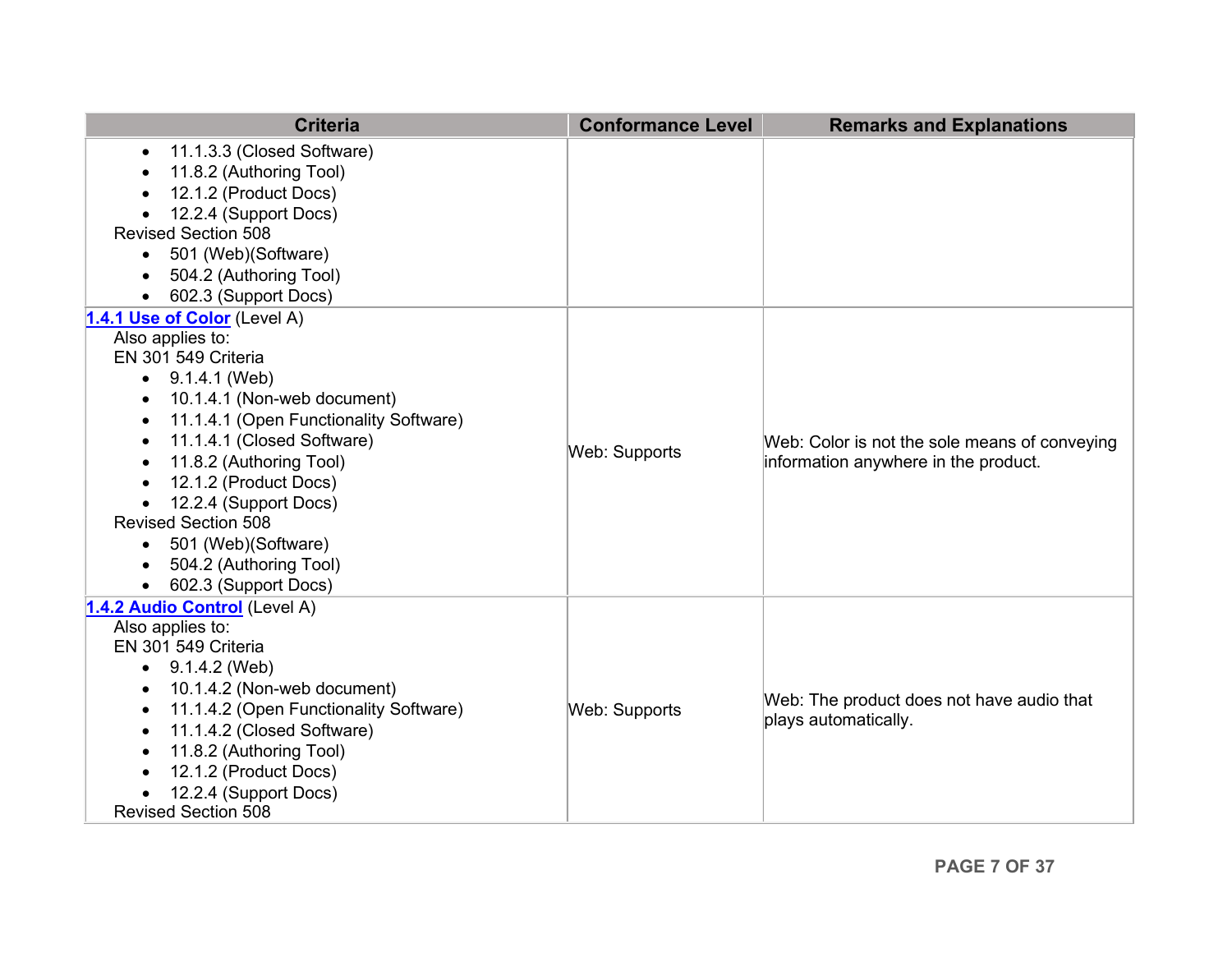| 11.1.3.3 (Closed Software)<br>$\bullet$                                                             |  |
|-----------------------------------------------------------------------------------------------------|--|
| 11.8.2 (Authoring Tool)                                                                             |  |
| 12.1.2 (Product Docs)                                                                               |  |
| 12.2.4 (Support Docs)                                                                               |  |
| <b>Revised Section 508</b>                                                                          |  |
| 501 (Web)(Software)<br>$\bullet$                                                                    |  |
| 504.2 (Authoring Tool)                                                                              |  |
| 602.3 (Support Docs)<br>$\bullet$                                                                   |  |
| 1.4.1 Use of Color (Level A)                                                                        |  |
| Also applies to:                                                                                    |  |
| EN 301 549 Criteria                                                                                 |  |
| 9.1.4.1 (Web)                                                                                       |  |
| 10.1.4.1 (Non-web document)<br>$\bullet$                                                            |  |
| 11.1.4.1 (Open Functionality Software)<br>$\bullet$                                                 |  |
| 11.1.4.1 (Closed Software)<br>Web: Color is not the sole means of conveying<br><b>Web: Supports</b> |  |
| 11.8.2 (Authoring Tool)<br>information anywhere in the product.                                     |  |
| 12.1.2 (Product Docs)<br>$\bullet$                                                                  |  |
| 12.2.4 (Support Docs)                                                                               |  |
| <b>Revised Section 508</b>                                                                          |  |
| 501 (Web)(Software)<br>$\bullet$                                                                    |  |
| 504.2 (Authoring Tool)                                                                              |  |
| 602.3 (Support Docs)                                                                                |  |
| 1.4.2 Audio Control (Level A)                                                                       |  |
| Also applies to:                                                                                    |  |
| EN 301 549 Criteria                                                                                 |  |
| 9.1.4.2 (Web)<br>$\bullet$                                                                          |  |
| 10.1.4.2 (Non-web document)<br>Web: The product does not have audio that                            |  |
| 11.1.4.2 (Open Functionality Software)<br><b>Web: Supports</b><br>plays automatically.              |  |
| 11.1.4.2 (Closed Software)<br>$\bullet$                                                             |  |
| 11.8.2 (Authoring Tool)<br>$\bullet$                                                                |  |
| 12.1.2 (Product Docs)                                                                               |  |
| 12.2.4 (Support Docs)<br><b>Revised Section 508</b>                                                 |  |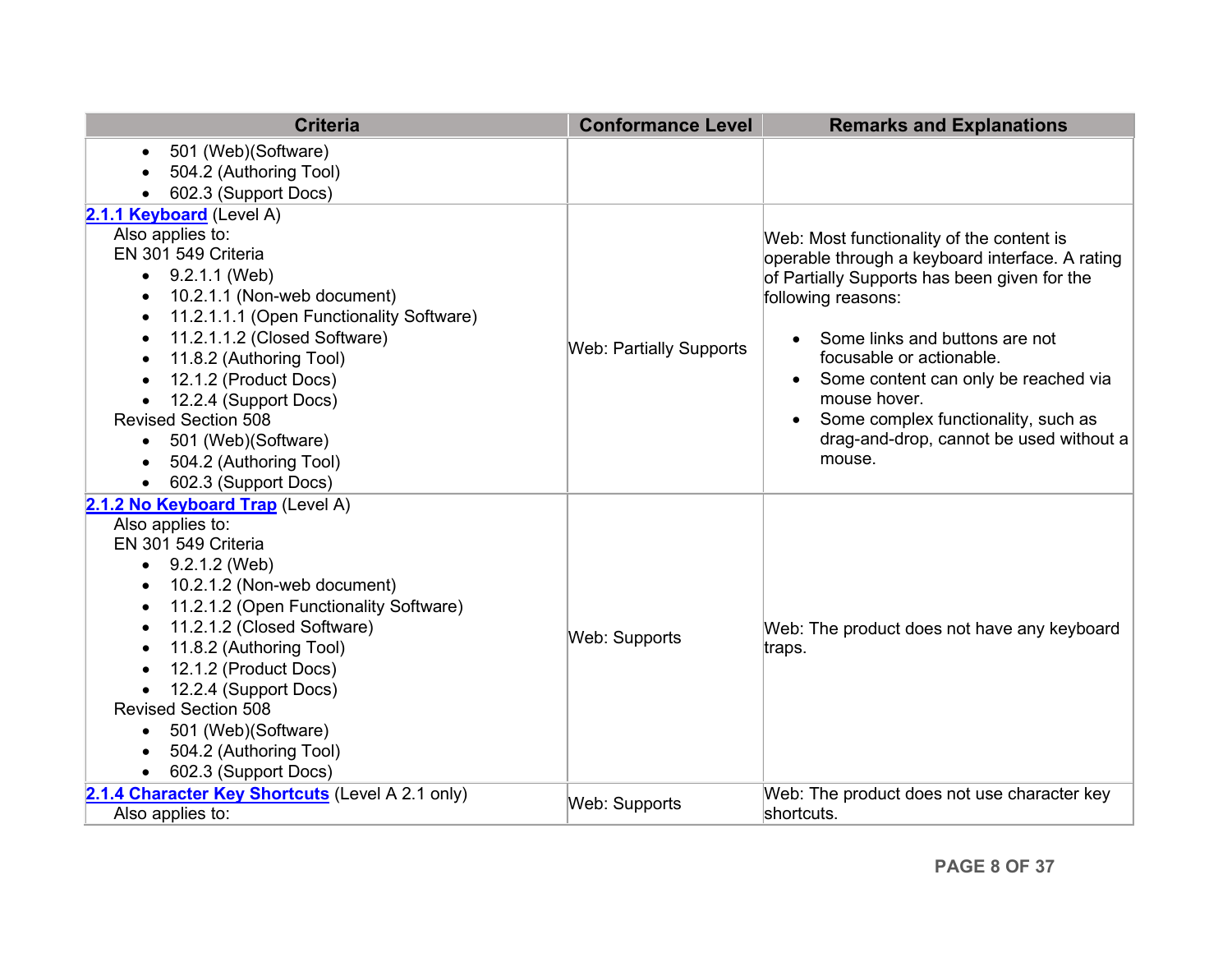<span id="page-7-0"></span>

| <b>Criteria</b>                                                                                                                                                                                                                                                                                                                                                                                                                                                                                                           | <b>Conformance Level</b>       | <b>Remarks and Explanations</b>                                                                                                                                                                                                                                                                                                                                                                   |
|---------------------------------------------------------------------------------------------------------------------------------------------------------------------------------------------------------------------------------------------------------------------------------------------------------------------------------------------------------------------------------------------------------------------------------------------------------------------------------------------------------------------------|--------------------------------|---------------------------------------------------------------------------------------------------------------------------------------------------------------------------------------------------------------------------------------------------------------------------------------------------------------------------------------------------------------------------------------------------|
| 501 (Web) (Software)<br>$\bullet$<br>504.2 (Authoring Tool)<br>602.3 (Support Docs)                                                                                                                                                                                                                                                                                                                                                                                                                                       |                                |                                                                                                                                                                                                                                                                                                                                                                                                   |
| 2.1.1 Keyboard (Level A)                                                                                                                                                                                                                                                                                                                                                                                                                                                                                                  |                                |                                                                                                                                                                                                                                                                                                                                                                                                   |
| Also applies to:<br>EN 301 549 Criteria<br>9.2.1.1 (Web)<br>$\bullet$<br>10.2.1.1 (Non-web document)<br>$\bullet$<br>11.2.1.1.1 (Open Functionality Software)<br>$\bullet$<br>11.2.1.1.2 (Closed Software)<br>$\bullet$<br>11.8.2 (Authoring Tool)<br>$\bullet$<br>12.1.2 (Product Docs)<br>$\bullet$<br>12.2.4 (Support Docs)<br><b>Revised Section 508</b><br>501 (Web)(Software)<br>$\bullet$<br>504.2 (Authoring Tool)<br>$\bullet$<br>602.3 (Support Docs)                                                           | <b>Web: Partially Supports</b> | Web: Most functionality of the content is<br>operable through a keyboard interface. A rating<br>of Partially Supports has been given for the<br>following reasons:<br>Some links and buttons are not<br>focusable or actionable.<br>Some content can only be reached via<br>mouse hover.<br>Some complex functionality, such as<br>$\bullet$<br>drag-and-drop, cannot be used without a<br>mouse. |
| 2.1.2 No Keyboard Trap (Level A)<br>Also applies to:<br>EN 301 549 Criteria<br>9.2.1.2 (Web)<br>$\bullet$<br>10.2.1.2 (Non-web document)<br>$\bullet$<br>11.2.1.2 (Open Functionality Software)<br>$\bullet$<br>11.2.1.2 (Closed Software)<br>$\bullet$<br>11.8.2 (Authoring Tool)<br>$\bullet$<br>12.1.2 (Product Docs)<br>$\bullet$<br>12.2.4 (Support Docs)<br>$\bullet$<br><b>Revised Section 508</b><br>501 (Web)(Software)<br>$\bullet$<br>504.2 (Authoring Tool)<br>$\bullet$<br>602.3 (Support Docs)<br>$\bullet$ | <b>Web: Supports</b>           | Web: The product does not have any keyboard<br>traps.                                                                                                                                                                                                                                                                                                                                             |
| 2.1.4 Character Key Shortcuts (Level A 2.1 only)<br>Also applies to:                                                                                                                                                                                                                                                                                                                                                                                                                                                      | Web: Supports                  | Web: The product does not use character key<br>shortcuts.                                                                                                                                                                                                                                                                                                                                         |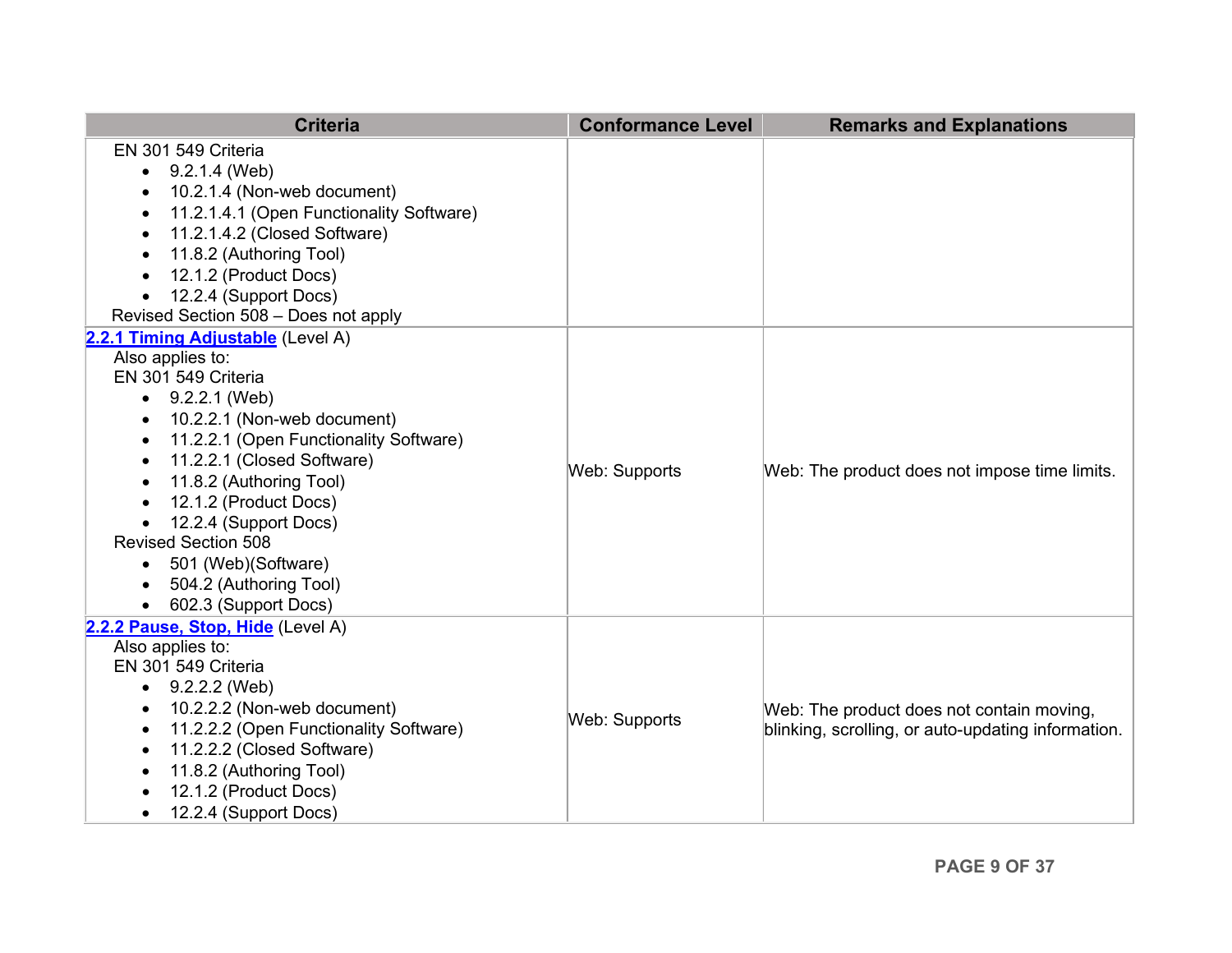| <b>Criteria</b>                                     | <b>Conformance Level</b> | <b>Remarks and Explanations</b>                    |
|-----------------------------------------------------|--------------------------|----------------------------------------------------|
| EN 301 549 Criteria                                 |                          |                                                    |
| 9.2.1.4 (Web)<br>$\bullet$                          |                          |                                                    |
| 10.2.1.4 (Non-web document)                         |                          |                                                    |
| 11.2.1.4.1 (Open Functionality Software)            |                          |                                                    |
| 11.2.1.4.2 (Closed Software)                        |                          |                                                    |
| 11.8.2 (Authoring Tool)<br>٠                        |                          |                                                    |
| 12.1.2 (Product Docs)<br>$\bullet$                  |                          |                                                    |
| 12.2.4 (Support Docs)<br>$\bullet$                  |                          |                                                    |
| Revised Section 508 - Does not apply                |                          |                                                    |
| 2.2.1 Timing Adjustable (Level A)                   |                          |                                                    |
| Also applies to:                                    |                          |                                                    |
| EN 301 549 Criteria                                 |                          |                                                    |
| 9.2.2.1 (Web)<br>$\bullet$                          |                          |                                                    |
| 10.2.2.1 (Non-web document)<br>$\bullet$            |                          |                                                    |
| 11.2.2.1 (Open Functionality Software)<br>$\bullet$ |                          |                                                    |
| 11.2.2.1 (Closed Software)                          | <b>Web: Supports</b>     | Web: The product does not impose time limits.      |
| 11.8.2 (Authoring Tool)                             |                          |                                                    |
| 12.1.2 (Product Docs)<br>$\bullet$                  |                          |                                                    |
| 12.2.4 (Support Docs)<br>$\bullet$                  |                          |                                                    |
| <b>Revised Section 508</b>                          |                          |                                                    |
| 501 (Web)(Software)<br>$\bullet$                    |                          |                                                    |
| 504.2 (Authoring Tool)                              |                          |                                                    |
| 602.3 (Support Docs)                                |                          |                                                    |
| 2.2.2 Pause, Stop, Hide (Level A)                   |                          |                                                    |
| Also applies to:                                    |                          |                                                    |
| EN 301 549 Criteria                                 |                          |                                                    |
| 9.2.2.2 (Web)<br>$\bullet$                          |                          |                                                    |
| 10.2.2.2 (Non-web document)<br>٠                    | Web: Supports            | Web: The product does not contain moving,          |
| 11.2.2.2 (Open Functionality Software)<br>٠         |                          | blinking, scrolling, or auto-updating information. |
| 11.2.2.2 (Closed Software)<br>$\bullet$             |                          |                                                    |
| 11.8.2 (Authoring Tool)<br>$\bullet$                |                          |                                                    |
| 12.1.2 (Product Docs)                               |                          |                                                    |
| 12.2.4 (Support Docs)<br>$\bullet$                  |                          |                                                    |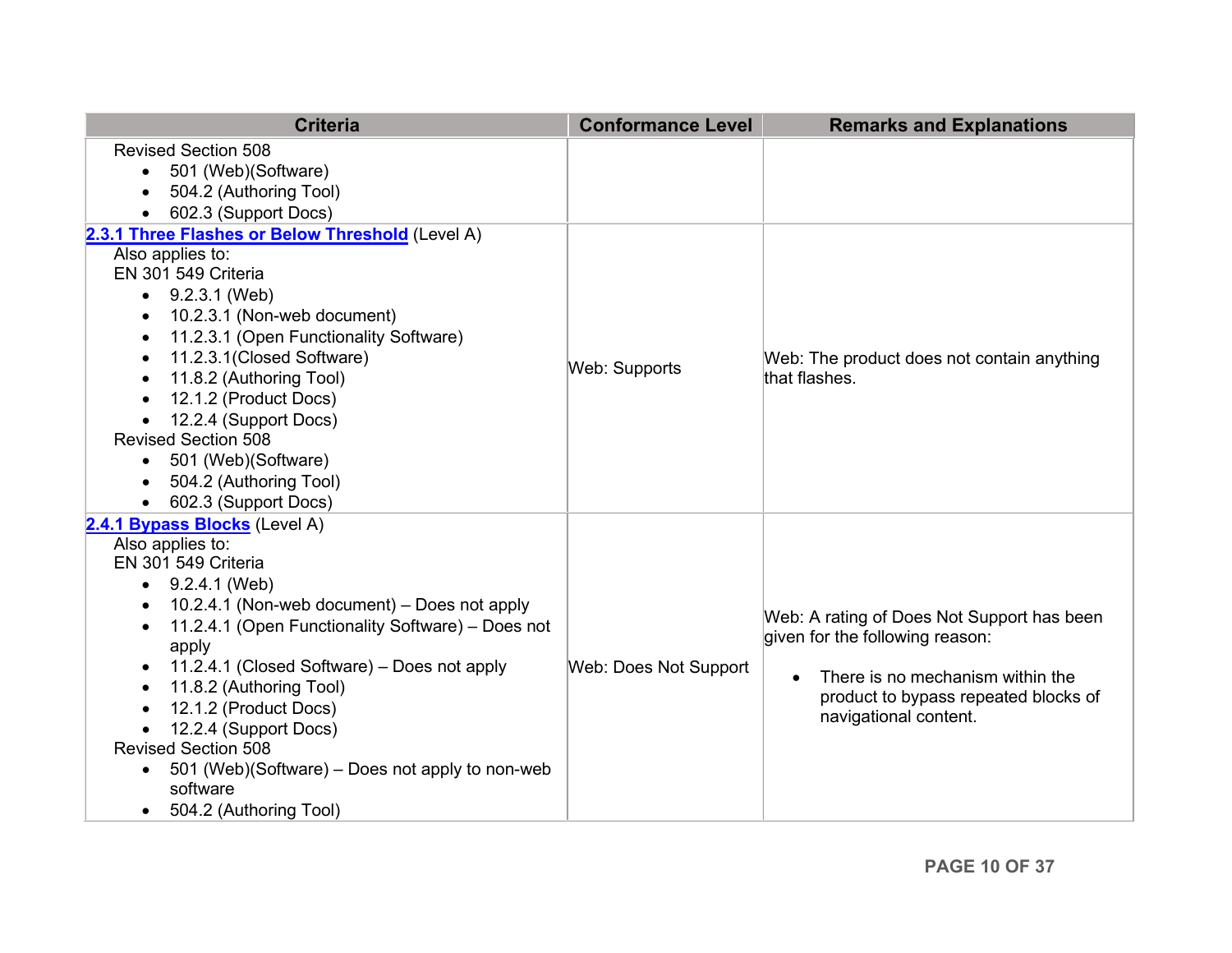<span id="page-9-0"></span>

| <b>Criteria</b>                                                                                                                                                                                                                                                                                                                                                                                                                                                                                                   | <b>Conformance Level</b> | <b>Remarks and Explanations</b>                                                                                                                                                    |
|-------------------------------------------------------------------------------------------------------------------------------------------------------------------------------------------------------------------------------------------------------------------------------------------------------------------------------------------------------------------------------------------------------------------------------------------------------------------------------------------------------------------|--------------------------|------------------------------------------------------------------------------------------------------------------------------------------------------------------------------------|
| <b>Revised Section 508</b><br>501 (Web)(Software)<br>$\bullet$<br>504.2 (Authoring Tool)<br>602.3 (Support Docs)                                                                                                                                                                                                                                                                                                                                                                                                  |                          |                                                                                                                                                                                    |
| 2.3.1 Three Flashes or Below Threshold (Level A)<br>Also applies to:<br>EN 301 549 Criteria<br>9.2.3.1 (Web)<br>$\bullet$<br>10.2.3.1 (Non-web document)<br>11.2.3.1 (Open Functionality Software)<br>$\bullet$<br>11.2.3.1(Closed Software)<br>$\bullet$<br>11.8.2 (Authoring Tool)<br>$\bullet$<br>12.1.2 (Product Docs)<br>$\bullet$<br>12.2.4 (Support Docs)<br><b>Revised Section 508</b><br>501 (Web)(Software)<br>504.2 (Authoring Tool)<br>602.3 (Support Docs)                                           | <b>Web: Supports</b>     | Web: The product does not contain anything<br>that flashes.                                                                                                                        |
| 2.4.1 Bypass Blocks (Level A)<br>Also applies to:<br>EN 301 549 Criteria<br>$-9.2.4.1$ (Web)<br>10.2.4.1 (Non-web document) - Does not apply<br>11.2.4.1 (Open Functionality Software) - Does not<br>$\bullet$<br>apply<br>11.2.4.1 (Closed Software) – Does not apply<br>11.8.2 (Authoring Tool)<br>$\bullet$<br>12.1.2 (Product Docs)<br>12.2.4 (Support Docs)<br><b>Revised Section 508</b><br>501 (Web)(Software) - Does not apply to non-web<br>$\bullet$<br>software<br>504.2 (Authoring Tool)<br>$\bullet$ | Web: Does Not Support    | Web: A rating of Does Not Support has been<br>given for the following reason:<br>There is no mechanism within the<br>product to bypass repeated blocks of<br>navigational content. |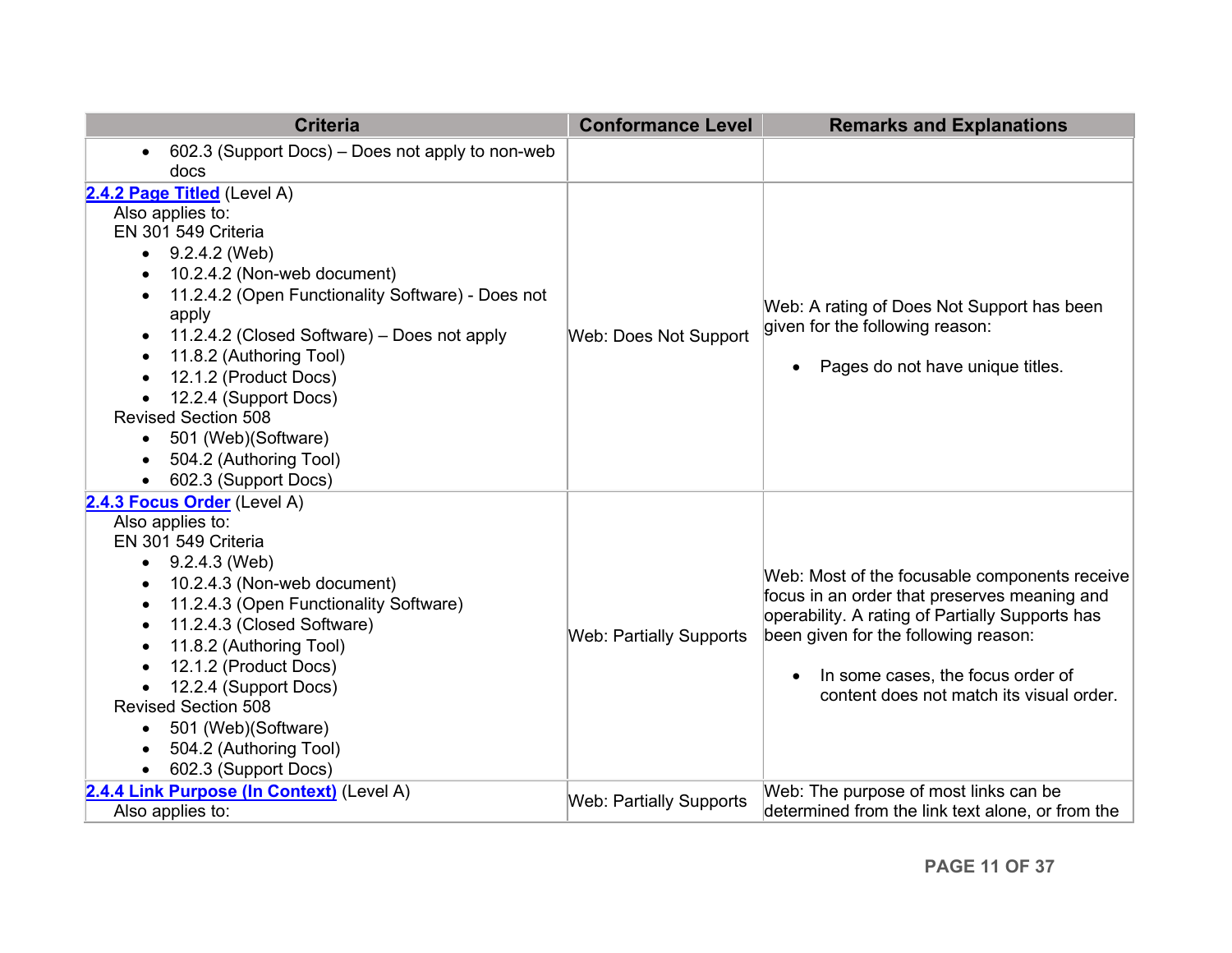<span id="page-10-2"></span><span id="page-10-1"></span><span id="page-10-0"></span>

| <b>Criteria</b>                                               | <b>Conformance Level</b>       | <b>Remarks and Explanations</b>                                                               |
|---------------------------------------------------------------|--------------------------------|-----------------------------------------------------------------------------------------------|
| 602.3 (Support Docs) - Does not apply to non-web<br>$\bullet$ |                                |                                                                                               |
| docs                                                          |                                |                                                                                               |
| 2.4.2 Page Titled (Level A)                                   |                                |                                                                                               |
| Also applies to:                                              |                                |                                                                                               |
| EN 301 549 Criteria                                           |                                |                                                                                               |
| 9.2.4.2 (Web)                                                 |                                |                                                                                               |
| 10.2.4.2 (Non-web document)                                   |                                |                                                                                               |
| 11.2.4.2 (Open Functionality Software) - Does not             |                                | Web: A rating of Does Not Support has been                                                    |
| apply                                                         |                                | given for the following reason:                                                               |
| 11.2.4.2 (Closed Software) – Does not apply<br>$\bullet$      | Web: Does Not Support          |                                                                                               |
| 11.8.2 (Authoring Tool)<br>$\bullet$                          |                                | Pages do not have unique titles.<br>$\bullet$                                                 |
| 12.1.2 (Product Docs)                                         |                                |                                                                                               |
| 12.2.4 (Support Docs)                                         |                                |                                                                                               |
| <b>Revised Section 508</b>                                    |                                |                                                                                               |
| 501 (Web)(Software)                                           |                                |                                                                                               |
| 504.2 (Authoring Tool)                                        |                                |                                                                                               |
| 602.3 (Support Docs)                                          |                                |                                                                                               |
| 2.4.3 Focus Order (Level A)                                   |                                |                                                                                               |
| Also applies to:                                              |                                |                                                                                               |
| EN 301 549 Criteria                                           |                                |                                                                                               |
| 9.2.4.3 (Web)<br>$\bullet$                                    |                                |                                                                                               |
| 10.2.4.3 (Non-web document)<br>٠                              |                                | Web: Most of the focusable components receive<br>focus in an order that preserves meaning and |
| 11.2.4.3 (Open Functionality Software)<br>٠                   |                                | operability. A rating of Partially Supports has                                               |
| 11.2.4.3 (Closed Software)<br>٠                               | <b>Web: Partially Supports</b> | been given for the following reason:                                                          |
| 11.8.2 (Authoring Tool)<br>$\bullet$                          |                                |                                                                                               |
| 12.1.2 (Product Docs)                                         |                                | In some cases, the focus order of<br>$\bullet$                                                |
| 12.2.4 (Support Docs)                                         |                                | content does not match its visual order.                                                      |
| <b>Revised Section 508</b>                                    |                                |                                                                                               |
| 501 (Web)(Software)<br>$\bullet$                              |                                |                                                                                               |
| 504.2 (Authoring Tool)                                        |                                |                                                                                               |
| 602.3 (Support Docs)                                          |                                |                                                                                               |
| 2.4.4 Link Purpose (In Context) (Level A)                     | <b>Web: Partially Supports</b> | Web: The purpose of most links can be                                                         |
| Also applies to:                                              |                                | determined from the link text alone, or from the                                              |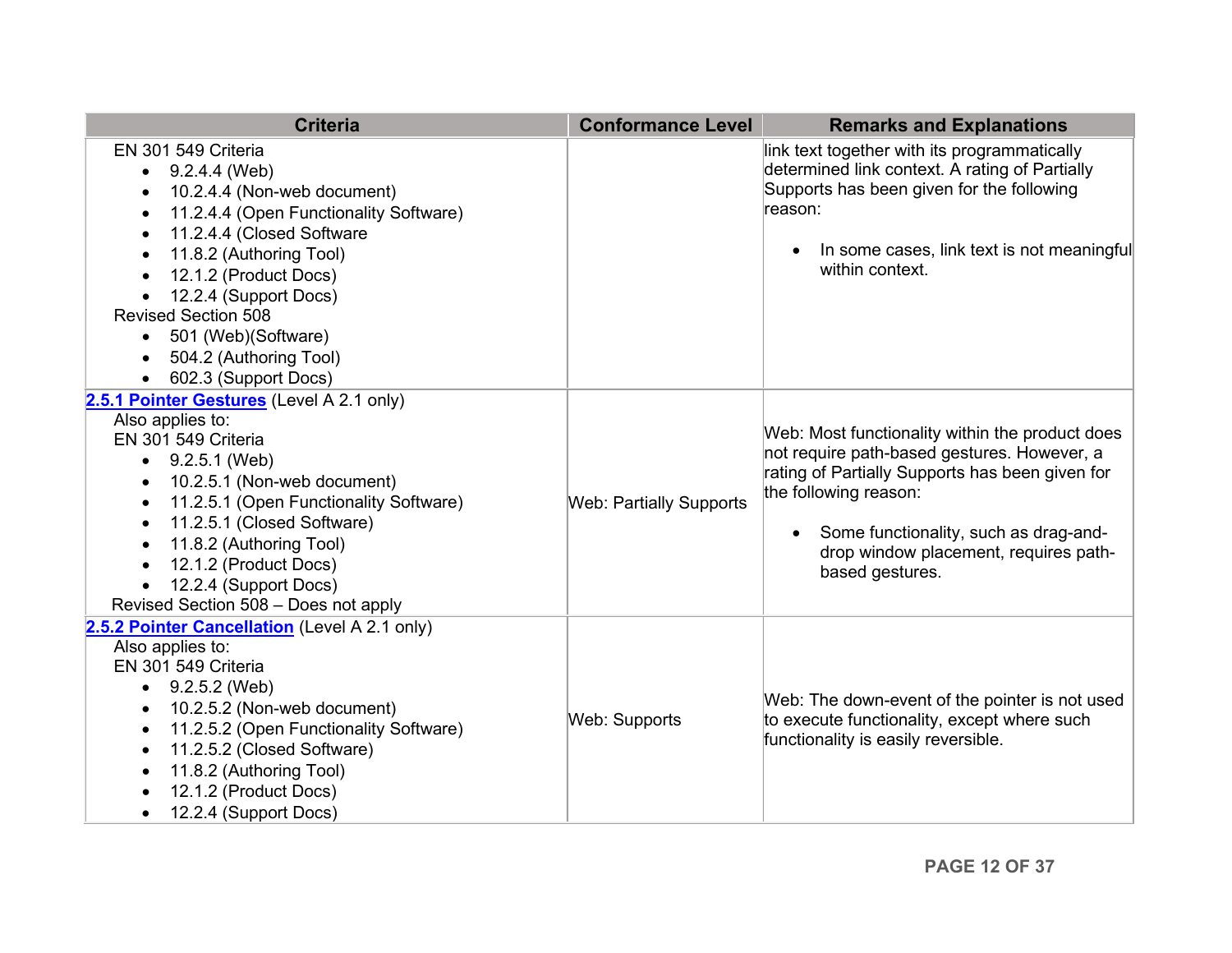<span id="page-11-0"></span>

| <b>Criteria</b>                                                                                                                                                                                                                                                                                                                                                                                                                                                                                                                                                                                                                                                                                                                                                                           | <b>Conformance Level</b>       | <b>Remarks and Explanations</b>                                                                                                                                                                                                                                                                                                                                                                                                                                                                                                      |
|-------------------------------------------------------------------------------------------------------------------------------------------------------------------------------------------------------------------------------------------------------------------------------------------------------------------------------------------------------------------------------------------------------------------------------------------------------------------------------------------------------------------------------------------------------------------------------------------------------------------------------------------------------------------------------------------------------------------------------------------------------------------------------------------|--------------------------------|--------------------------------------------------------------------------------------------------------------------------------------------------------------------------------------------------------------------------------------------------------------------------------------------------------------------------------------------------------------------------------------------------------------------------------------------------------------------------------------------------------------------------------------|
| EN 301 549 Criteria<br>9.2.4.4 (Web)<br>$\bullet$<br>10.2.4.4 (Non-web document)<br>$\bullet$<br>11.2.4.4 (Open Functionality Software)<br>$\bullet$<br>11.2.4.4 (Closed Software<br>$\bullet$<br>11.8.2 (Authoring Tool)<br>٠<br>12.1.2 (Product Docs)<br>$\bullet$<br>12.2.4 (Support Docs)<br><b>Revised Section 508</b><br>501 (Web)(Software)<br>$\bullet$<br>504.2 (Authoring Tool)<br>602.3 (Support Docs)<br>2.5.1 Pointer Gestures (Level A 2.1 only)<br>Also applies to:<br>EN 301 549 Criteria<br>$\bullet$ 9.2.5.1 (Web)<br>10.2.5.1 (Non-web document)<br>$\bullet$<br>11.2.5.1 (Open Functionality Software)<br>$\bullet$<br>11.2.5.1 (Closed Software)<br>$\bullet$<br>11.8.2 (Authoring Tool)<br>$\bullet$<br>12.1.2 (Product Docs)<br>$\bullet$<br>12.2.4 (Support Docs) | <b>Web: Partially Supports</b> | link text together with its programmatically<br>determined link context. A rating of Partially<br>Supports has been given for the following<br>reason:<br>In some cases, link text is not meaningful<br>$\bullet$<br>within context.<br>Web: Most functionality within the product does<br>not require path-based gestures. However, a<br>rating of Partially Supports has been given for<br>the following reason:<br>Some functionality, such as drag-and-<br>$\bullet$<br>drop window placement, requires path-<br>based gestures. |
| Revised Section 508 - Does not apply<br>2.5.2 Pointer Cancellation (Level A 2.1 only)                                                                                                                                                                                                                                                                                                                                                                                                                                                                                                                                                                                                                                                                                                     |                                |                                                                                                                                                                                                                                                                                                                                                                                                                                                                                                                                      |
| Also applies to:<br>EN 301 549 Criteria<br>9.2.5.2 (Web)<br>$\bullet$<br>10.2.5.2 (Non-web document)<br>$\bullet$<br>11.2.5.2 (Open Functionality Software)<br>$\bullet$<br>11.2.5.2 (Closed Software)<br>$\bullet$<br>11.8.2 (Authoring Tool)<br>$\bullet$<br>12.1.2 (Product Docs)<br>12.2.4 (Support Docs)                                                                                                                                                                                                                                                                                                                                                                                                                                                                             | Web: Supports                  | Web: The down-event of the pointer is not used<br>to execute functionality, except where such<br>functionality is easily reversible.                                                                                                                                                                                                                                                                                                                                                                                                 |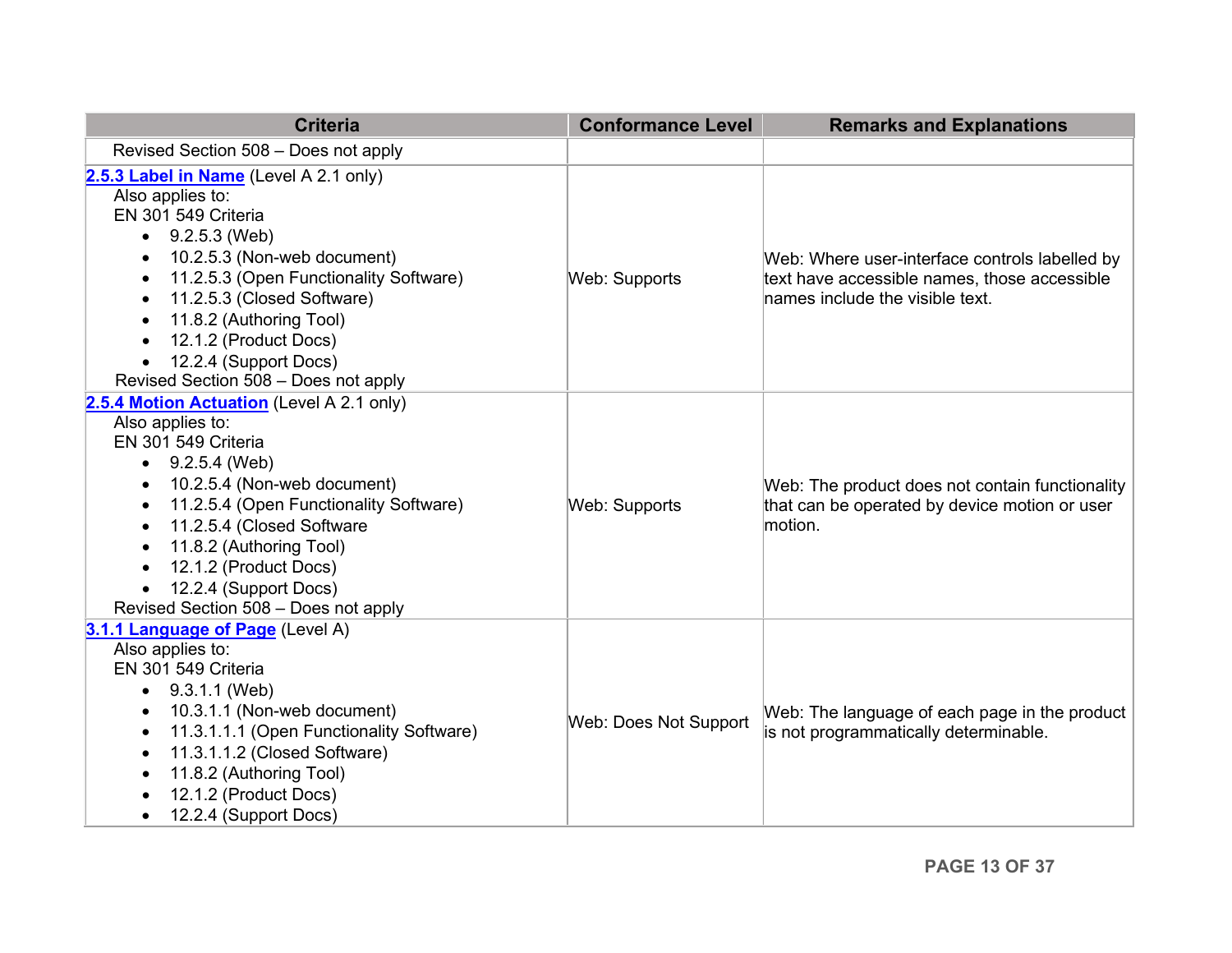<span id="page-12-0"></span>

| <b>Criteria</b>                                                                                                                                                                                                                                                                                                                                                                                                           | <b>Conformance Level</b> | <b>Remarks and Explanations</b>                                                                                                   |
|---------------------------------------------------------------------------------------------------------------------------------------------------------------------------------------------------------------------------------------------------------------------------------------------------------------------------------------------------------------------------------------------------------------------------|--------------------------|-----------------------------------------------------------------------------------------------------------------------------------|
| Revised Section 508 - Does not apply                                                                                                                                                                                                                                                                                                                                                                                      |                          |                                                                                                                                   |
| 2.5.3 Label in Name (Level A 2.1 only)<br>Also applies to:<br>EN 301 549 Criteria<br>9.2.5.3 (Web)<br>$\bullet$<br>10.2.5.3 (Non-web document)<br>$\bullet$<br>11.2.5.3 (Open Functionality Software)<br>$\bullet$<br>11.2.5.3 (Closed Software)<br>$\bullet$<br>11.8.2 (Authoring Tool)<br>$\bullet$<br>12.1.2 (Product Docs)<br>$\bullet$<br>12.2.4 (Support Docs)<br>$\bullet$<br>Revised Section 508 - Does not apply | Web: Supports            | Web: Where user-interface controls labelled by<br>text have accessible names, those accessible<br>names include the visible text. |
| 2.5.4 Motion Actuation (Level A 2.1 only)<br>Also applies to:<br>EN 301 549 Criteria<br>9.2.5.4 (Web)<br>$\bullet$<br>10.2.5.4 (Non-web document)<br>$\bullet$<br>11.2.5.4 (Open Functionality Software)<br>$\bullet$<br>11.2.5.4 (Closed Software<br>$\bullet$<br>11.8.2 (Authoring Tool)<br>$\bullet$<br>12.1.2 (Product Docs)<br>$\bullet$<br>12.2.4 (Support Docs)<br>Revised Section 508 - Does not apply            | <b>Web: Supports</b>     | Web: The product does not contain functionality<br>that can be operated by device motion or user<br>motion.                       |
| 3.1.1 Language of Page (Level A)<br>Also applies to:<br>EN 301 549 Criteria<br>9.3.1.1 (Web)<br>$\bullet$<br>10.3.1.1 (Non-web document)<br>$\bullet$<br>11.3.1.1.1 (Open Functionality Software)<br>$\bullet$<br>11.3.1.1.2 (Closed Software)<br>$\bullet$<br>11.8.2 (Authoring Tool)<br>$\bullet$<br>12.1.2 (Product Docs)<br>12.2.4 (Support Docs)<br>$\bullet$                                                        | Web: Does Not Support    | Web: The language of each page in the product<br>is not programmatically determinable.                                            |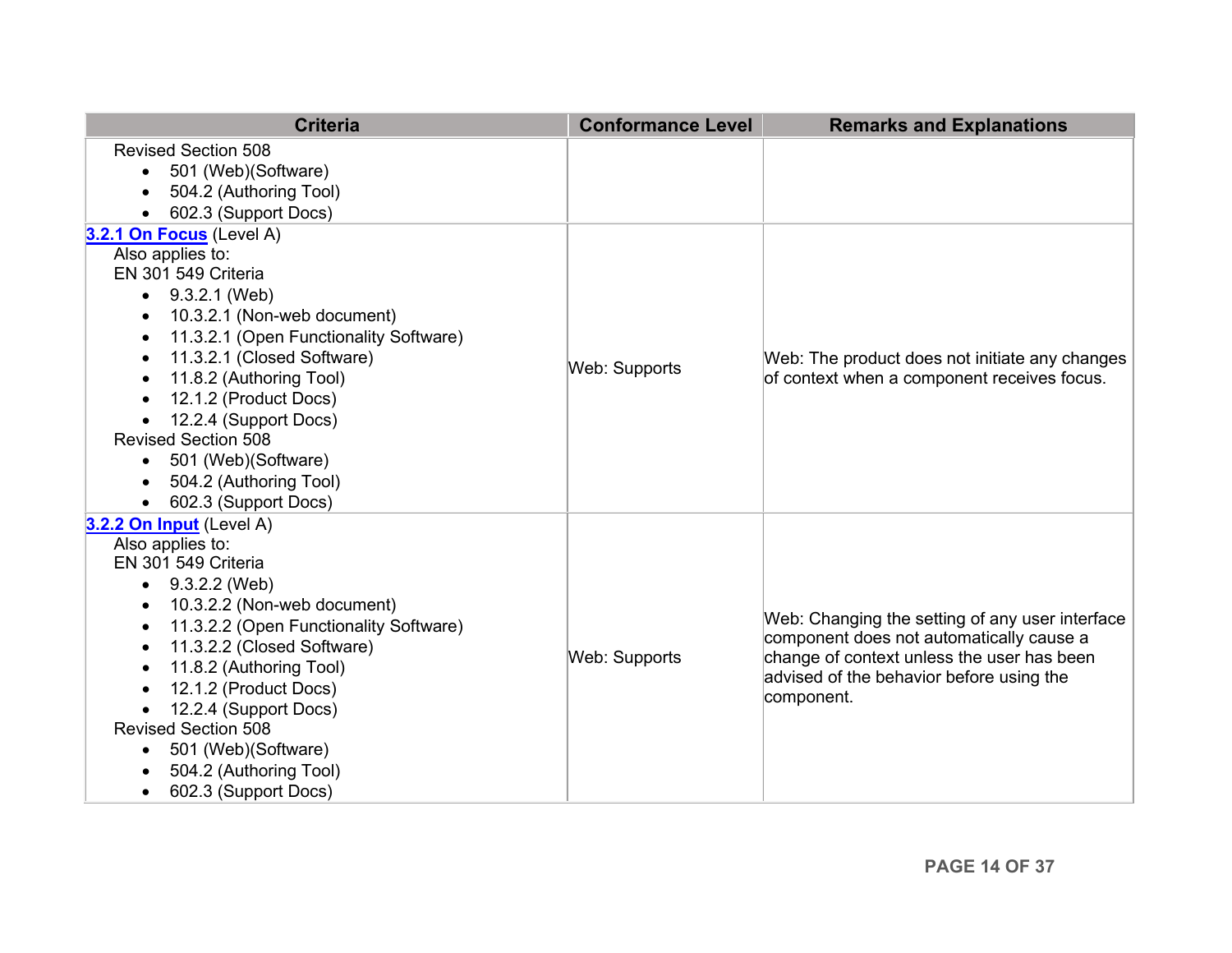| <b>Criteria</b>                                                | <b>Conformance Level</b> | <b>Remarks and Explanations</b>                 |
|----------------------------------------------------------------|--------------------------|-------------------------------------------------|
| <b>Revised Section 508</b><br>501 (Web)(Software)<br>$\bullet$ |                          |                                                 |
| 504.2 (Authoring Tool)<br>$\bullet$                            |                          |                                                 |
| 602.3 (Support Docs)                                           |                          |                                                 |
| 3.2.1 On Focus (Level A)                                       |                          |                                                 |
| Also applies to:                                               |                          |                                                 |
| EN 301 549 Criteria                                            |                          |                                                 |
| 9.3.2.1 (Web)<br>$\bullet$                                     |                          |                                                 |
| 10.3.2.1 (Non-web document)<br>$\bullet$                       |                          |                                                 |
| 11.3.2.1 (Open Functionality Software)<br>$\bullet$            |                          |                                                 |
| 11.3.2.1 (Closed Software)<br>$\bullet$                        | <b>Web: Supports</b>     | Web: The product does not initiate any changes  |
| 11.8.2 (Authoring Tool)                                        |                          | of context when a component receives focus.     |
| 12.1.2 (Product Docs)<br>$\bullet$                             |                          |                                                 |
| 12.2.4 (Support Docs)<br><b>Revised Section 508</b>            |                          |                                                 |
|                                                                |                          |                                                 |
| 501 (Web)(Software)<br>$\bullet$<br>504.2 (Authoring Tool)     |                          |                                                 |
| $\bullet$<br>602.3 (Support Docs)                              |                          |                                                 |
| 3.2.2 On Input (Level A)                                       |                          |                                                 |
| Also applies to:                                               |                          |                                                 |
| EN 301 549 Criteria                                            |                          |                                                 |
| 9.3.2.2 (Web)<br>$\bullet$                                     |                          |                                                 |
| 10.3.2.2 (Non-web document)<br>$\bullet$                       |                          |                                                 |
| 11.3.2.2 (Open Functionality Software)<br>٠                    |                          | Web: Changing the setting of any user interface |
| 11.3.2.2 (Closed Software)<br>$\bullet$                        |                          | component does not automatically cause a        |
| 11.8.2 (Authoring Tool)<br>$\bullet$                           | <b>Web: Supports</b>     | change of context unless the user has been      |
| 12.1.2 (Product Docs)                                          |                          | advised of the behavior before using the        |
| 12.2.4 (Support Docs)                                          |                          | component.                                      |
| <b>Revised Section 508</b>                                     |                          |                                                 |
| 501 (Web)(Software)<br>$\bullet$                               |                          |                                                 |
| 504.2 (Authoring Tool)                                         |                          |                                                 |
| 602.3 (Support Docs)<br>$\bullet$                              |                          |                                                 |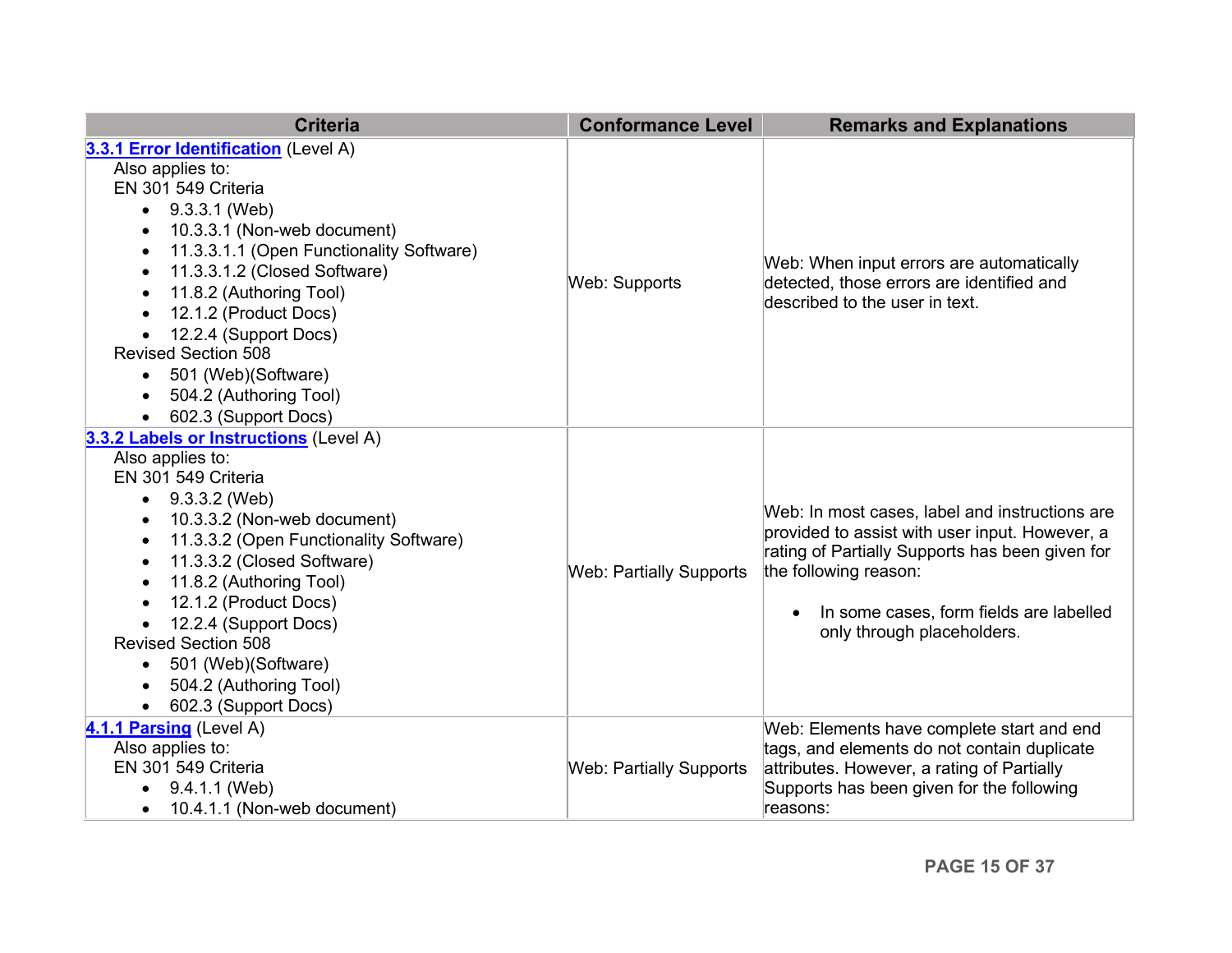<span id="page-14-1"></span><span id="page-14-0"></span>

| <b>Criteria</b>                                                                                                                                                                                                                                                                                                                                                                                                                                                                                                  | <b>Conformance Level</b>       | <b>Remarks and Explanations</b>                                                                                                                                                                                                                       |
|------------------------------------------------------------------------------------------------------------------------------------------------------------------------------------------------------------------------------------------------------------------------------------------------------------------------------------------------------------------------------------------------------------------------------------------------------------------------------------------------------------------|--------------------------------|-------------------------------------------------------------------------------------------------------------------------------------------------------------------------------------------------------------------------------------------------------|
| 3.3.1 Error Identification (Level A)<br>Also applies to:<br>EN 301 549 Criteria<br>9.3.3.1 (Web)<br>$\bullet$<br>10.3.3.1 (Non-web document)<br>$\bullet$<br>11.3.3.1.1 (Open Functionality Software)<br>$\bullet$<br>11.3.3.1.2 (Closed Software)<br>$\bullet$<br>11.8.2 (Authoring Tool)<br>$\bullet$<br>12.1.2 (Product Docs)<br>$\bullet$<br>12.2.4 (Support Docs)<br>$\bullet$<br><b>Revised Section 508</b><br>501 (Web)(Software)<br>$\bullet$<br>504.2 (Authoring Tool)<br>$\bullet$                     | Web: Supports                  | Web: When input errors are automatically<br>detected, those errors are identified and<br>described to the user in text.                                                                                                                               |
| 602.3 (Support Docs)<br>$\bullet$<br>3.3.2 Labels or Instructions (Level A)<br>Also applies to:<br>EN 301 549 Criteria<br>9.3.3.2 (Web)<br>10.3.3.2 (Non-web document)<br>$\bullet$<br>11.3.3.2 (Open Functionality Software)<br>$\bullet$<br>11.3.3.2 (Closed Software)<br>$\bullet$<br>11.8.2 (Authoring Tool)<br>$\bullet$<br>12.1.2 (Product Docs)<br>$\bullet$<br>12.2.4 (Support Docs)<br><b>Revised Section 508</b><br>501 (Web)(Software)<br>$\bullet$<br>504.2 (Authoring Tool)<br>602.3 (Support Docs) | <b>Web: Partially Supports</b> | Web: In most cases, label and instructions are<br>provided to assist with user input. However, a<br>rating of Partially Supports has been given for<br>the following reason:<br>In some cases, form fields are labelled<br>only through placeholders. |
| 4.1.1 Parsing (Level A)<br>Also applies to:<br>EN 301 549 Criteria<br>9.4.1.1 (Web)<br>$\bullet$<br>10.4.1.1 (Non-web document)                                                                                                                                                                                                                                                                                                                                                                                  | <b>Web: Partially Supports</b> | Web: Elements have complete start and end<br>tags, and elements do not contain duplicate<br>attributes. However, a rating of Partially<br>Supports has been given for the following<br>reasons:                                                       |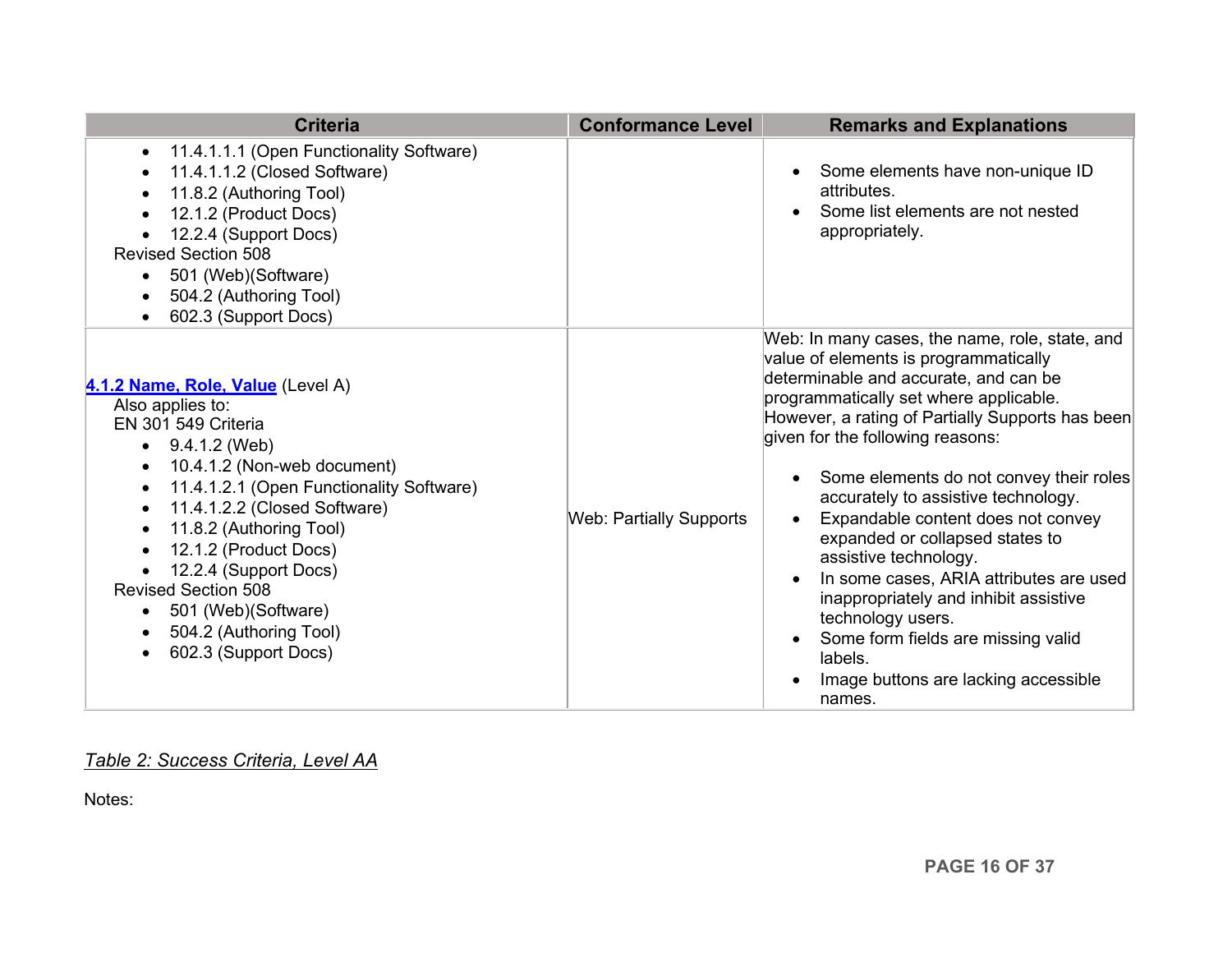<span id="page-15-0"></span>

| <b>Criteria</b>                                                                                                                                                                                                                                                                                                                                                                                                                                                                                      | <b>Conformance Level</b>       | <b>Remarks and Explanations</b>                                                                                                                                                                                                                                                                                                                                                                                                                                                                                                                                                                                                                                                 |
|------------------------------------------------------------------------------------------------------------------------------------------------------------------------------------------------------------------------------------------------------------------------------------------------------------------------------------------------------------------------------------------------------------------------------------------------------------------------------------------------------|--------------------------------|---------------------------------------------------------------------------------------------------------------------------------------------------------------------------------------------------------------------------------------------------------------------------------------------------------------------------------------------------------------------------------------------------------------------------------------------------------------------------------------------------------------------------------------------------------------------------------------------------------------------------------------------------------------------------------|
| 11.4.1.1.1 (Open Functionality Software)<br>$\bullet$<br>11.4.1.1.2 (Closed Software)<br>$\bullet$<br>11.8.2 (Authoring Tool)<br>$\bullet$<br>12.1.2 (Product Docs)<br>$\bullet$<br>12.2.4 (Support Docs)<br><b>Revised Section 508</b><br>501 (Web)(Software)<br>$\bullet$<br>504.2 (Authoring Tool)<br>$\bullet$<br>602.3 (Support Docs)                                                                                                                                                           |                                | Some elements have non-unique ID<br>attributes.<br>Some list elements are not nested<br>$\bullet$<br>appropriately.                                                                                                                                                                                                                                                                                                                                                                                                                                                                                                                                                             |
| 4.1.2 Name, Role, Value (Level A)<br>Also applies to:<br>EN 301 549 Criteria<br>9.4.1.2 (Web)<br>$\bullet$<br>10.4.1.2 (Non-web document)<br>$\bullet$<br>11.4.1.2.1 (Open Functionality Software)<br>$\bullet$<br>11.4.1.2.2 (Closed Software)<br>$\bullet$<br>11.8.2 (Authoring Tool)<br>$\bullet$<br>12.1.2 (Product Docs)<br>$\bullet$<br>12.2.4 (Support Docs)<br><b>Revised Section 508</b><br>501 (Web)(Software)<br>$\bullet$<br>504.2 (Authoring Tool)<br>$\bullet$<br>602.3 (Support Docs) | <b>Web: Partially Supports</b> | Web: In many cases, the name, role, state, and<br>value of elements is programmatically<br>determinable and accurate, and can be<br>programmatically set where applicable.<br>However, a rating of Partially Supports has been<br>given for the following reasons:<br>Some elements do not convey their roles<br>accurately to assistive technology.<br>Expandable content does not convey<br>expanded or collapsed states to<br>assistive technology.<br>In some cases, ARIA attributes are used<br>$\bullet$<br>inappropriately and inhibit assistive<br>technology users.<br>Some form fields are missing valid<br>labels.<br>Image buttons are lacking accessible<br>names. |

#### *Table 2: Success Criteria, Level AA*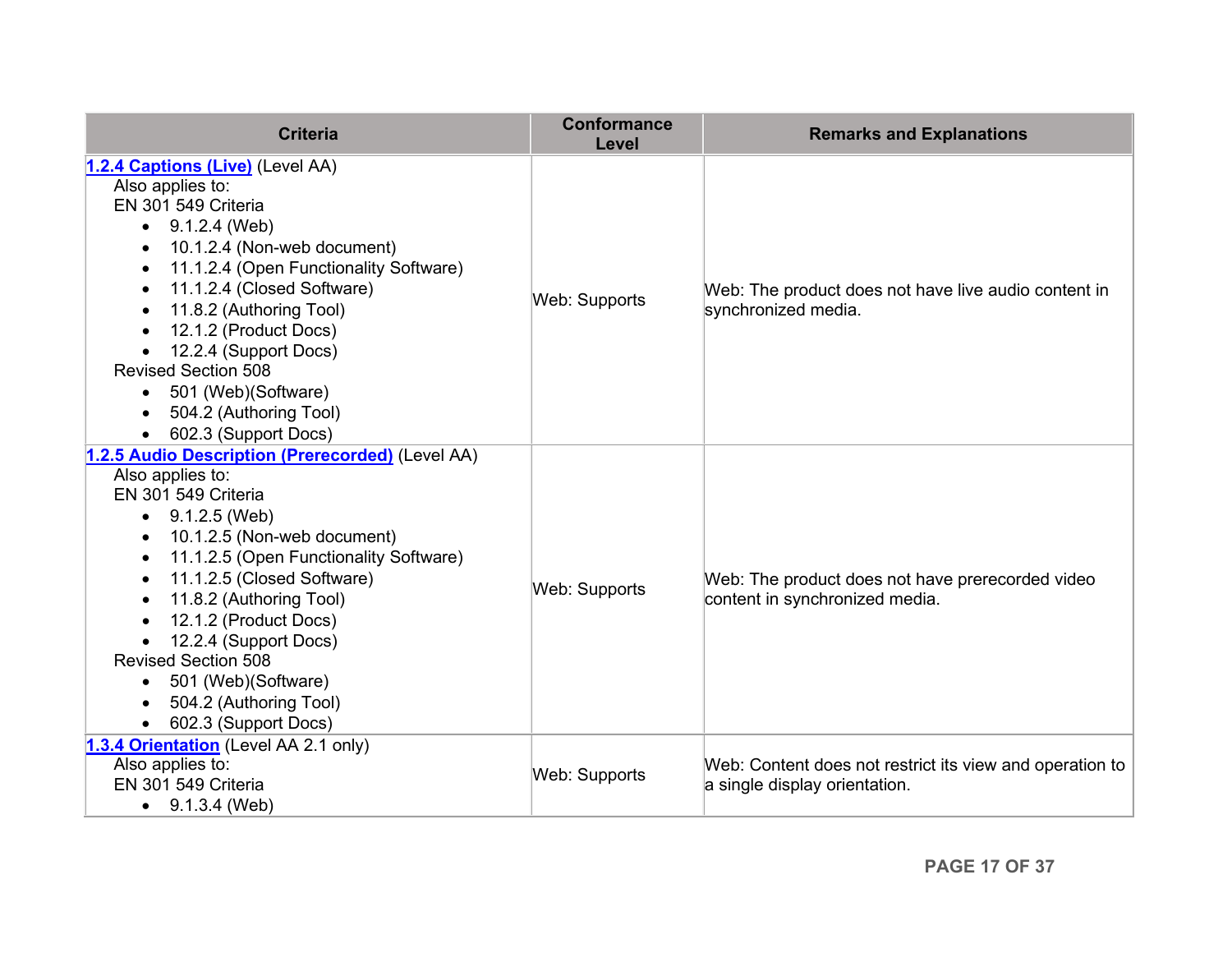| <b>Criteria</b>                                                                                                                                                                                                                                                                                                                                                                                                                                                                       | <b>Conformance</b><br>Level | <b>Remarks and Explanations</b>                                                           |
|---------------------------------------------------------------------------------------------------------------------------------------------------------------------------------------------------------------------------------------------------------------------------------------------------------------------------------------------------------------------------------------------------------------------------------------------------------------------------------------|-----------------------------|-------------------------------------------------------------------------------------------|
| 1.2.4 Captions (Live) (Level AA)<br>Also applies to:<br>EN 301 549 Criteria<br>9.1.2.4 (Web)<br>$\bullet$<br>10.1.2.4 (Non-web document)<br>11.1.2.4 (Open Functionality Software)<br>$\bullet$<br>11.1.2.4 (Closed Software)<br>$\bullet$<br>11.8.2 (Authoring Tool)<br>$\bullet$<br>12.1.2 (Product Docs)<br>$\bullet$<br>12.2.4 (Support Docs)<br><b>Revised Section 508</b><br>501 (Web)(Software)<br>$\bullet$<br>504.2 (Authoring Tool)<br>$\bullet$<br>602.3 (Support Docs)    | Web: Supports               | Web: The product does not have live audio content in<br>synchronized media.               |
| 1.2.5 Audio Description (Prerecorded) (Level AA)<br>Also applies to:<br>EN 301 549 Criteria<br>9.1.2.5 (Web)<br>10.1.2.5 (Non-web document)<br>$\bullet$<br>11.1.2.5 (Open Functionality Software)<br>$\bullet$<br>11.1.2.5 (Closed Software)<br>$\bullet$<br>11.8.2 (Authoring Tool)<br>$\bullet$<br>12.1.2 (Product Docs)<br>$\bullet$<br>12.2.4 (Support Docs)<br><b>Revised Section 508</b><br>501 (Web)(Software)<br>$\bullet$<br>504.2 (Authoring Tool)<br>602.3 (Support Docs) | Web: Supports               | Web: The product does not have prerecorded video<br>content in synchronized media.        |
| 1.3.4 Orientation (Level AA 2.1 only)<br>Also applies to:<br>EN 301 549 Criteria<br>9.1.3.4 (Web)<br>$\bullet$                                                                                                                                                                                                                                                                                                                                                                        | <b>Web: Supports</b>        | Web: Content does not restrict its view and operation to<br>a single display orientation. |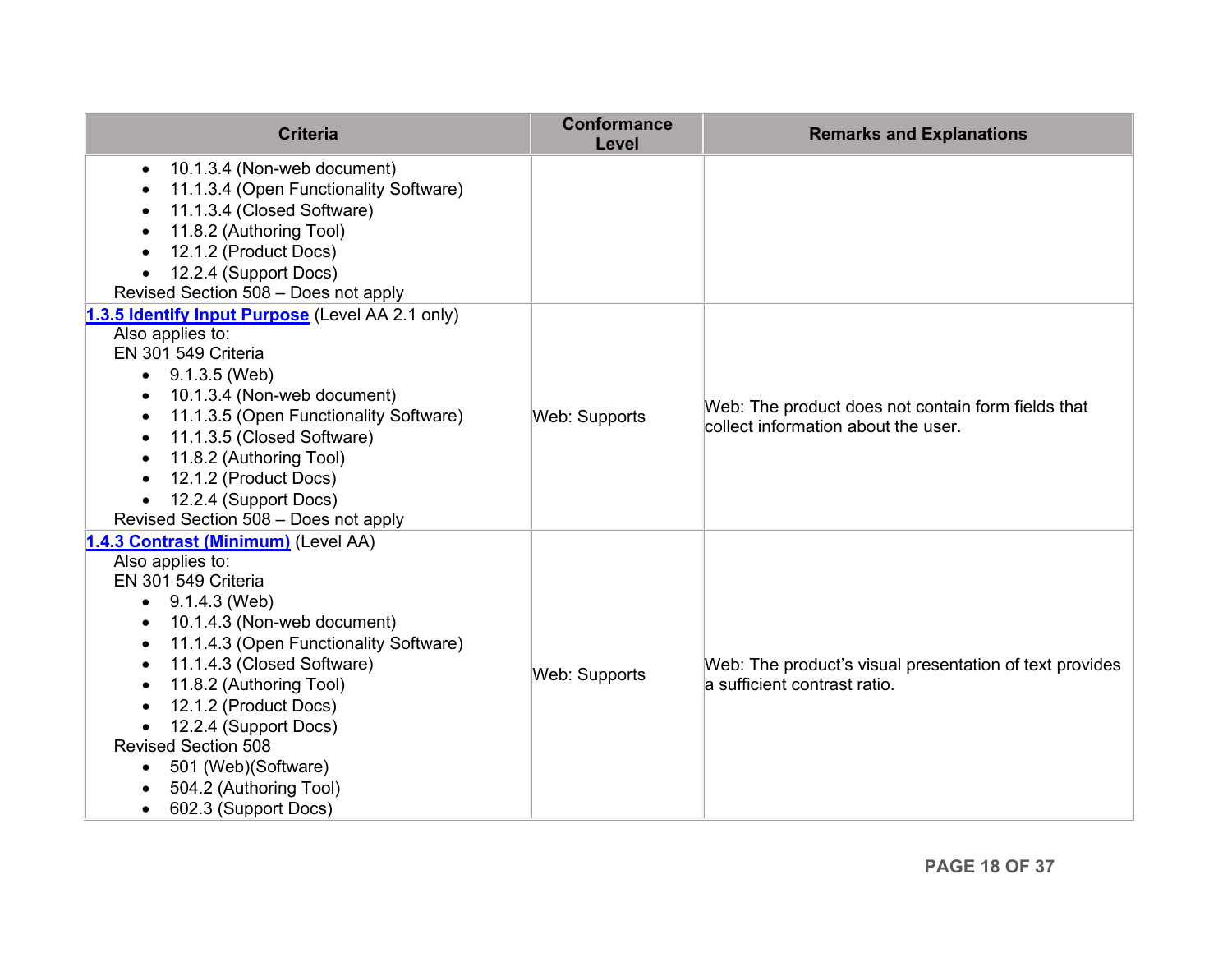| <b>Criteria</b>                                                                                                                                                                                                                                                                                                                                                                                                                                 | <b>Conformance</b><br>Level | <b>Remarks and Explanations</b>                                                           |
|-------------------------------------------------------------------------------------------------------------------------------------------------------------------------------------------------------------------------------------------------------------------------------------------------------------------------------------------------------------------------------------------------------------------------------------------------|-----------------------------|-------------------------------------------------------------------------------------------|
| 10.1.3.4 (Non-web document)<br>$\bullet$<br>11.1.3.4 (Open Functionality Software)<br>11.1.3.4 (Closed Software)<br>11.8.2 (Authoring Tool)<br>12.1.2 (Product Docs)<br>12.2.4 (Support Docs)                                                                                                                                                                                                                                                   |                             |                                                                                           |
| Revised Section 508 - Does not apply                                                                                                                                                                                                                                                                                                                                                                                                            |                             |                                                                                           |
| 1.3.5 Identify Input Purpose (Level AA 2.1 only)<br>Also applies to:<br>EN 301 549 Criteria<br>$\bullet$ 9.1.3.5 (Web)<br>10.1.3.4 (Non-web document)<br>11.1.3.5 (Open Functionality Software)<br>11.1.3.5 (Closed Software)<br>$\bullet$<br>11.8.2 (Authoring Tool)<br>$\bullet$<br>12.1.2 (Product Docs)<br>12.2.4 (Support Docs)<br>Revised Section 508 - Does not apply                                                                    | <b>Web: Supports</b>        | Web: The product does not contain form fields that<br>collect information about the user. |
| 1.4.3 Contrast (Minimum) (Level AA)<br>Also applies to:<br>EN 301 549 Criteria<br>9.1.4.3 (Web)<br>10.1.4.3 (Non-web document)<br>11.1.4.3 (Open Functionality Software)<br>$\bullet$<br>11.1.4.3 (Closed Software)<br>$\bullet$<br>11.8.2 (Authoring Tool)<br>12.1.2 (Product Docs)<br>12.2.4 (Support Docs)<br><b>Revised Section 508</b><br>501 (Web) (Software)<br>$\bullet$<br>504.2 (Authoring Tool)<br>602.3 (Support Docs)<br>$\bullet$ | <b>Web: Supports</b>        | Web: The product's visual presentation of text provides<br>la sufficient contrast ratio.  |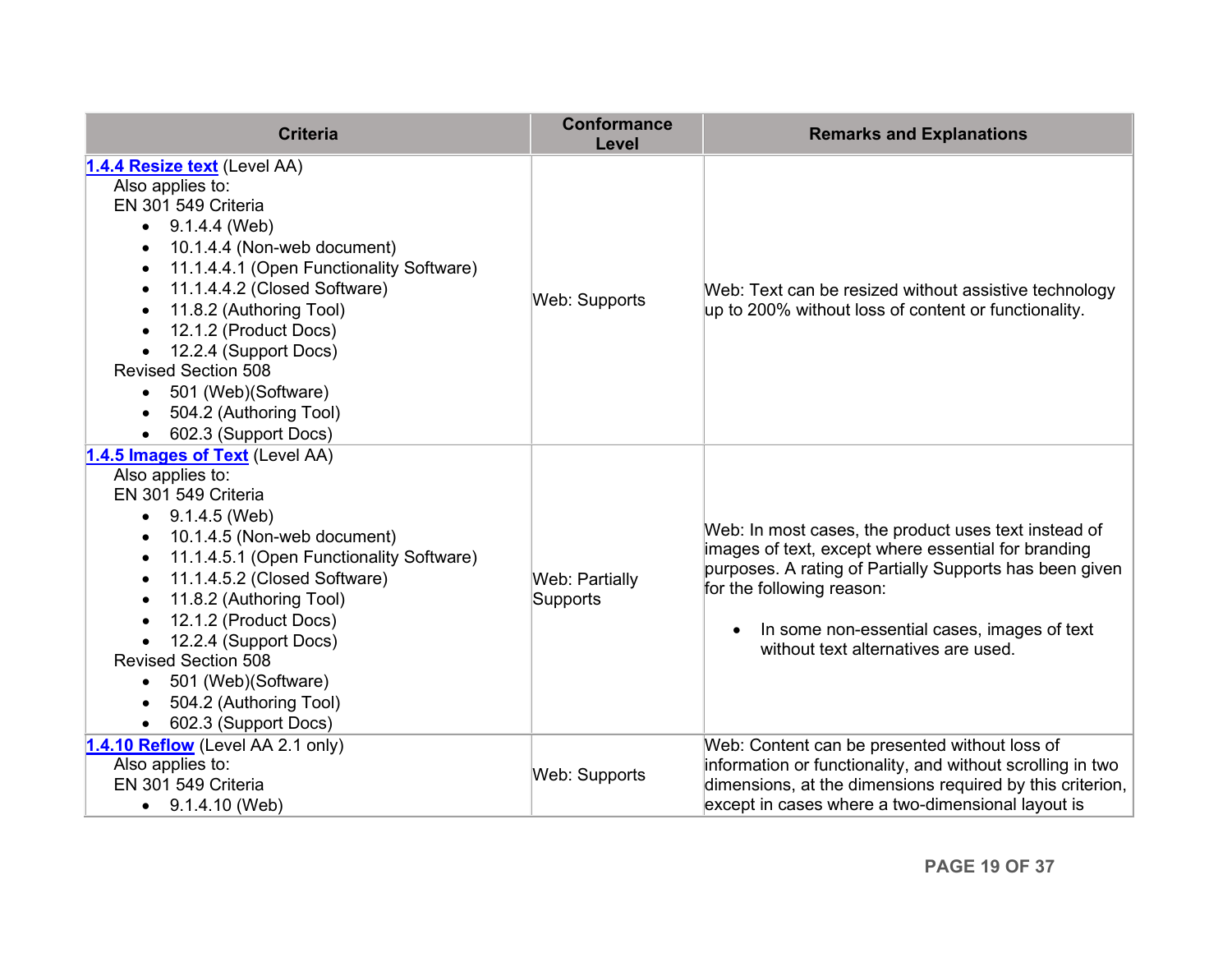<span id="page-18-0"></span>

| <b>Criteria</b>                                                                                                                                                                                                                                                                                                                                                                                                                                                                                              | <b>Conformance</b><br>Level       | <b>Remarks and Explanations</b>                                                                                                                                                                                                                                                                        |
|--------------------------------------------------------------------------------------------------------------------------------------------------------------------------------------------------------------------------------------------------------------------------------------------------------------------------------------------------------------------------------------------------------------------------------------------------------------------------------------------------------------|-----------------------------------|--------------------------------------------------------------------------------------------------------------------------------------------------------------------------------------------------------------------------------------------------------------------------------------------------------|
| 1.4.4 Resize text (Level AA)<br>Also applies to:<br>EN 301 549 Criteria<br>9.1.4.4 (Web)<br>$\bullet$<br>10.1.4.4 (Non-web document)<br>$\bullet$<br>11.1.4.4.1 (Open Functionality Software)<br>$\bullet$<br>11.1.4.4.2 (Closed Software)<br>$\bullet$<br>11.8.2 (Authoring Tool)<br>$\bullet$<br>12.1.2 (Product Docs)<br>$\bullet$<br>12.2.4 (Support Docs)<br>$\bullet$<br><b>Revised Section 508</b><br>501 (Web)(Software)<br>$\bullet$<br>504.2 (Authoring Tool)<br>$\bullet$<br>602.3 (Support Docs) | <b>Web: Supports</b>              | Web: Text can be resized without assistive technology<br>up to 200% without loss of content or functionality.                                                                                                                                                                                          |
| 1.4.5 Images of Text (Level AA)<br>Also applies to:<br>EN 301 549 Criteria<br>9.1.4.5 (Web)<br>10.1.4.5 (Non-web document)<br>٠<br>11.1.4.5.1 (Open Functionality Software)<br>$\bullet$<br>11.1.4.5.2 (Closed Software)<br>$\bullet$<br>11.8.2 (Authoring Tool)<br>$\bullet$<br>12.1.2 (Product Docs)<br>$\bullet$<br>12.2.4 (Support Docs)<br><b>Revised Section 508</b><br>501 (Web)(Software)<br>$\bullet$<br>504.2 (Authoring Tool)<br>602.3 (Support Docs)                                             | <b>Web: Partially</b><br>Supports | Web: In most cases, the product uses text instead of<br>images of text, except where essential for branding<br>purposes. A rating of Partially Supports has been given<br>for the following reason:<br>In some non-essential cases, images of text<br>$\bullet$<br>without text alternatives are used. |
| 1.4.10 Reflow (Level AA 2.1 only)<br>Also applies to:<br>EN 301 549 Criteria<br>9.1.4.10 (Web)                                                                                                                                                                                                                                                                                                                                                                                                               | Web: Supports                     | Web: Content can be presented without loss of<br>information or functionality, and without scrolling in two<br>dimensions, at the dimensions required by this criterion,<br>except in cases where a two-dimensional layout is                                                                          |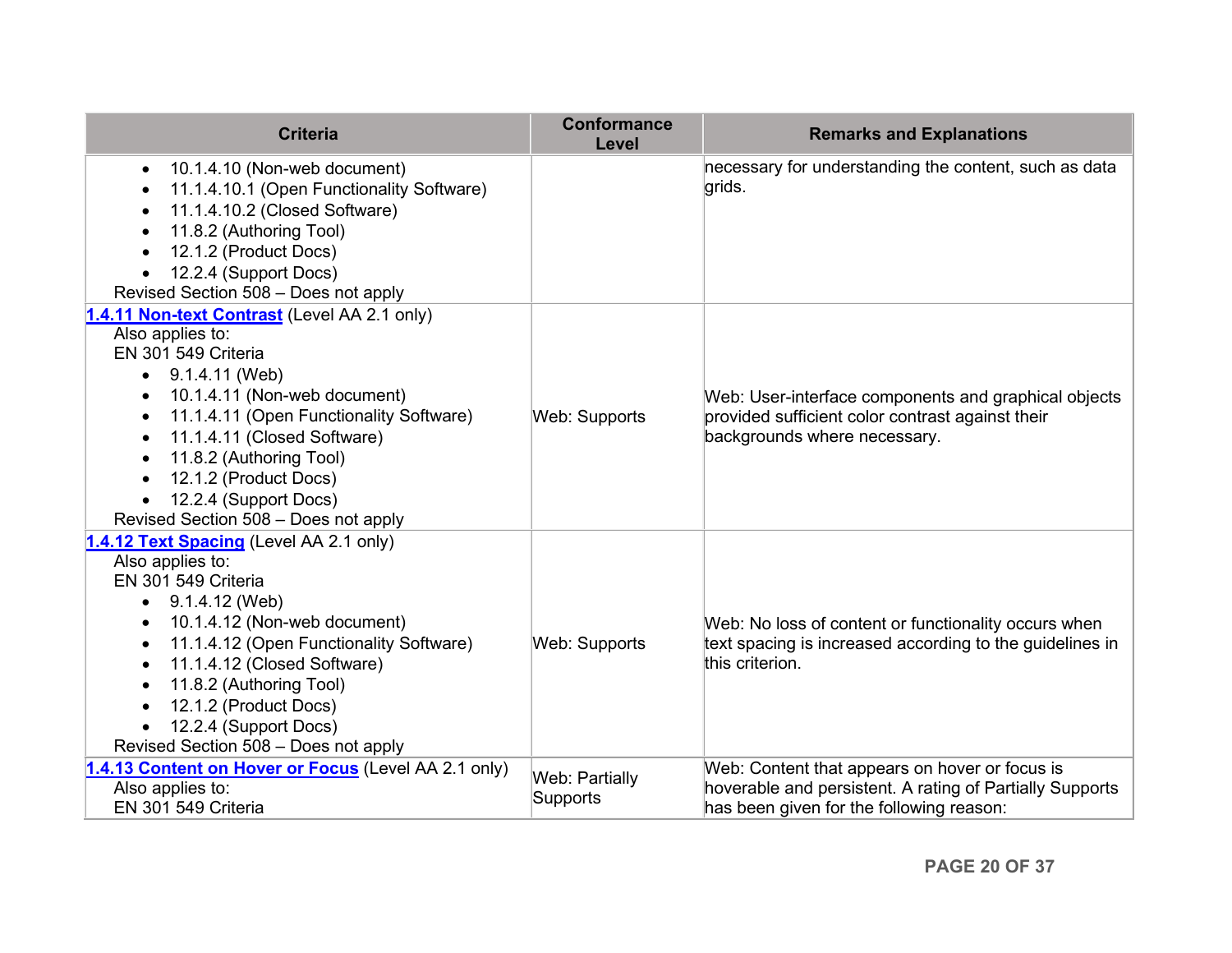<span id="page-19-0"></span>

| <b>Criteria</b>                                                                                                                                                                                                                                                                                                                                                         | <b>Conformance</b><br>Level       | <b>Remarks and Explanations</b>                                                                                                                        |
|-------------------------------------------------------------------------------------------------------------------------------------------------------------------------------------------------------------------------------------------------------------------------------------------------------------------------------------------------------------------------|-----------------------------------|--------------------------------------------------------------------------------------------------------------------------------------------------------|
| 10.1.4.10 (Non-web document)<br>٠<br>11.1.4.10.1 (Open Functionality Software)<br>$\bullet$<br>11.1.4.10.2 (Closed Software)<br>$\bullet$<br>11.8.2 (Authoring Tool)<br>12.1.2 (Product Docs)<br>12.2.4 (Support Docs)<br>Revised Section 508 - Does not apply                                                                                                          |                                   | necessary for understanding the content, such as data<br>grids.                                                                                        |
| 1.4.11 Non-text Contrast (Level AA 2.1 only)<br>Also applies to:<br>EN 301 549 Criteria<br>9.1.4.11 (Web)<br>10.1.4.11 (Non-web document)<br>$\bullet$<br>11.1.4.11 (Open Functionality Software)<br>٠<br>11.1.4.11 (Closed Software)<br>$\bullet$<br>11.8.2 (Authoring Tool)<br>12.1.2 (Product Docs)<br>12.2.4 (Support Docs)<br>Revised Section 508 - Does not apply | Web: Supports                     | Web: User-interface components and graphical objects<br>provided sufficient color contrast against their<br>backgrounds where necessary.               |
| 1.4.12 Text Spacing (Level AA 2.1 only)<br>Also applies to:<br>EN 301 549 Criteria<br>9.1.4.12 (Web)<br>10.1.4.12 (Non-web document)<br>٠<br>11.1.4.12 (Open Functionality Software)<br>$\bullet$<br>11.1.4.12 (Closed Software)<br>$\bullet$<br>11.8.2 (Authoring Tool)<br>12.1.2 (Product Docs)<br>12.2.4 (Support Docs)<br>Revised Section 508 - Does not apply      | Web: Supports                     | Web: No loss of content or functionality occurs when<br>text spacing is increased according to the guidelines in<br>this criterion.                    |
| 1.4.13 Content on Hover or Focus (Level AA 2.1 only)<br>Also applies to:<br>EN 301 549 Criteria                                                                                                                                                                                                                                                                         | <b>Web: Partially</b><br>Supports | Web: Content that appears on hover or focus is<br>hoverable and persistent. A rating of Partially Supports<br>has been given for the following reason: |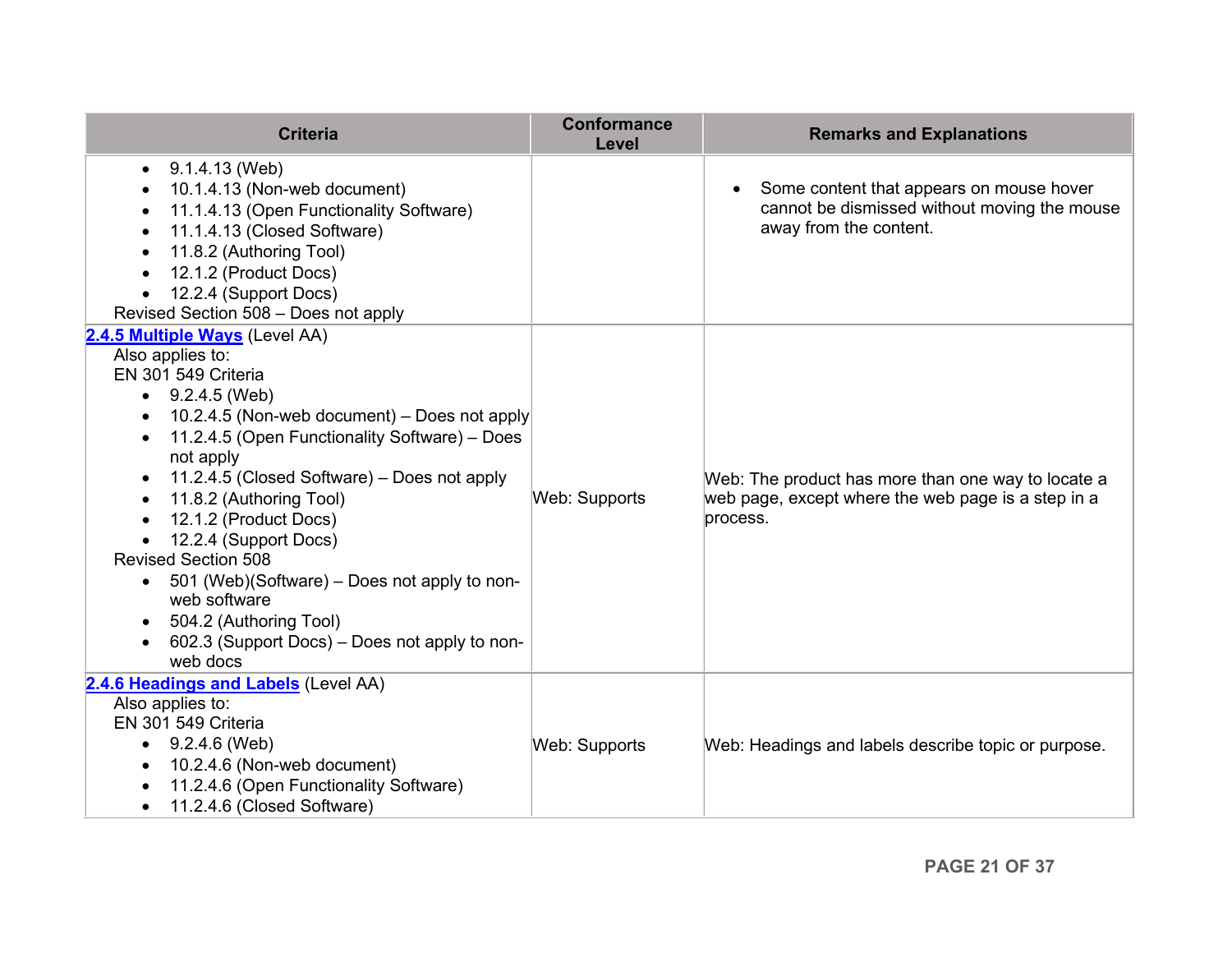| <b>Criteria</b>                                                                                                                                                                                                                                                                                                                                                                                                                                                                                                                                                                 | <b>Conformance</b><br>Level | <b>Remarks and Explanations</b>                                                                                                 |
|---------------------------------------------------------------------------------------------------------------------------------------------------------------------------------------------------------------------------------------------------------------------------------------------------------------------------------------------------------------------------------------------------------------------------------------------------------------------------------------------------------------------------------------------------------------------------------|-----------------------------|---------------------------------------------------------------------------------------------------------------------------------|
| 9.1.4.13 (Web)<br>$\bullet$<br>10.1.4.13 (Non-web document)<br>$\bullet$<br>11.1.4.13 (Open Functionality Software)<br>$\bullet$<br>11.1.4.13 (Closed Software)<br>11.8.2 (Authoring Tool)<br>12.1.2 (Product Docs)<br>$\bullet$<br>12.2.4 (Support Docs)<br>Revised Section 508 - Does not apply                                                                                                                                                                                                                                                                               |                             | Some content that appears on mouse hover<br>$\bullet$<br>cannot be dismissed without moving the mouse<br>away from the content. |
| 2.4.5 Multiple Ways (Level AA)<br>Also applies to:<br>EN 301 549 Criteria<br>9.2.4.5 (Web)<br>$\bullet$<br>10.2.4.5 (Non-web document) – Does not apply<br>$\bullet$<br>11.2.4.5 (Open Functionality Software) - Does<br>not apply<br>11.2.4.5 (Closed Software) – Does not apply<br>11.8.2 (Authoring Tool)<br>$\bullet$<br>12.1.2 (Product Docs)<br>$\bullet$<br>12.2.4 (Support Docs)<br><b>Revised Section 508</b><br>• 501 (Web)(Software) – Does not apply to non-<br>web software<br>504.2 (Authoring Tool)<br>602.3 (Support Docs) – Does not apply to non-<br>web docs | Web: Supports               | Web: The product has more than one way to locate a<br>web page, except where the web page is a step in a<br>process.            |
| 2.4.6 Headings and Labels (Level AA)<br>Also applies to:<br>EN 301 549 Criteria<br>$\bullet$ 9.2.4.6 (Web)<br>10.2.4.6 (Non-web document)<br>$\bullet$<br>11.2.4.6 (Open Functionality Software)<br>11.2.4.6 (Closed Software)<br>$\bullet$                                                                                                                                                                                                                                                                                                                                     | Web: Supports               | Web: Headings and labels describe topic or purpose.                                                                             |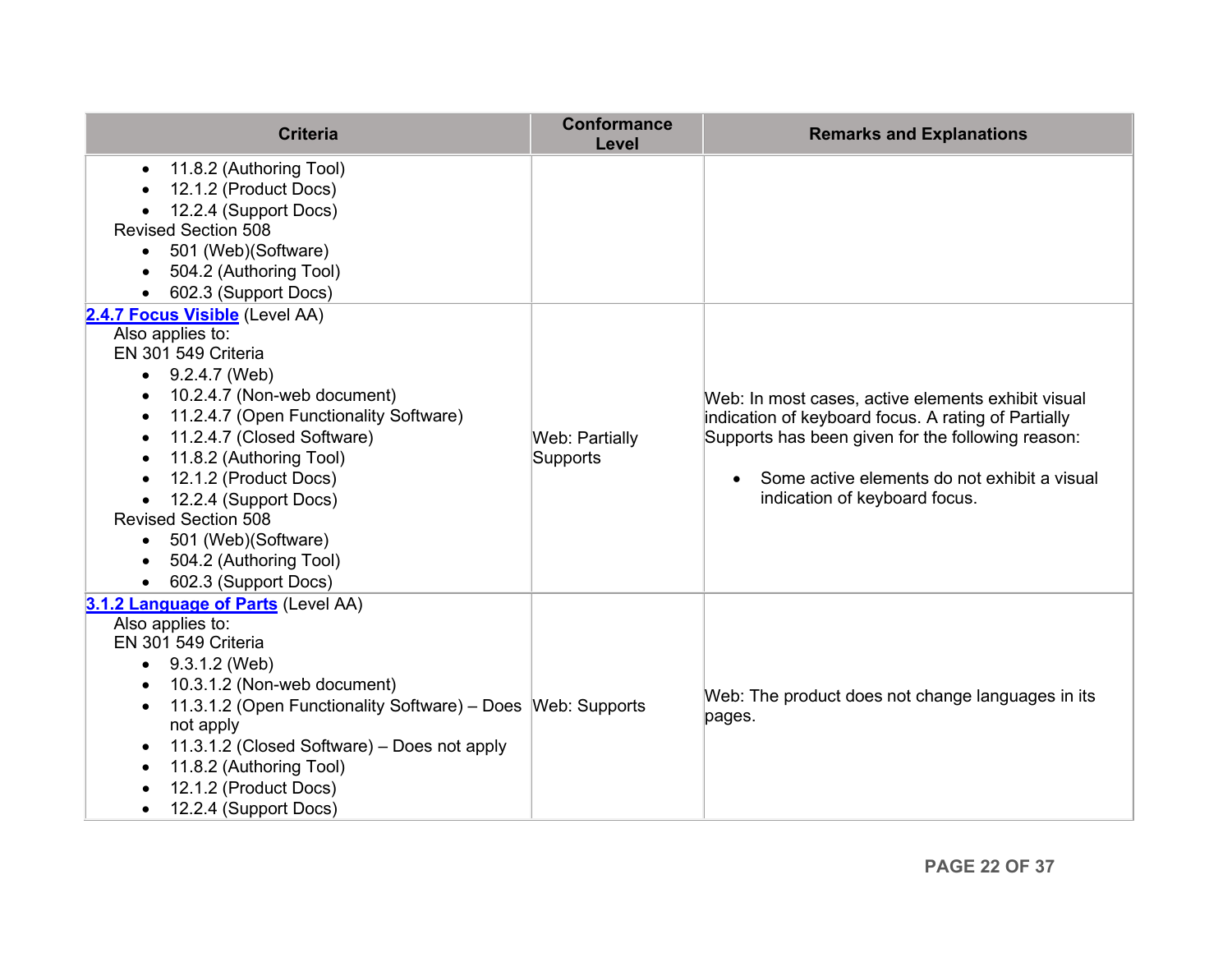<span id="page-21-0"></span>

| <b>Criteria</b>                                                                                                                                                                                                                                                                                                                                                                                                                                             | <b>Conformance</b><br>Level | <b>Remarks and Explanations</b>                                                                                                                                                                                                                              |
|-------------------------------------------------------------------------------------------------------------------------------------------------------------------------------------------------------------------------------------------------------------------------------------------------------------------------------------------------------------------------------------------------------------------------------------------------------------|-----------------------------|--------------------------------------------------------------------------------------------------------------------------------------------------------------------------------------------------------------------------------------------------------------|
| 11.8.2 (Authoring Tool)<br>$\bullet$<br>12.1.2 (Product Docs)<br>$\bullet$<br>12.2.4 (Support Docs)<br><b>Revised Section 508</b><br>501 (Web)(Software)<br>$\bullet$<br>504.2 (Authoring Tool)<br>602.3 (Support Docs)<br>$\bullet$                                                                                                                                                                                                                        |                             |                                                                                                                                                                                                                                                              |
| 2.4.7 Focus Visible (Level AA)<br>Also applies to:<br>EN 301 549 Criteria<br>9.2.4.7 (Web)<br>$\bullet$<br>10.2.4.7 (Non-web document)<br>$\bullet$<br>11.2.4.7 (Open Functionality Software)<br>٠<br>11.2.4.7 (Closed Software)<br>$\bullet$<br>11.8.2 (Authoring Tool)<br>$\bullet$<br>12.1.2 (Product Docs)<br>12.2.4 (Support Docs)<br><b>Revised Section 508</b><br>501 (Web)(Software)<br>$\bullet$<br>504.2 (Authoring Tool)<br>602.3 (Support Docs) | Web: Partially<br>Supports  | Web: In most cases, active elements exhibit visual<br>indication of keyboard focus. A rating of Partially<br>Supports has been given for the following reason:<br>Some active elements do not exhibit a visual<br>$\bullet$<br>indication of keyboard focus. |
| 3.1.2 Language of Parts (Level AA)<br>Also applies to:<br>EN 301 549 Criteria<br>9.3.1.2 (Web)<br>$\bullet$<br>10.3.1.2 (Non-web document)<br>$\bullet$<br>11.3.1.2 (Open Functionality Software) - Does Web: Supports<br>$\bullet$<br>not apply<br>11.3.1.2 (Closed Software) - Does not apply<br>$\bullet$<br>11.8.2 (Authoring Tool)<br>$\bullet$<br>12.1.2 (Product Docs)<br>12.2.4 (Support Docs)<br>$\bullet$                                         |                             | Web: The product does not change languages in its<br>pages.                                                                                                                                                                                                  |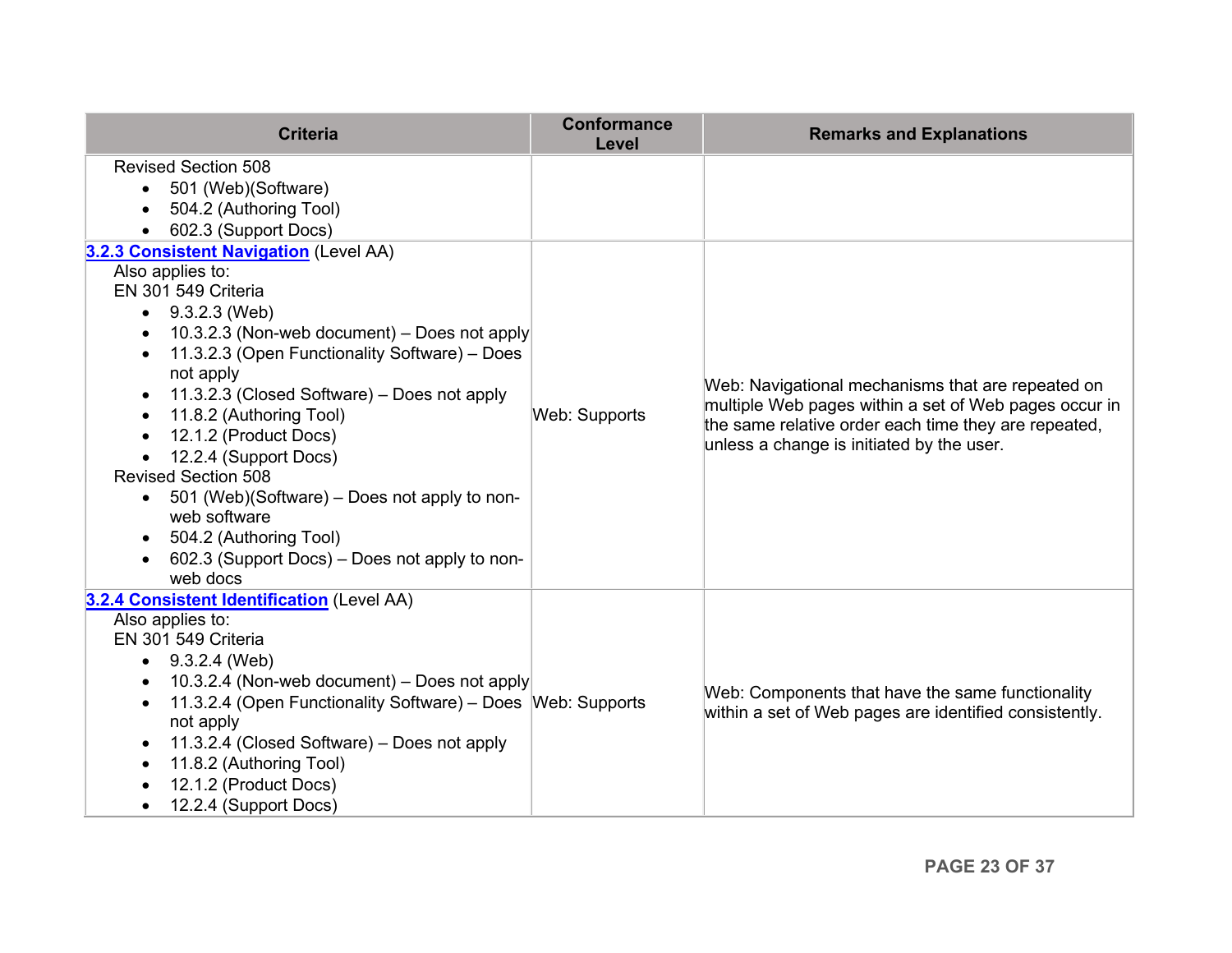| <b>Criteria</b>                                                          | <b>Conformance</b><br>Level | <b>Remarks and Explanations</b>                                                                                                                                                                                 |
|--------------------------------------------------------------------------|-----------------------------|-----------------------------------------------------------------------------------------------------------------------------------------------------------------------------------------------------------------|
| <b>Revised Section 508</b>                                               |                             |                                                                                                                                                                                                                 |
| 501 (Web)(Software)<br>$\bullet$                                         |                             |                                                                                                                                                                                                                 |
| 504.2 (Authoring Tool)                                                   |                             |                                                                                                                                                                                                                 |
| 602.3 (Support Docs)                                                     |                             |                                                                                                                                                                                                                 |
| 3.2.3 Consistent Navigation (Level AA)                                   |                             |                                                                                                                                                                                                                 |
| Also applies to:                                                         |                             |                                                                                                                                                                                                                 |
| EN 301 549 Criteria                                                      |                             |                                                                                                                                                                                                                 |
| 9.3.2.3 (Web)<br>$\bullet$                                               |                             |                                                                                                                                                                                                                 |
| 10.3.2.3 (Non-web document) - Does not apply<br>٠                        |                             |                                                                                                                                                                                                                 |
| 11.3.2.3 (Open Functionality Software) - Does                            |                             |                                                                                                                                                                                                                 |
| not apply                                                                |                             | Web: Navigational mechanisms that are repeated on<br>multiple Web pages within a set of Web pages occur in<br>the same relative order each time they are repeated,<br>unless a change is initiated by the user. |
| 11.3.2.3 (Closed Software) - Does not apply<br>$\bullet$                 |                             |                                                                                                                                                                                                                 |
| 11.8.2 (Authoring Tool)<br>$\bullet$                                     | Web: Supports               |                                                                                                                                                                                                                 |
| 12.1.2 (Product Docs)<br>$\bullet$                                       |                             |                                                                                                                                                                                                                 |
| 12.2.4 (Support Docs)<br>$\bullet$<br><b>Revised Section 508</b>         |                             |                                                                                                                                                                                                                 |
| 501 (Web)(Software) – Does not apply to non-<br>$\bullet$                |                             |                                                                                                                                                                                                                 |
| web software                                                             |                             |                                                                                                                                                                                                                 |
| 504.2 (Authoring Tool)<br>$\bullet$                                      |                             |                                                                                                                                                                                                                 |
| 602.3 (Support Docs) – Does not apply to non-                            |                             |                                                                                                                                                                                                                 |
| web docs                                                                 |                             |                                                                                                                                                                                                                 |
| 3.2.4 Consistent Identification (Level AA)                               |                             |                                                                                                                                                                                                                 |
| Also applies to:                                                         |                             |                                                                                                                                                                                                                 |
| EN 301 549 Criteria                                                      |                             |                                                                                                                                                                                                                 |
| 9.3.2.4 (Web)<br>$\bullet$                                               |                             |                                                                                                                                                                                                                 |
| 10.3.2.4 (Non-web document) – Does not apply<br>٠                        |                             | Web: Components that have the same functionality                                                                                                                                                                |
| 11.3.2.4 (Open Functionality Software) – Does Web: Supports<br>$\bullet$ |                             | within a set of Web pages are identified consistently.                                                                                                                                                          |
| not apply                                                                |                             |                                                                                                                                                                                                                 |
| 11.3.2.4 (Closed Software) - Does not apply<br>$\bullet$                 |                             |                                                                                                                                                                                                                 |
| 11.8.2 (Authoring Tool)<br>$\bullet$                                     |                             |                                                                                                                                                                                                                 |
| 12.1.2 (Product Docs)                                                    |                             |                                                                                                                                                                                                                 |
| 12.2.4 (Support Docs)<br>$\bullet$                                       |                             |                                                                                                                                                                                                                 |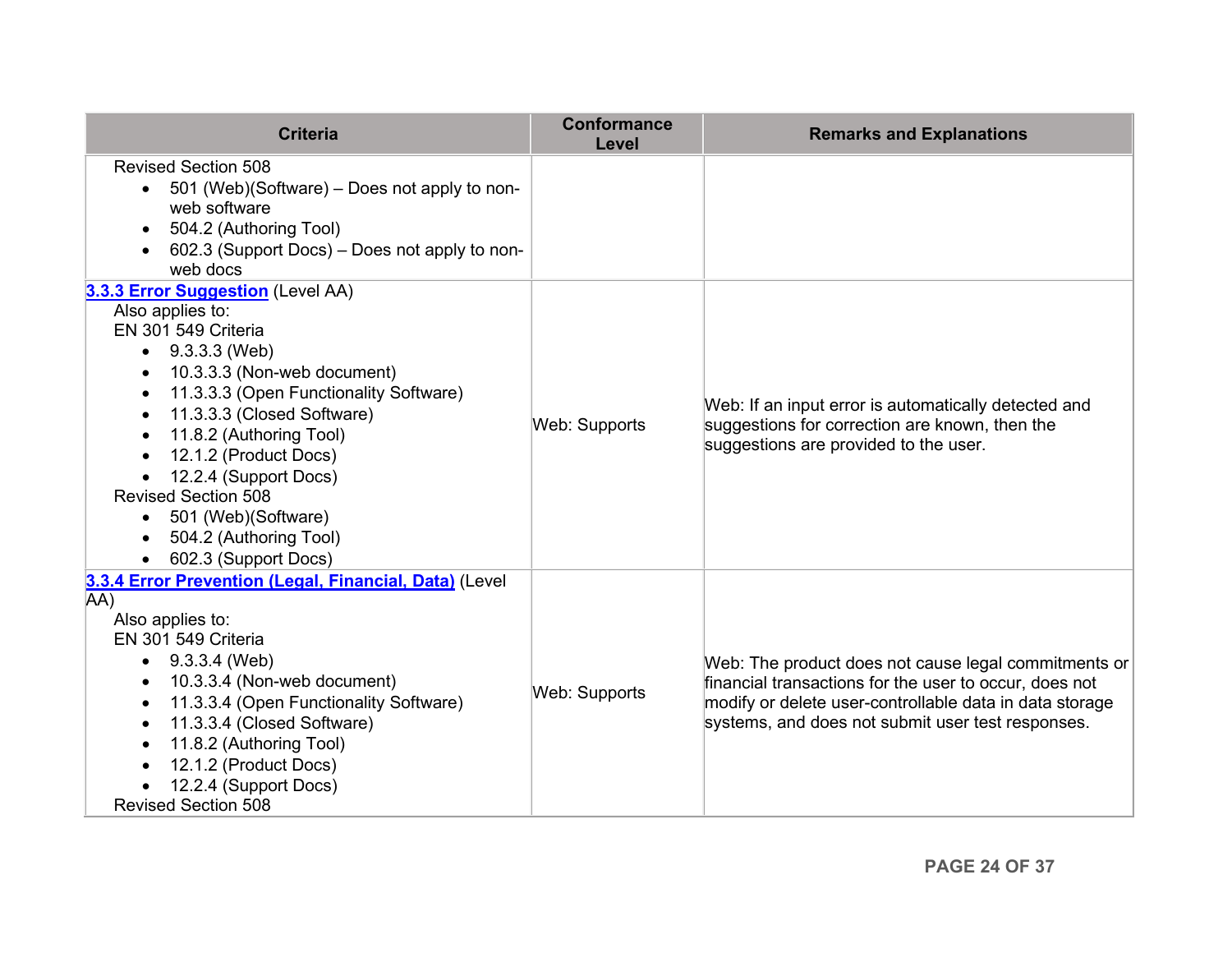| <b>Criteria</b>                                                                                | <b>Conformance</b><br>Level | <b>Remarks and Explanations</b>                                                                                                                                                                                                |
|------------------------------------------------------------------------------------------------|-----------------------------|--------------------------------------------------------------------------------------------------------------------------------------------------------------------------------------------------------------------------------|
| <b>Revised Section 508</b><br>501 (Web)(Software) – Does not apply to non-<br>$\bullet$        |                             |                                                                                                                                                                                                                                |
| web software                                                                                   |                             |                                                                                                                                                                                                                                |
| 504.2 (Authoring Tool)                                                                         |                             |                                                                                                                                                                                                                                |
| 602.3 (Support Docs) – Does not apply to non-                                                  |                             |                                                                                                                                                                                                                                |
| web docs                                                                                       |                             |                                                                                                                                                                                                                                |
| 3.3.3 Error Suggestion (Level AA)                                                              |                             |                                                                                                                                                                                                                                |
| Also applies to:                                                                               |                             |                                                                                                                                                                                                                                |
| EN 301 549 Criteria                                                                            |                             |                                                                                                                                                                                                                                |
| 9.3.3.3 (Web)                                                                                  |                             |                                                                                                                                                                                                                                |
| 10.3.3.3 (Non-web document)<br>٠                                                               |                             | Web: If an input error is automatically detected and<br>suggestions for correction are known, then the<br>suggestions are provided to the user.                                                                                |
| 11.3.3.3 (Open Functionality Software)<br>$\bullet$<br>11.3.3.3 (Closed Software)<br>$\bullet$ |                             |                                                                                                                                                                                                                                |
| 11.8.2 (Authoring Tool)<br>$\bullet$                                                           | <b>Web: Supports</b>        |                                                                                                                                                                                                                                |
| 12.1.2 (Product Docs)                                                                          |                             |                                                                                                                                                                                                                                |
| 12.2.4 (Support Docs)                                                                          |                             |                                                                                                                                                                                                                                |
| <b>Revised Section 508</b>                                                                     |                             |                                                                                                                                                                                                                                |
| 501 (Web)(Software)<br>$\bullet$                                                               |                             |                                                                                                                                                                                                                                |
| 504.2 (Authoring Tool)                                                                         |                             |                                                                                                                                                                                                                                |
| 602.3 (Support Docs)                                                                           |                             |                                                                                                                                                                                                                                |
| 3.3.4 Error Prevention (Legal, Financial, Data) (Level                                         |                             |                                                                                                                                                                                                                                |
| AA)                                                                                            |                             |                                                                                                                                                                                                                                |
| Also applies to:                                                                               |                             | Web: The product does not cause legal commitments or<br>financial transactions for the user to occur, does not<br>modify or delete user-controllable data in data storage<br>systems, and does not submit user test responses. |
| EN 301 549 Criteria                                                                            |                             |                                                                                                                                                                                                                                |
| 9.3.3.4 (Web)<br>$\bullet$                                                                     |                             |                                                                                                                                                                                                                                |
| 10.3.3.4 (Non-web document)<br>$\bullet$<br>11.3.3.4 (Open Functionality Software)             | Web: Supports               |                                                                                                                                                                                                                                |
| $\bullet$<br>11.3.3.4 (Closed Software)<br>٠                                                   |                             |                                                                                                                                                                                                                                |
| 11.8.2 (Authoring Tool)<br>$\bullet$                                                           |                             |                                                                                                                                                                                                                                |
| 12.1.2 (Product Docs)                                                                          |                             |                                                                                                                                                                                                                                |
| 12.2.4 (Support Docs)                                                                          |                             |                                                                                                                                                                                                                                |
| <b>Revised Section 508</b>                                                                     |                             |                                                                                                                                                                                                                                |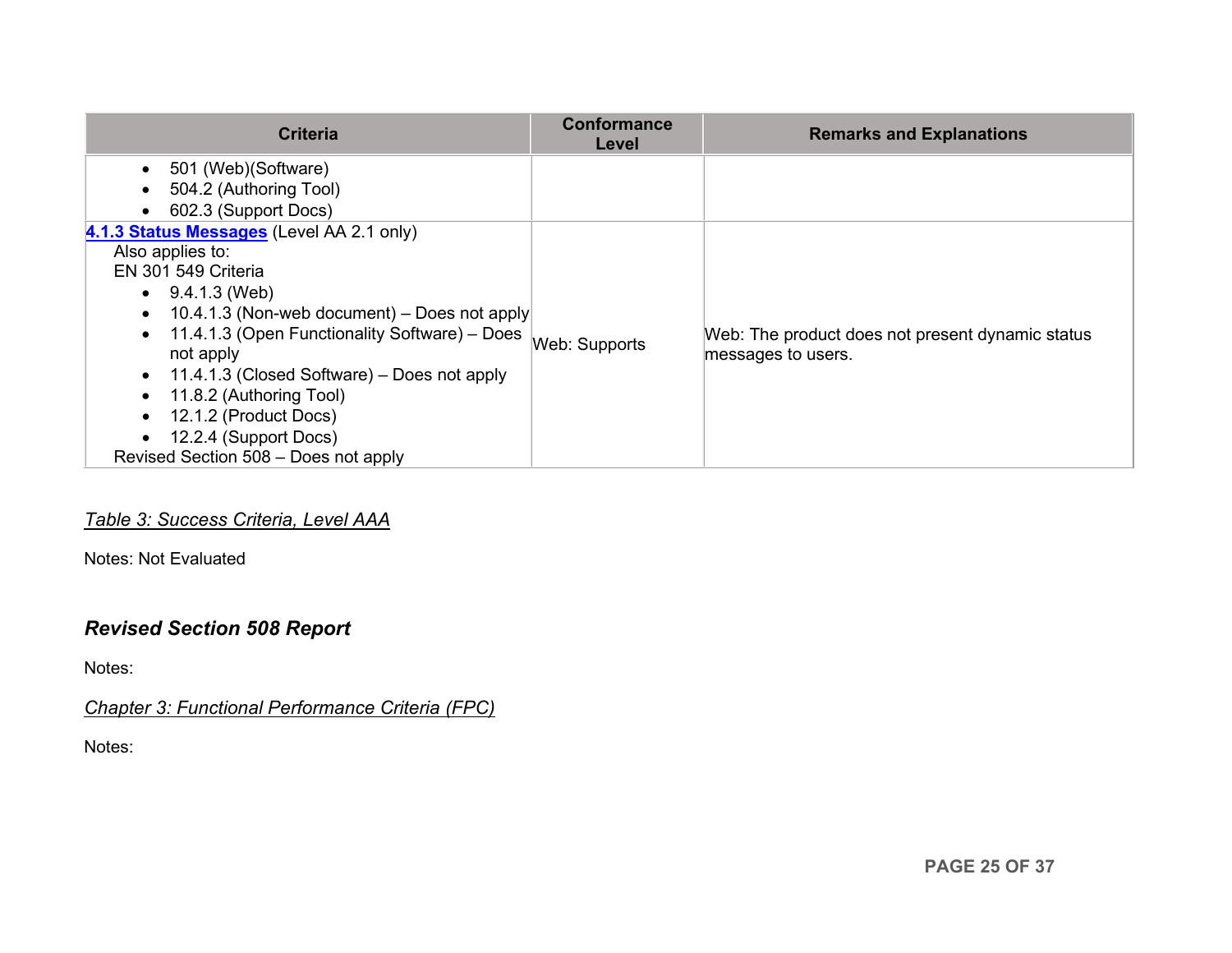| <b>Criteria</b>                                                                                                                                                                                                                                                                                                                                                                                                             | <b>Conformance</b><br>Level | <b>Remarks and Explanations</b>                                        |
|-----------------------------------------------------------------------------------------------------------------------------------------------------------------------------------------------------------------------------------------------------------------------------------------------------------------------------------------------------------------------------------------------------------------------------|-----------------------------|------------------------------------------------------------------------|
| 501 (Web)(Software)<br>$\bullet$<br>504.2 (Authoring Tool)<br>602.3 (Support Docs)<br>$\bullet$                                                                                                                                                                                                                                                                                                                             |                             |                                                                        |
| 4.1.3 Status Messages (Level AA 2.1 only)<br>Also applies to:<br>EN 301 549 Criteria<br>$\bullet$ 9.4.1.3 (Web)<br>10.4.1.3 (Non-web document) – Does not apply<br>$\bullet$<br>11.4.1.3 (Open Functionality Software) - Does<br>not apply<br>11.4.1.3 (Closed Software) – Does not apply<br>$\bullet$<br>11.8.2 (Authoring Tool)<br>12.1.2 (Product Docs)<br>12.2.4 (Support Docs)<br>Revised Section 508 - Does not apply | Web: Supports               | Web: The product does not present dynamic status<br>messages to users. |

# *Table 3: Success Criteria, Level AAA*

Notes: Not Evaluated

# *Revised Section 508 Report*

Notes:

*Chapter 3: Functional Performance Criteria (FPC)*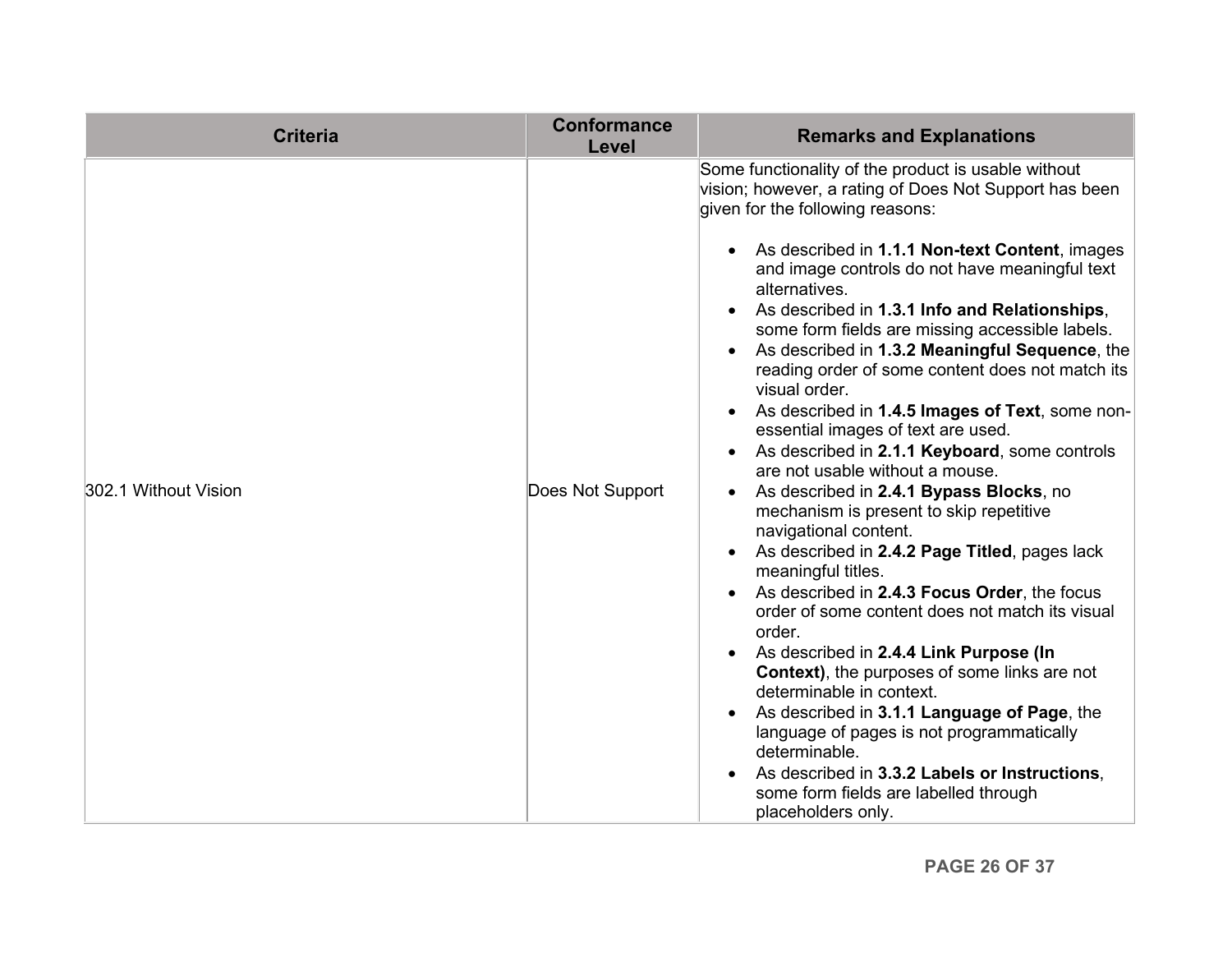| <b>Criteria</b>      | <b>Conformance</b><br>Level | <b>Remarks and Explanations</b>                                                                                                                                                                                                                                                                                                                                                                                                                                                                                                                                                                                                                                                                                                                                                                                                                                                                                                                                                                                                                                                                                                                                                                                                                                                                                                              |
|----------------------|-----------------------------|----------------------------------------------------------------------------------------------------------------------------------------------------------------------------------------------------------------------------------------------------------------------------------------------------------------------------------------------------------------------------------------------------------------------------------------------------------------------------------------------------------------------------------------------------------------------------------------------------------------------------------------------------------------------------------------------------------------------------------------------------------------------------------------------------------------------------------------------------------------------------------------------------------------------------------------------------------------------------------------------------------------------------------------------------------------------------------------------------------------------------------------------------------------------------------------------------------------------------------------------------------------------------------------------------------------------------------------------|
| 302.1 Without Vision | Does Not Support            | Some functionality of the product is usable without<br>vision; however, a rating of Does Not Support has been<br>given for the following reasons:<br>As described in 1.1.1 Non-text Content, images<br>and image controls do not have meaningful text<br>alternatives.<br>As described in 1.3.1 Info and Relationships,<br>some form fields are missing accessible labels.<br>As described in 1.3.2 Meaningful Sequence, the<br>reading order of some content does not match its<br>visual order.<br>As described in 1.4.5 Images of Text, some non-<br>essential images of text are used.<br>As described in 2.1.1 Keyboard, some controls<br>are not usable without a mouse.<br>As described in 2.4.1 Bypass Blocks, no<br>mechanism is present to skip repetitive<br>navigational content.<br>As described in 2.4.2 Page Titled, pages lack<br>meaningful titles.<br>As described in 2.4.3 Focus Order, the focus<br>order of some content does not match its visual<br>order.<br>As described in 2.4.4 Link Purpose (In<br><b>Context)</b> , the purposes of some links are not<br>determinable in context.<br>As described in 3.1.1 Language of Page, the<br>language of pages is not programmatically<br>determinable.<br>As described in 3.3.2 Labels or Instructions,<br>some form fields are labelled through<br>placeholders only. |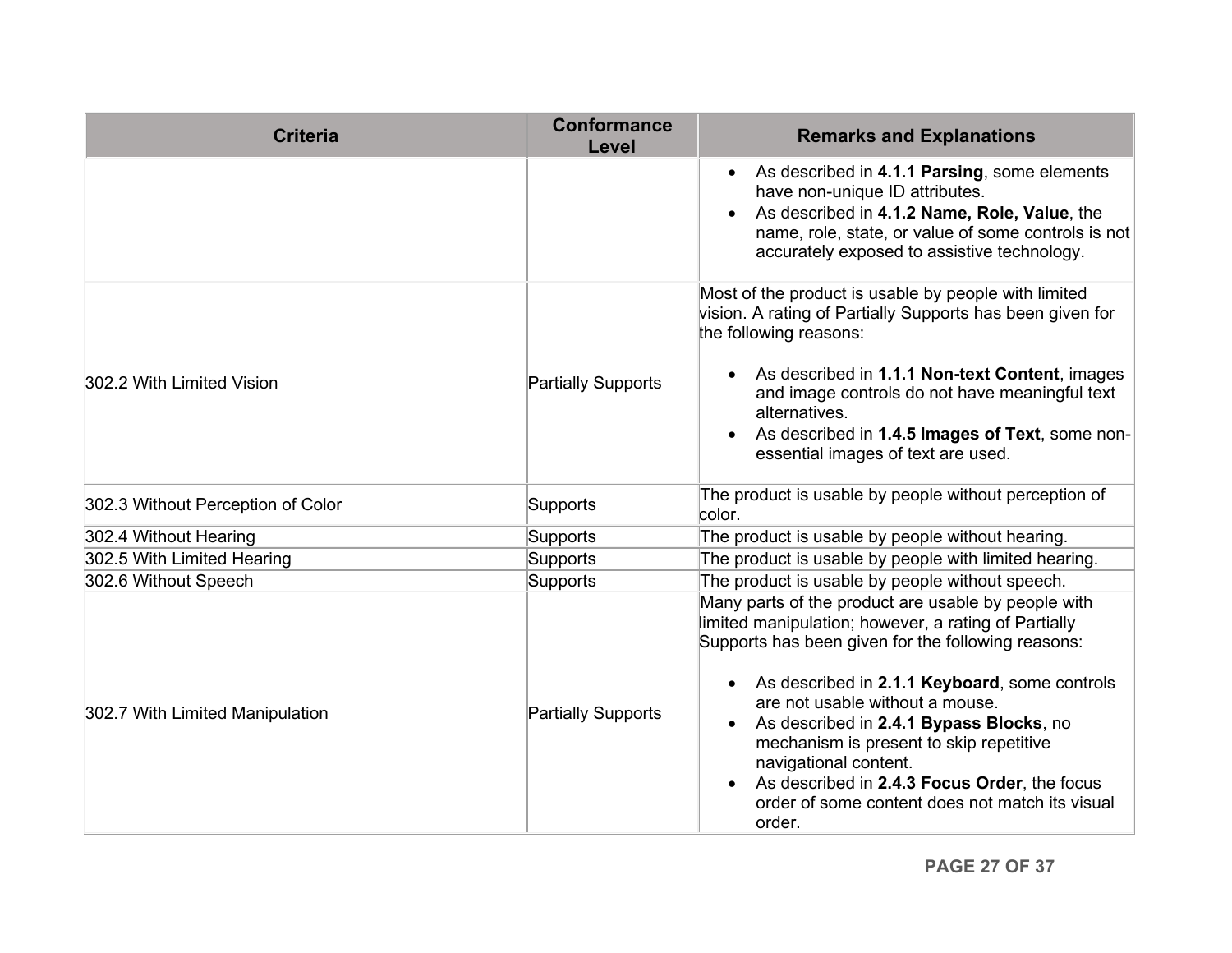| <b>Criteria</b>                   | <b>Conformance</b><br>Level | <b>Remarks and Explanations</b>                                                                                                                                                                                                                                                                                                                                                                                                                                                   |
|-----------------------------------|-----------------------------|-----------------------------------------------------------------------------------------------------------------------------------------------------------------------------------------------------------------------------------------------------------------------------------------------------------------------------------------------------------------------------------------------------------------------------------------------------------------------------------|
|                                   |                             | As described in 4.1.1 Parsing, some elements<br>have non-unique ID attributes.<br>As described in 4.1.2 Name, Role, Value, the<br>name, role, state, or value of some controls is not<br>accurately exposed to assistive technology.                                                                                                                                                                                                                                              |
| 302.2 With Limited Vision         | <b>Partially Supports</b>   | Most of the product is usable by people with limited<br>vision. A rating of Partially Supports has been given for<br>the following reasons:<br>As described in 1.1.1 Non-text Content, images<br>and image controls do not have meaningful text<br>alternatives.<br>As described in 1.4.5 Images of Text, some non-<br>essential images of text are used.                                                                                                                         |
| 302.3 Without Perception of Color | Supports                    | The product is usable by people without perception of<br>color.                                                                                                                                                                                                                                                                                                                                                                                                                   |
| 302.4 Without Hearing             | Supports                    | The product is usable by people without hearing.                                                                                                                                                                                                                                                                                                                                                                                                                                  |
| 302.5 With Limited Hearing        | Supports                    | The product is usable by people with limited hearing.                                                                                                                                                                                                                                                                                                                                                                                                                             |
| 302.6 Without Speech              | Supports                    | The product is usable by people without speech.                                                                                                                                                                                                                                                                                                                                                                                                                                   |
| 302.7 With Limited Manipulation   | <b>Partially Supports</b>   | Many parts of the product are usable by people with<br>limited manipulation; however, a rating of Partially<br>Supports has been given for the following reasons:<br>As described in 2.1.1 Keyboard, some controls<br>are not usable without a mouse.<br>As described in 2.4.1 Bypass Blocks, no<br>mechanism is present to skip repetitive<br>navigational content.<br>As described in 2.4.3 Focus Order, the focus<br>order of some content does not match its visual<br>order. |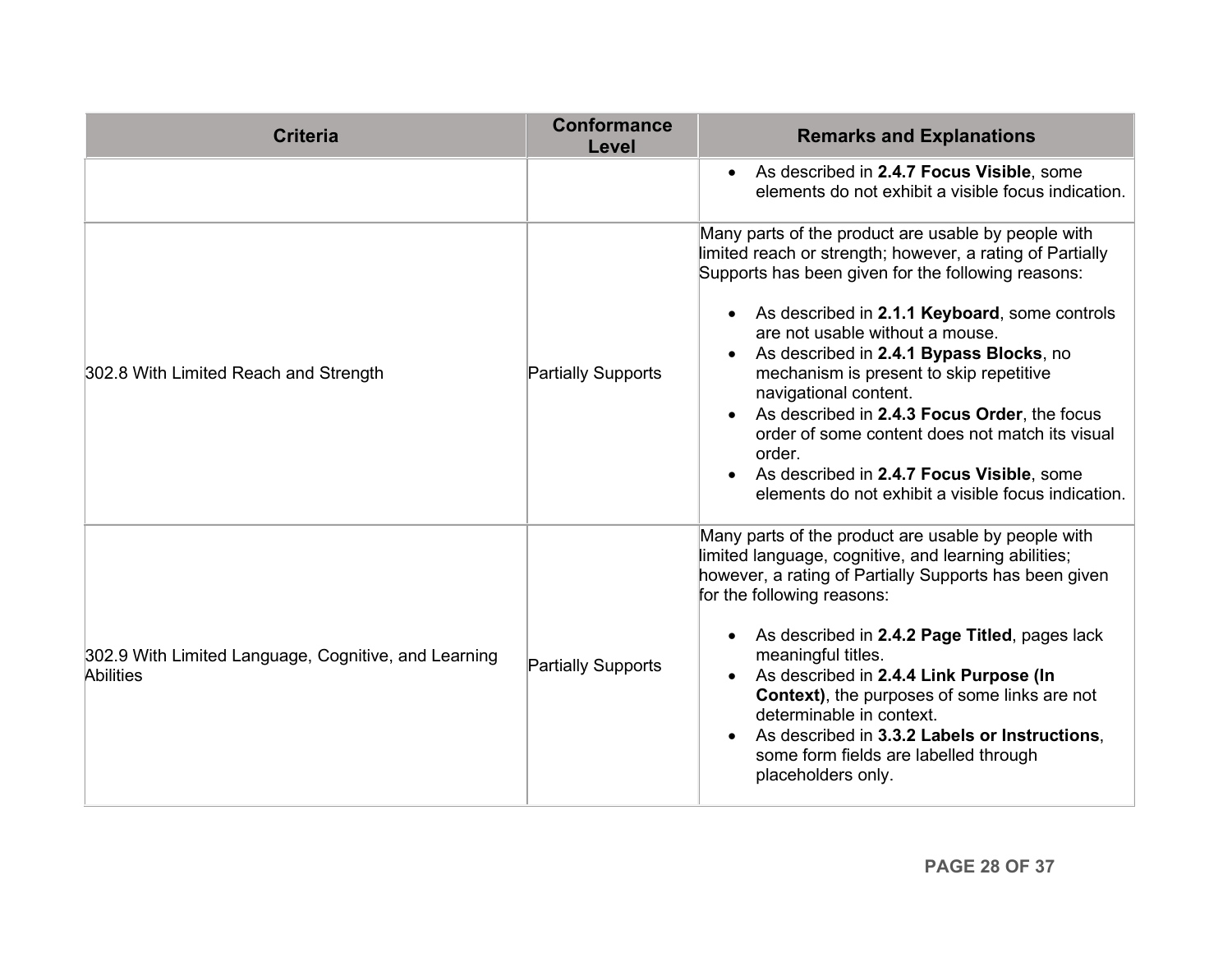| <b>Criteria</b>                                                          | <b>Conformance</b><br>Level | <b>Remarks and Explanations</b>                                                                                                                                                                                                                                                                                                                                                                                                                                                                                                                                                            |
|--------------------------------------------------------------------------|-----------------------------|--------------------------------------------------------------------------------------------------------------------------------------------------------------------------------------------------------------------------------------------------------------------------------------------------------------------------------------------------------------------------------------------------------------------------------------------------------------------------------------------------------------------------------------------------------------------------------------------|
|                                                                          |                             | As described in 2.4.7 Focus Visible, some<br>elements do not exhibit a visible focus indication.                                                                                                                                                                                                                                                                                                                                                                                                                                                                                           |
| 302.8 With Limited Reach and Strength                                    | <b>Partially Supports</b>   | Many parts of the product are usable by people with<br>limited reach or strength; however, a rating of Partially<br>Supports has been given for the following reasons:<br>As described in 2.1.1 Keyboard, some controls<br>are not usable without a mouse.<br>As described in 2.4.1 Bypass Blocks, no<br>mechanism is present to skip repetitive<br>navigational content.<br>As described in 2.4.3 Focus Order, the focus<br>order of some content does not match its visual<br>order.<br>As described in 2.4.7 Focus Visible, some<br>elements do not exhibit a visible focus indication. |
| 302.9 With Limited Language, Cognitive, and Learning<br><b>Abilities</b> | <b>Partially Supports</b>   | Many parts of the product are usable by people with<br>limited language, cognitive, and learning abilities;<br>however, a rating of Partially Supports has been given<br>for the following reasons:<br>As described in 2.4.2 Page Titled, pages lack<br>meaningful titles.<br>As described in 2.4.4 Link Purpose (In<br><b>Context)</b> , the purposes of some links are not<br>determinable in context.<br>As described in 3.3.2 Labels or Instructions,<br>some form fields are labelled through<br>placeholders only.                                                                   |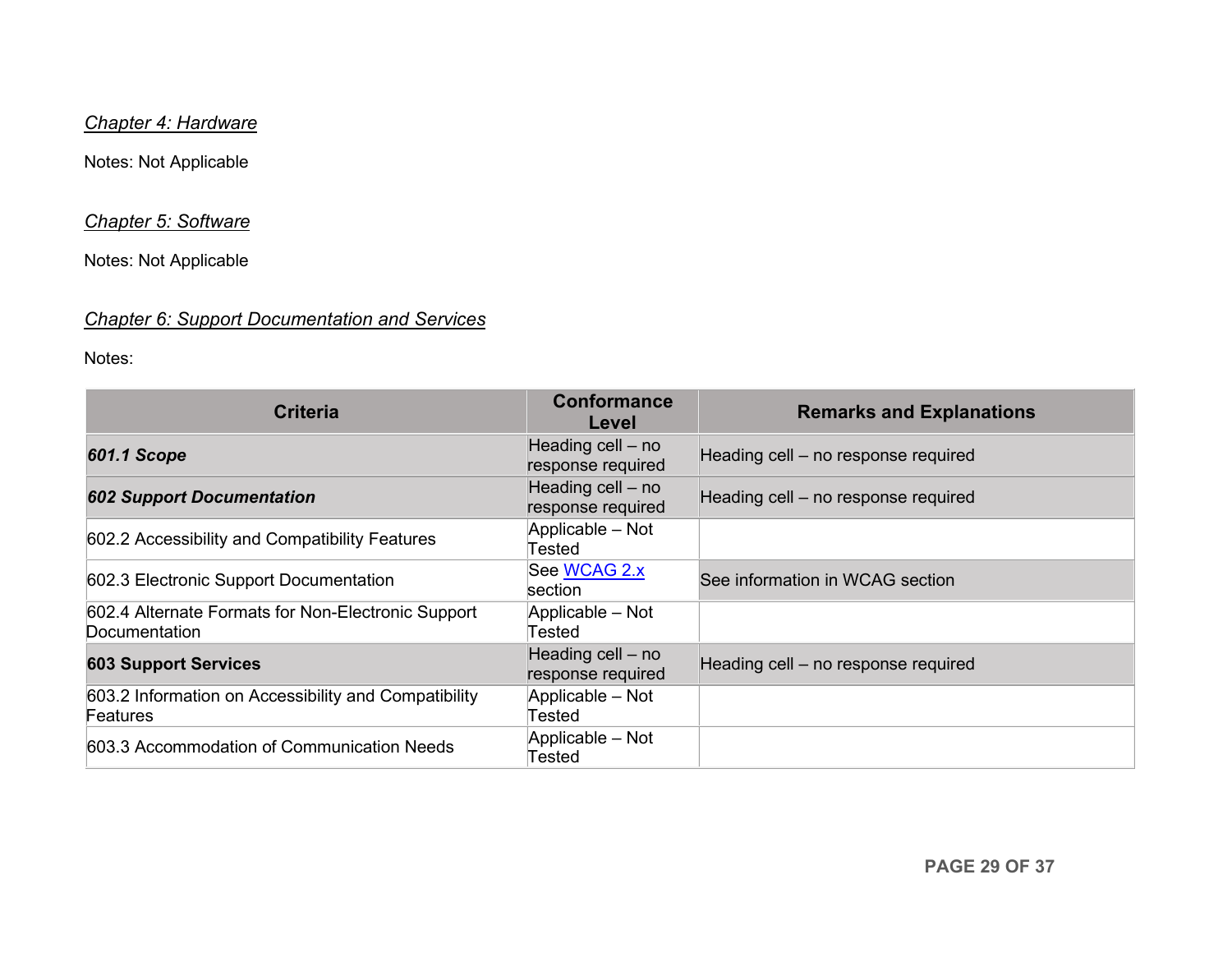### *Chapter 4: Hardware*

Notes: Not Applicable

#### *Chapter 5: Software*

Notes: Not Applicable

# *Chapter 6: Support Documentation and Services*

| <b>Criteria</b>                                                     | <b>Conformance</b><br>Level            | <b>Remarks and Explanations</b>     |
|---------------------------------------------------------------------|----------------------------------------|-------------------------------------|
| <b>601.1 Scope</b>                                                  | Heading cell - no<br>response required | Heading cell - no response required |
| <b>602 Support Documentation</b>                                    | Heading cell - no<br>response required | Heading cell - no response required |
| 602.2 Accessibility and Compatibility Features                      | Applicable - Not<br>Tested             |                                     |
| 602.3 Electronic Support Documentation                              | See WCAG 2.x<br>section                | See information in WCAG section     |
| 602.4 Alternate Formats for Non-Electronic Support<br>Documentation | Applicable - Not<br>Tested             |                                     |
| <b>603 Support Services</b>                                         | Heading cell - no<br>response required | Heading cell - no response required |
| 603.2 Information on Accessibility and Compatibility<br>Features    | Applicable - Not<br>Tested             |                                     |
| 603.3 Accommodation of Communication Needs                          | Applicable - Not<br>Tested             |                                     |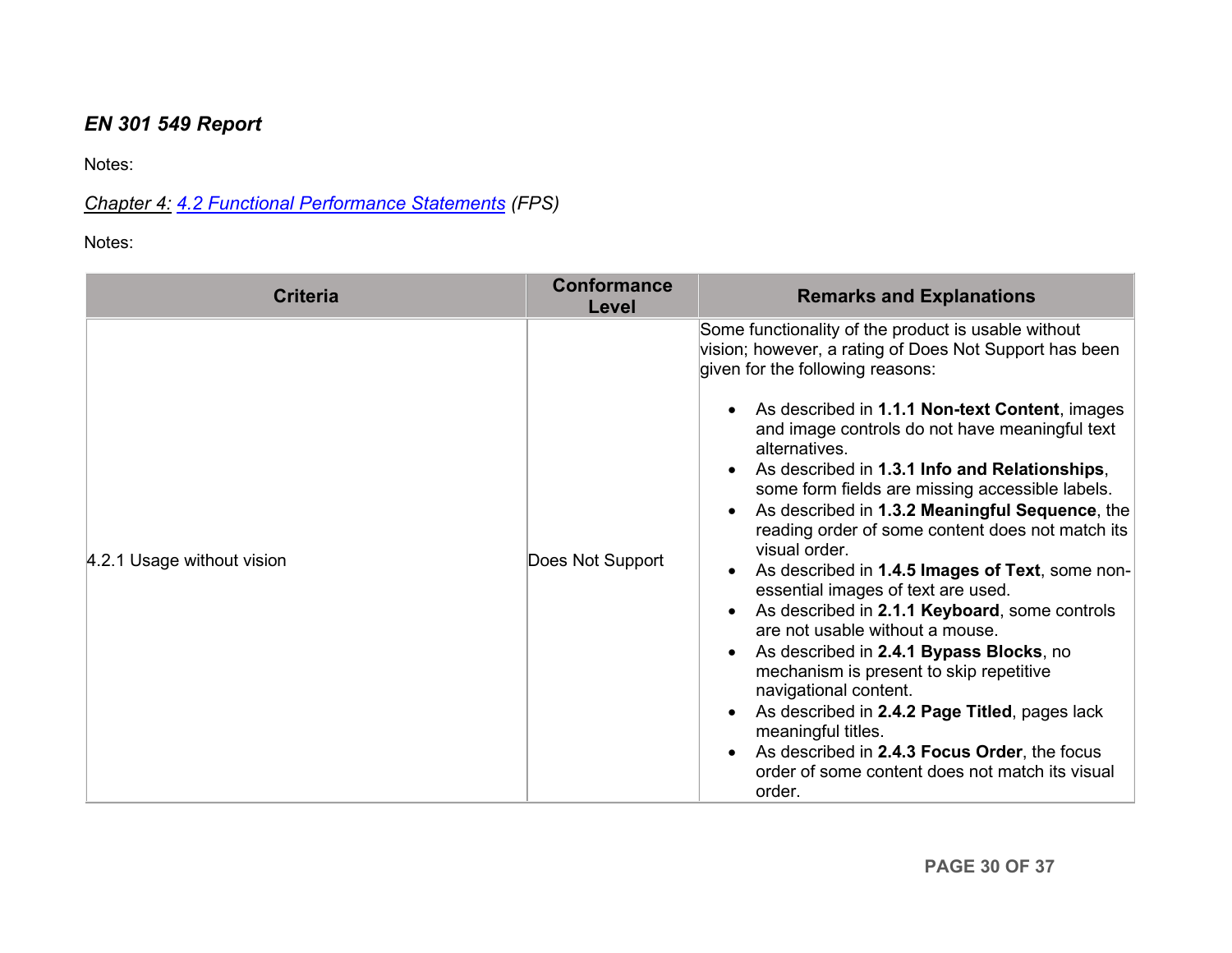# *EN 301 549 Report*

Notes:

*Chapter 4: [4.2 Functional Performance Statements](http://www.etsi.org/deliver/etsi_en/301500_301599/301549/01.01.02_60/en_301549v010102p.pdf#page=22) (FPS)*

| <b>Criteria</b>            | <b>Conformance</b><br>Level | <b>Remarks and Explanations</b>                                                                                                                                                                                                                                                                                                                                                                                                                                                                                                                                                                                                                                                                                                                                                                                                                                                                                                                                                   |
|----------------------------|-----------------------------|-----------------------------------------------------------------------------------------------------------------------------------------------------------------------------------------------------------------------------------------------------------------------------------------------------------------------------------------------------------------------------------------------------------------------------------------------------------------------------------------------------------------------------------------------------------------------------------------------------------------------------------------------------------------------------------------------------------------------------------------------------------------------------------------------------------------------------------------------------------------------------------------------------------------------------------------------------------------------------------|
| 4.2.1 Usage without vision | Does Not Support            | Some functionality of the product is usable without<br>vision; however, a rating of Does Not Support has been<br>given for the following reasons:<br>As described in 1.1.1 Non-text Content, images<br>and image controls do not have meaningful text<br>alternatives.<br>As described in 1.3.1 Info and Relationships,<br>some form fields are missing accessible labels.<br>As described in 1.3.2 Meaningful Sequence, the<br>reading order of some content does not match its<br>visual order.<br>As described in 1.4.5 Images of Text, some non-<br>essential images of text are used.<br>As described in 2.1.1 Keyboard, some controls<br>are not usable without a mouse.<br>As described in 2.4.1 Bypass Blocks, no<br>mechanism is present to skip repetitive<br>navigational content.<br>As described in 2.4.2 Page Titled, pages lack<br>meaningful titles.<br>As described in 2.4.3 Focus Order, the focus<br>order of some content does not match its visual<br>order. |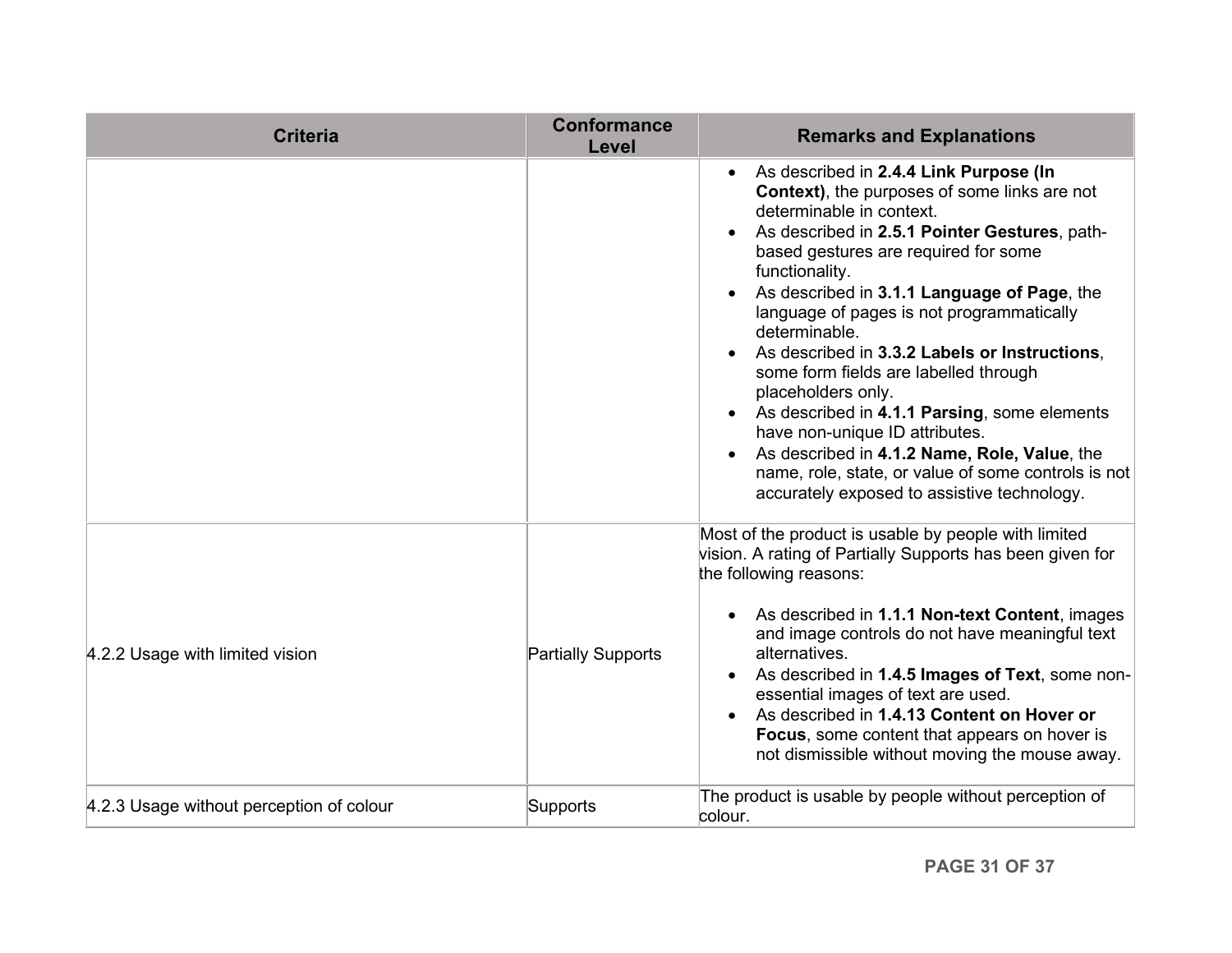| <b>Criteria</b>                          | <b>Conformance</b><br>Level | <b>Remarks and Explanations</b>                                                                                                                                                                                                                                                                                                                                                                                                                                                                                                                                                                                                                                                                            |
|------------------------------------------|-----------------------------|------------------------------------------------------------------------------------------------------------------------------------------------------------------------------------------------------------------------------------------------------------------------------------------------------------------------------------------------------------------------------------------------------------------------------------------------------------------------------------------------------------------------------------------------------------------------------------------------------------------------------------------------------------------------------------------------------------|
|                                          |                             | As described in 2.4.4 Link Purpose (In<br><b>Context)</b> , the purposes of some links are not<br>determinable in context.<br>As described in 2.5.1 Pointer Gestures, path-<br>based gestures are required for some<br>functionality.<br>As described in 3.1.1 Language of Page, the<br>language of pages is not programmatically<br>determinable.<br>As described in 3.3.2 Labels or Instructions,<br>some form fields are labelled through<br>placeholders only.<br>As described in 4.1.1 Parsing, some elements<br>have non-unique ID attributes.<br>As described in 4.1.2 Name, Role, Value, the<br>name, role, state, or value of some controls is not<br>accurately exposed to assistive technology. |
| 4.2.2 Usage with limited vision          | <b>Partially Supports</b>   | Most of the product is usable by people with limited<br>vision. A rating of Partially Supports has been given for<br>the following reasons:<br>As described in 1.1.1 Non-text Content, images<br>and image controls do not have meaningful text<br>alternatives.<br>As described in 1.4.5 Images of Text, some non-<br>essential images of text are used.<br>As described in 1.4.13 Content on Hover or<br>Focus, some content that appears on hover is<br>not dismissible without moving the mouse away.                                                                                                                                                                                                  |
| 4.2.3 Usage without perception of colour | Supports                    | The product is usable by people without perception of<br>colour.                                                                                                                                                                                                                                                                                                                                                                                                                                                                                                                                                                                                                                           |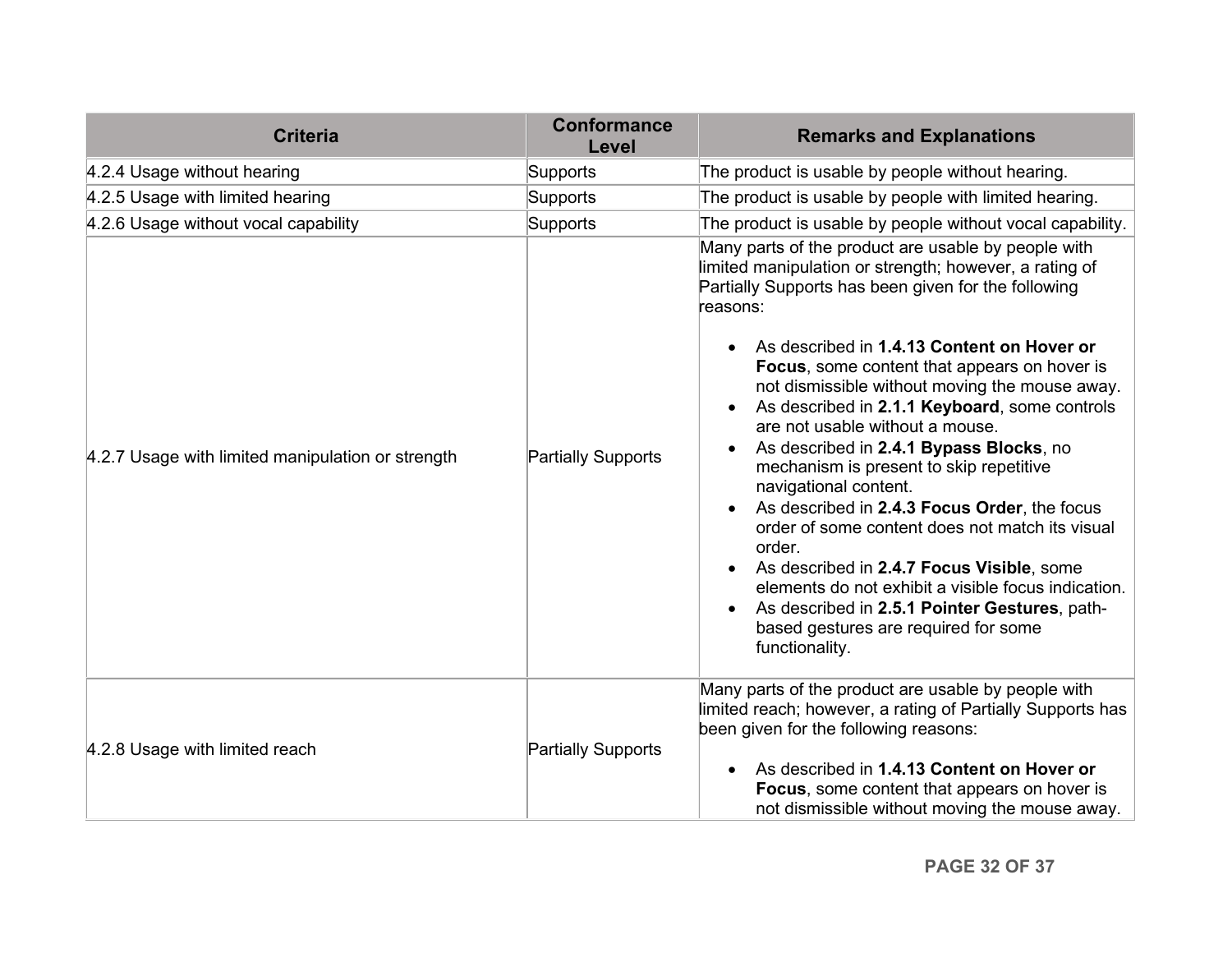| <b>Criteria</b>                                   | <b>Conformance</b><br>Level | <b>Remarks and Explanations</b>                                                                                                                                                                                                                                                                                                                                                                                                                                                                                                                                                                                                                                                                                                                                                                                                                                 |
|---------------------------------------------------|-----------------------------|-----------------------------------------------------------------------------------------------------------------------------------------------------------------------------------------------------------------------------------------------------------------------------------------------------------------------------------------------------------------------------------------------------------------------------------------------------------------------------------------------------------------------------------------------------------------------------------------------------------------------------------------------------------------------------------------------------------------------------------------------------------------------------------------------------------------------------------------------------------------|
| 4.2.4 Usage without hearing                       | Supports                    | The product is usable by people without hearing.                                                                                                                                                                                                                                                                                                                                                                                                                                                                                                                                                                                                                                                                                                                                                                                                                |
| 4.2.5 Usage with limited hearing                  | Supports                    | The product is usable by people with limited hearing.                                                                                                                                                                                                                                                                                                                                                                                                                                                                                                                                                                                                                                                                                                                                                                                                           |
| 4.2.6 Usage without vocal capability              | Supports                    | The product is usable by people without vocal capability.                                                                                                                                                                                                                                                                                                                                                                                                                                                                                                                                                                                                                                                                                                                                                                                                       |
| 4.2.7 Usage with limited manipulation or strength | <b>Partially Supports</b>   | Many parts of the product are usable by people with<br>limited manipulation or strength; however, a rating of<br>Partially Supports has been given for the following<br>reasons:<br>As described in 1.4.13 Content on Hover or<br>Focus, some content that appears on hover is<br>not dismissible without moving the mouse away.<br>As described in 2.1.1 Keyboard, some controls<br>are not usable without a mouse.<br>As described in 2.4.1 Bypass Blocks, no<br>mechanism is present to skip repetitive<br>navigational content.<br>As described in 2.4.3 Focus Order, the focus<br>order of some content does not match its visual<br>order.<br>As described in 2.4.7 Focus Visible, some<br>elements do not exhibit a visible focus indication.<br>As described in 2.5.1 Pointer Gestures, path-<br>based gestures are required for some<br>functionality. |
| 4.2.8 Usage with limited reach                    | <b>Partially Supports</b>   | Many parts of the product are usable by people with<br>limited reach; however, a rating of Partially Supports has<br>been given for the following reasons:<br>As described in 1.4.13 Content on Hover or<br>Focus, some content that appears on hover is<br>not dismissible without moving the mouse away.                                                                                                                                                                                                                                                                                                                                                                                                                                                                                                                                                      |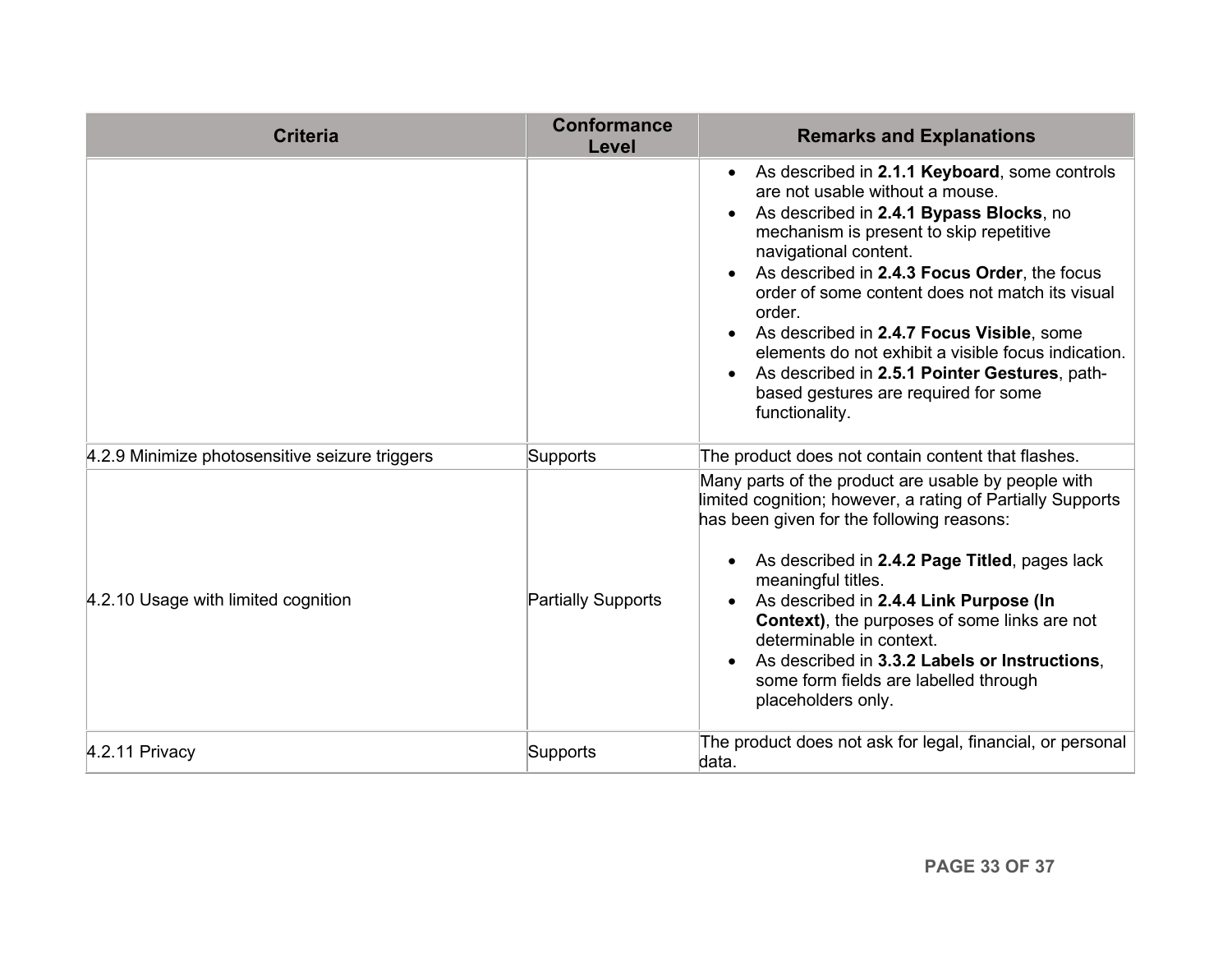| <b>Criteria</b>                                | <b>Conformance</b><br>Level | <b>Remarks and Explanations</b>                                                                                                                                                                                                                                                                                                                                                                                                                                                                                               |
|------------------------------------------------|-----------------------------|-------------------------------------------------------------------------------------------------------------------------------------------------------------------------------------------------------------------------------------------------------------------------------------------------------------------------------------------------------------------------------------------------------------------------------------------------------------------------------------------------------------------------------|
|                                                |                             | • As described in 2.1.1 Keyboard, some controls<br>are not usable without a mouse.<br>As described in 2.4.1 Bypass Blocks, no<br>mechanism is present to skip repetitive<br>navigational content.<br>As described in 2.4.3 Focus Order, the focus<br>order of some content does not match its visual<br>order.<br>As described in 2.4.7 Focus Visible, some<br>elements do not exhibit a visible focus indication.<br>As described in 2.5.1 Pointer Gestures, path-<br>based gestures are required for some<br>functionality. |
| 4.2.9 Minimize photosensitive seizure triggers | Supports                    | The product does not contain content that flashes.                                                                                                                                                                                                                                                                                                                                                                                                                                                                            |
| 4.2.10 Usage with limited cognition            | <b>Partially Supports</b>   | Many parts of the product are usable by people with<br>limited cognition; however, a rating of Partially Supports<br>has been given for the following reasons:<br>As described in 2.4.2 Page Titled, pages lack<br>meaningful titles.<br>As described in 2.4.4 Link Purpose (In<br>Context), the purposes of some links are not<br>determinable in context.<br>As described in 3.3.2 Labels or Instructions,<br>some form fields are labelled through<br>placeholders only.                                                   |
| 4.2.11 Privacy                                 | Supports                    | The product does not ask for legal, financial, or personal<br>data.                                                                                                                                                                                                                                                                                                                                                                                                                                                           |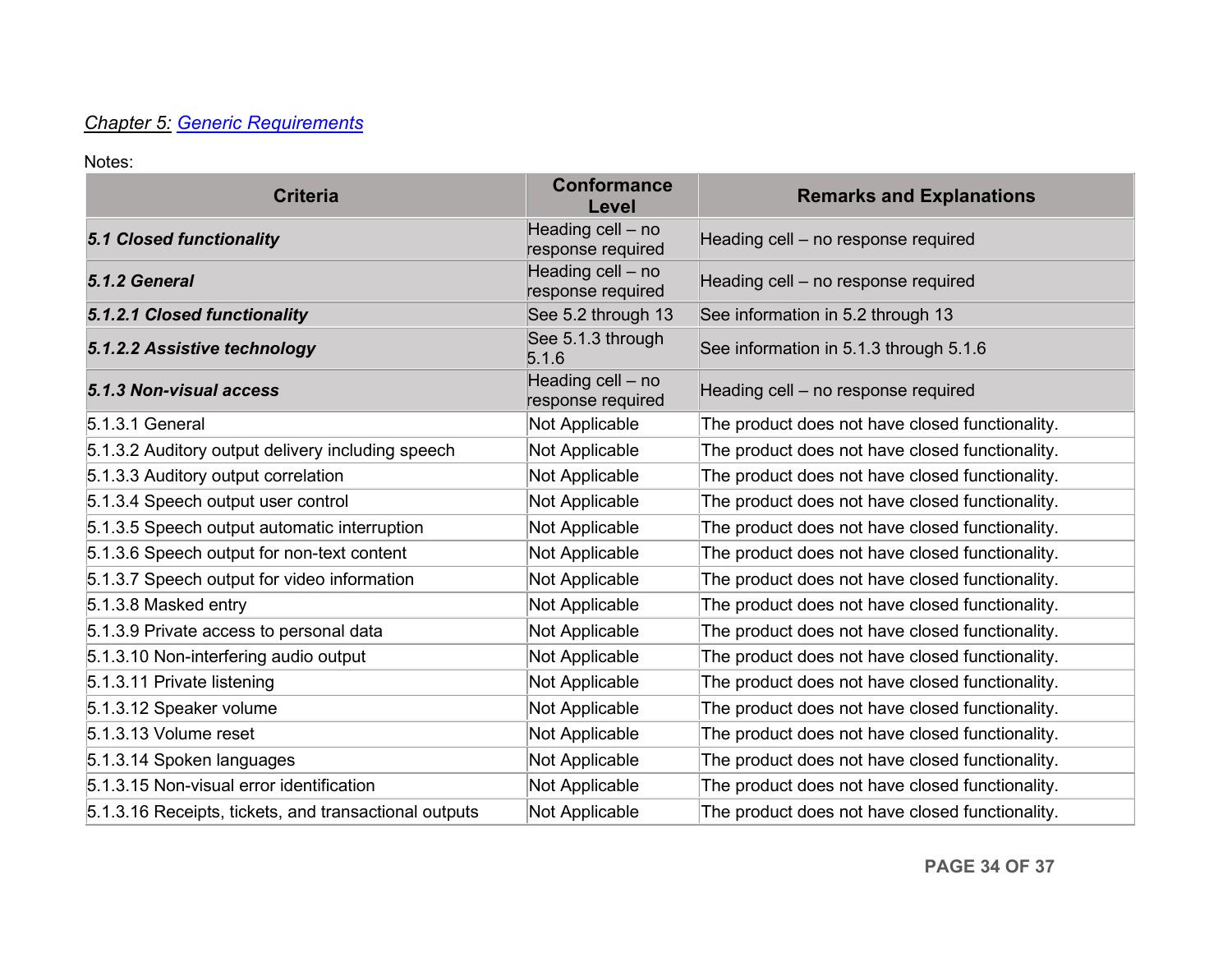# *Chapter 5: [Generic Requirements](http://www.etsi.org/deliver/etsi_en/301500_301599/301549/01.01.02_60/en_301549v010102p.pdf#page=23)*

| <b>Criteria</b>                                       | <b>Conformance</b><br>Level            | <b>Remarks and Explanations</b>                 |
|-------------------------------------------------------|----------------------------------------|-------------------------------------------------|
| <b>5.1 Closed functionality</b>                       | Heading cell - no<br>response required | Heading cell - no response required             |
| 5.1.2 General                                         | Heading cell - no<br>response required | Heading cell - no response required             |
| 5.1.2.1 Closed functionality                          | See 5.2 through 13                     | See information in 5.2 through 13               |
| 5.1.2.2 Assistive technology                          | See 5.1.3 through<br>5.1.6             | See information in 5.1.3 through 5.1.6          |
| 5.1.3 Non-visual access                               | Heading cell - no<br>response required | Heading cell - no response required             |
| 5.1.3.1 General                                       | Not Applicable                         | The product does not have closed functionality. |
| 5.1.3.2 Auditory output delivery including speech     | Not Applicable                         | The product does not have closed functionality. |
| 5.1.3.3 Auditory output correlation                   | Not Applicable                         | The product does not have closed functionality. |
| 5.1.3.4 Speech output user control                    | Not Applicable                         | The product does not have closed functionality. |
| 5.1.3.5 Speech output automatic interruption          | Not Applicable                         | The product does not have closed functionality. |
| 5.1.3.6 Speech output for non-text content            | Not Applicable                         | The product does not have closed functionality. |
| 5.1.3.7 Speech output for video information           | Not Applicable                         | The product does not have closed functionality. |
| 5.1.3.8 Masked entry                                  | Not Applicable                         | The product does not have closed functionality. |
| 5.1.3.9 Private access to personal data               | Not Applicable                         | The product does not have closed functionality. |
| 5.1.3.10 Non-interfering audio output                 | Not Applicable                         | The product does not have closed functionality. |
| 5.1.3.11 Private listening                            | Not Applicable                         | The product does not have closed functionality. |
| 5.1.3.12 Speaker volume                               | Not Applicable                         | The product does not have closed functionality. |
| 5.1.3.13 Volume reset                                 | Not Applicable                         | The product does not have closed functionality. |
| 5.1.3.14 Spoken languages                             | Not Applicable                         | The product does not have closed functionality. |
| 5.1.3.15 Non-visual error identification              | Not Applicable                         | The product does not have closed functionality. |
| 5.1.3.16 Receipts, tickets, and transactional outputs | Not Applicable                         | The product does not have closed functionality. |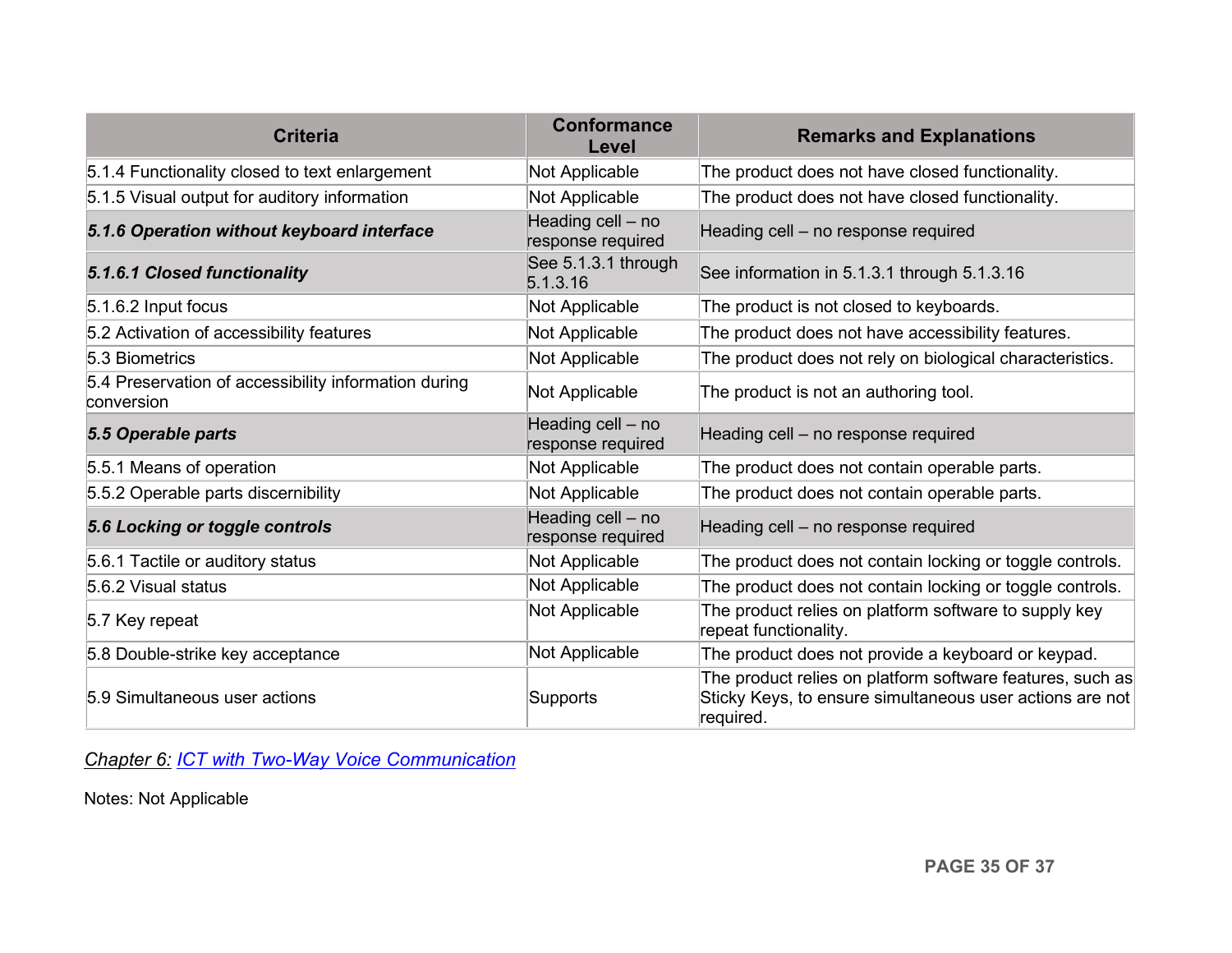| <b>Criteria</b>                                                    | <b>Conformance</b><br>Level            | <b>Remarks and Explanations</b>                                                                                                    |
|--------------------------------------------------------------------|----------------------------------------|------------------------------------------------------------------------------------------------------------------------------------|
| 5.1.4 Functionality closed to text enlargement                     | Not Applicable                         | The product does not have closed functionality.                                                                                    |
| 5.1.5 Visual output for auditory information                       | Not Applicable                         | The product does not have closed functionality.                                                                                    |
| 5.1.6 Operation without keyboard interface                         | Heading cell - no<br>response required | Heading cell - no response required                                                                                                |
| 5.1.6.1 Closed functionality                                       | See 5.1.3.1 through<br>5.1.3.16        | See information in 5.1.3.1 through 5.1.3.16                                                                                        |
| $5.1.6.2$ Input focus                                              | Not Applicable                         | The product is not closed to keyboards.                                                                                            |
| 5.2 Activation of accessibility features                           | Not Applicable                         | The product does not have accessibility features.                                                                                  |
| 5.3 Biometrics                                                     | Not Applicable                         | The product does not rely on biological characteristics.                                                                           |
| 5.4 Preservation of accessibility information during<br>conversion | Not Applicable                         | The product is not an authoring tool.                                                                                              |
| 5.5 Operable parts                                                 | Heading cell - no<br>response required | Heading cell - no response required                                                                                                |
| 5.5.1 Means of operation                                           | Not Applicable                         | The product does not contain operable parts.                                                                                       |
| 5.5.2 Operable parts discernibility                                | Not Applicable                         | The product does not contain operable parts.                                                                                       |
| 5.6 Locking or toggle controls                                     | Heading cell - no<br>response required | Heading cell - no response required                                                                                                |
| 5.6.1 Tactile or auditory status                                   | Not Applicable                         | The product does not contain locking or toggle controls.                                                                           |
| 5.6.2 Visual status                                                | Not Applicable                         | The product does not contain locking or toggle controls.                                                                           |
| 5.7 Key repeat                                                     | Not Applicable                         | The product relies on platform software to supply key<br>repeat functionality.                                                     |
| 5.8 Double-strike key acceptance                                   | Not Applicable                         | The product does not provide a keyboard or keypad.                                                                                 |
| 5.9 Simultaneous user actions                                      | Supports                               | The product relies on platform software features, such as<br>Sticky Keys, to ensure simultaneous user actions are not<br>required. |

*Chapter 6: [ICT with Two-Way Voice Communication](http://www.etsi.org/deliver/etsi_en/301500_301599/301549/01.01.02_60/en_301549v010102p.pdf#page=28)*

Notes: Not Applicable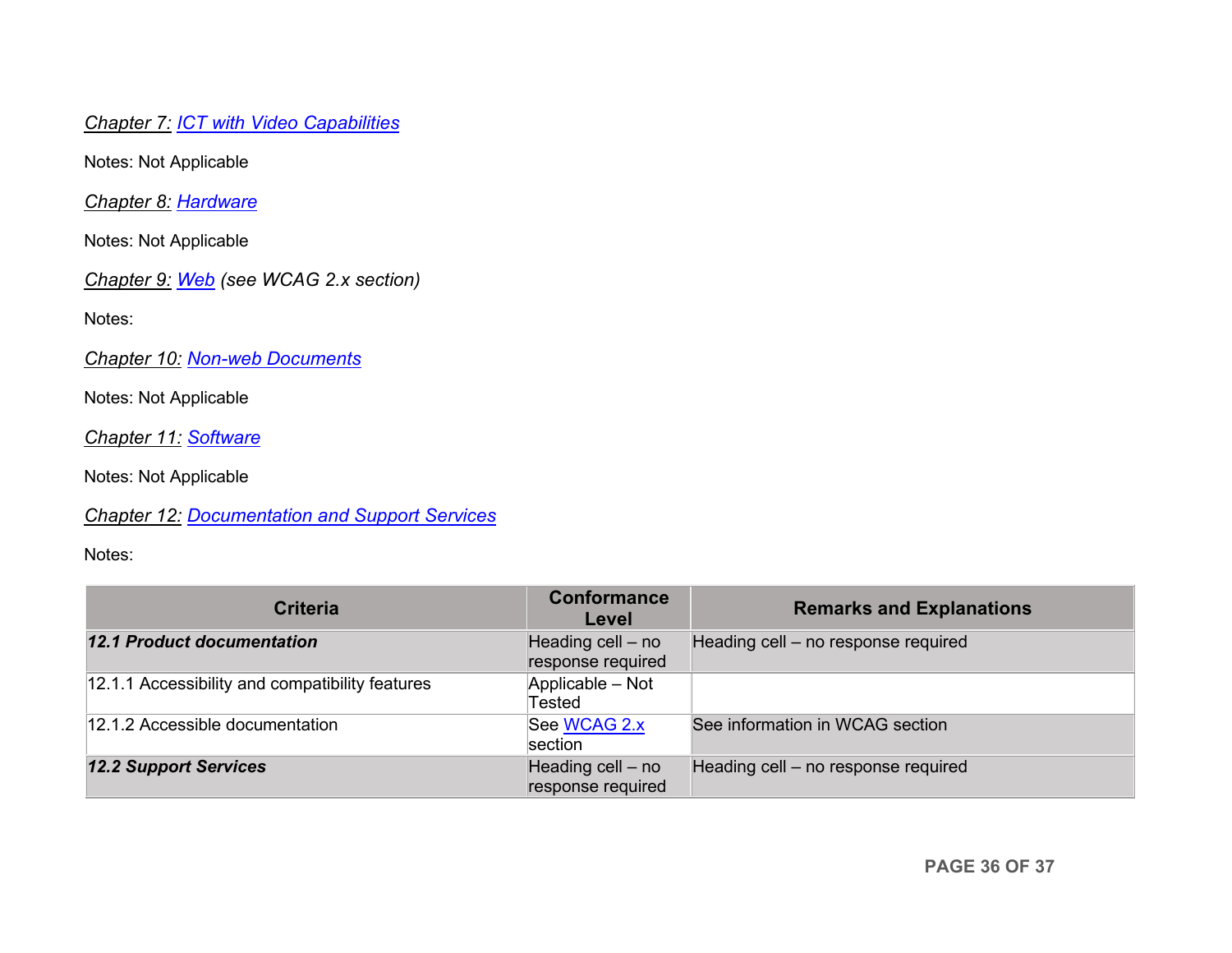*Chapter 7: [ICT with Video Capabilities](http://www.etsi.org/deliver/etsi_en/301500_301599/301549/01.01.02_60/en_301549v010102p.pdf#page=31)*

Notes: Not Applicable

*Chapter 8: [Hardware](http://www.etsi.org/deliver/etsi_en/301500_301599/301549/01.01.02_60/en_301549v010102p.pdf#page=32)*

Notes: Not Applicable

*Chapter 9: [Web](http://www.etsi.org/deliver/etsi_en/301500_301599/301549/01.01.02_60/en_301549v010102p.pdf#page=39) (see WCAG 2.x section)*

Notes:

*Chapter 10: [Non-web Documents](http://www.etsi.org/deliver/etsi_en/301500_301599/301549/01.01.02_60/en_301549v010102p.pdf#page=43)*

Notes: Not Applicable

*Chapter 11: [Software](http://www.etsi.org/deliver/etsi_en/301500_301599/301549/01.01.02_60/en_301549v010102p.pdf#page=53)*

Notes: Not Applicable

*Chapter 12: [Documentation and Support Services](http://www.etsi.org/deliver/etsi_en/301500_301599/301549/01.01.02_60/en_301549v010102p.pdf#page=73)*

| <b>Criteria</b>                                 | Conformance<br>Level                   | <b>Remarks and Explanations</b>     |
|-------------------------------------------------|----------------------------------------|-------------------------------------|
| <b>12.1 Product documentation</b>               | Heading cell - no<br>response required | Heading cell - no response required |
| 12.1.1 Accessibility and compatibility features | Applicable - Not<br>Tested             |                                     |
| 12.1.2 Accessible documentation                 | See WCAG 2.x<br>section                | See information in WCAG section     |
| <b>12.2 Support Services</b>                    | Heading cell - no<br>response required | Heading cell - no response required |